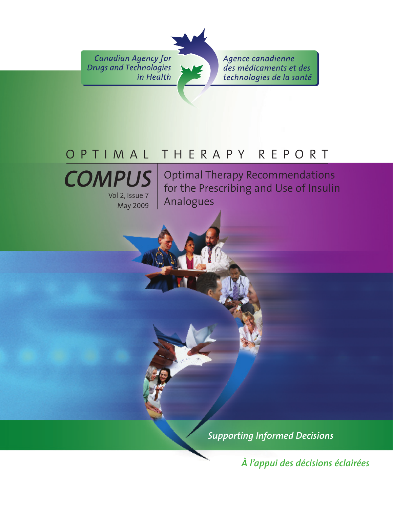**Canadian Agency for Drugs and Technologies** in Health

Agence canadienne des médicaments et des technologies de la santé

# OPTIMAL THERAPY REPORT



Optimal Therapy Recommendations for the Prescribing and Use of Insulin Analogues

*Supporting Informed Decisions* 

*À l'appui des décisions éclairées*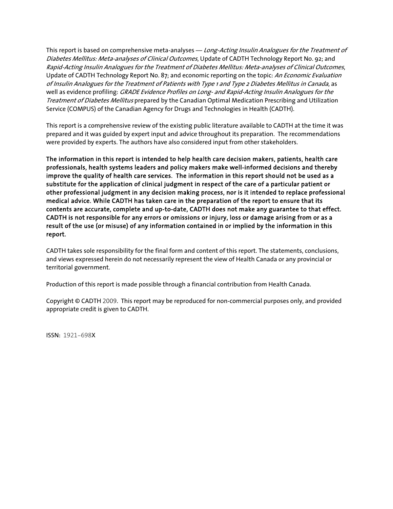This report is based on comprehensive meta-analyses — Long-Acting Insulin Analogues for the Treatment of Diabetes Mellitus: Meta-analyses of Clinical Outcomes, Update of CADTH Technology Report No. 92; and Rapid-Acting Insulin Analogues for the Treatment of Diabetes Mellitus: Meta-analyses of Clinical Outcomes, Update of CADTH Technology Report No. 87; and economic reporting on the topic: An Economic Evaluation of Insulin Analogues for the Treatment of Patients with Type 1 and Type 2 Diabetes Mellitus in Canada, as well as evidence profiling: GRADE Evidence Profiles on Long- and Rapid-Acting Insulin Analogues for the Treatment of Diabetes Mellitus prepared by the Canadian Optimal Medication Prescribing and Utilization Service (COMPUS) of the Canadian Agency for Drugs and Technologies in Health (CADTH).

This report is a comprehensive review of the existing public literature available to CADTH at the time it was prepared and it was guided by expert input and advice throughout its preparation. The recommendations were provided by experts. The authors have also considered input from other stakeholders.

The information in this report is intended to help health care decision makers, patients, health care professionals, health systems leaders and policy makers make well-informed decisions and thereby improve the quality of health care services. The information in this report should not be used as a substitute for the application of clinical judgment in respect of the care of a particular patient or other professional judgment in any decision making process, nor is it intended to replace professional medical advice. While CADTH has taken care in the preparation of the report to ensure that its contents are accurate, complete and up-to-date, CADTH does not make any guarantee to that effect. CADTH is not responsible for any errors or omissions or injury, loss or damage arising from or as a result of the use (or misuse) of any information contained in or implied by the information in this report.

CADTH takes sole responsibility for the final form and content of this report. The statements, conclusions, and views expressed herein do not necessarily represent the view of Health Canada or any provincial or territorial government.

Production of this report is made possible through a financial contribution from Health Canada.

Copyright © CADTH 2009. This report may be reproduced for non-commercial purposes only, and provided appropriate credit is given to CADTH.

ISSN: 1921-698X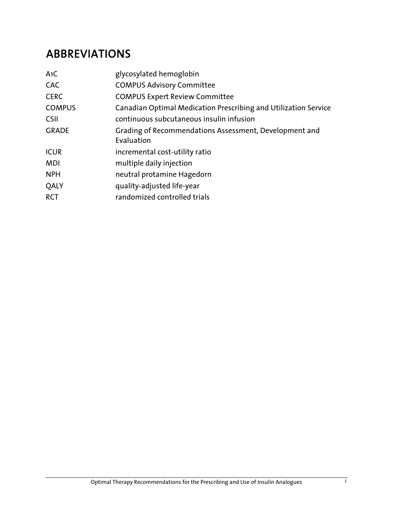## ABBREVIATIONS

| A1C           | glycosylated hemoglobin                                         |
|---------------|-----------------------------------------------------------------|
| <b>CAC</b>    | <b>COMPUS Advisory Committee</b>                                |
| <b>CERC</b>   | <b>COMPUS Expert Review Committee</b>                           |
| <b>COMPUS</b> | Canadian Optimal Medication Prescribing and Utilization Service |
| <b>CSII</b>   | continuous subcutaneous insulin infusion                        |
| <b>GRADE</b>  | Grading of Recommendations Assessment, Development and          |
|               | Evaluation                                                      |
| <b>ICUR</b>   | incremental cost-utility ratio                                  |
| <b>MDI</b>    | multiple daily injection                                        |
| <b>NPH</b>    | neutral protamine Hagedorn                                      |
| <b>OALY</b>   | quality-adjusted life-year                                      |
| <b>RCT</b>    | randomized controlled trials                                    |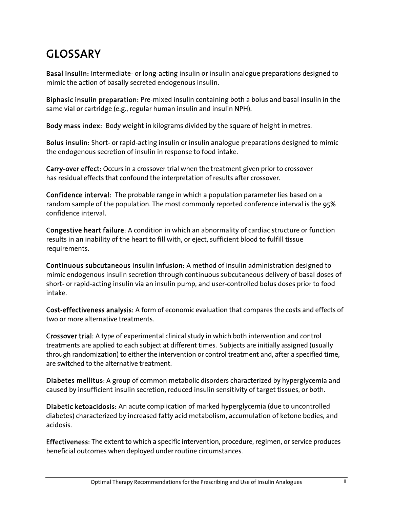# GLOSSARY

Basal insulin: Intermediate- or long-acting insulin or insulin analogue preparations designed to mimic the action of basally secreted endogenous insulin.

Biphasic insulin preparation: Pre-mixed insulin containing both a bolus and basal insulin in the same vial or cartridge (e.g., regular human insulin and insulin NPH).

Body mass index: Body weight in kilograms divided by the square of height in metres.

Bolus insulin: Short- or rapid-acting insulin or insulin analogue preparations designed to mimic the endogenous secretion of insulin in response to food intake.

Carry-over effect: Occurs in a crossover trial when the treatment given prior to crossover has residual effects that confound the interpretation of results after crossover.

Confidence interval: The probable range in which a population parameter lies based on a random sample of the population. The most commonly reported conference interval is the 95% confidence interval.

Congestive heart failure: A condition in which an abnormality of cardiac structure or function results in an inability of the heart to fill with, or eject, sufficient blood to fulfill tissue requirements.

Continuous subcutaneous insulin infusion: A method of insulin administration designed to mimic endogenous insulin secretion through continuous subcutaneous delivery of basal doses of short- or rapid-acting insulin via an insulin pump, and user-controlled bolus doses prior to food intake.

Cost-effectiveness analysis: A form of economic evaluation that compares the costs and effects of two or more alternative treatments.

Crossover trial: A type of experimental clinical study in which both intervention and control treatments are applied to each subject at different times. Subjects are initially assigned (usually through randomization) to either the intervention or control treatment and, after a specified time, are switched to the alternative treatment.

Diabetes mellitus: A group of common metabolic disorders characterized by hyperglycemia and caused by insufficient insulin secretion, reduced insulin sensitivity of target tissues, or both.

Diabetic ketoacidosis: An acute complication of marked hyperglycemia (due to uncontrolled diabetes) characterized by increased fatty acid metabolism, accumulation of ketone bodies, and acidosis.

Effectiveness: The extent to which a specific intervention, procedure, regimen, or service produces beneficial outcomes when deployed under routine circumstances.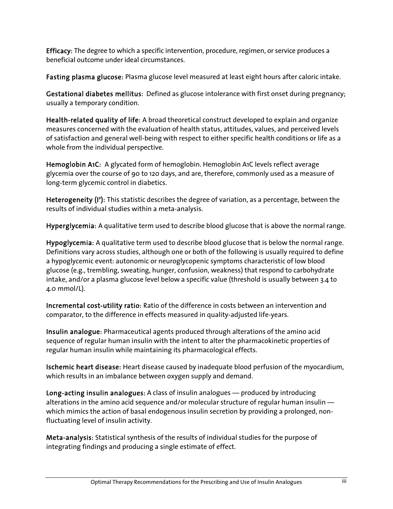Efficacy: The degree to which a specific intervention, procedure, regimen, or service produces a beneficial outcome under ideal circumstances.

Fasting plasma glucose: Plasma glucose level measured at least eight hours after caloric intake.

Gestational diabetes mellitus: Defined as glucose intolerance with first onset during pregnancy; usually a temporary condition.

Health-related quality of life: A broad theoretical construct developed to explain and organize measures concerned with the evaluation of health status, attitudes, values, and perceived levels of satisfaction and general well-being with respect to either specific health conditions or life as a whole from the individual perspective.

Hemoglobin A1C: A glycated form of hemoglobin. Hemoglobin A1C levels reflect average glycemia over the course of 90 to 120 days, and are, therefore, commonly used as a measure of long-term glycemic control in diabetics.

Heterogeneity (I<sup>2</sup>): This statistic describes the degree of variation, as a percentage, between the results of individual studies within a meta-analysis.

Hyperglycemia: A qualitative term used to describe blood glucose that is above the normal range.

Hypoglycemia: A qualitative term used to describe blood glucose that is below the normal range. Definitions vary across studies, although one or both of the following is usually required to define a hypoglycemic event: autonomic or neuroglycopenic symptoms characteristic of low blood glucose (e.g., trembling, sweating, hunger, confusion, weakness) that respond to carbohydrate intake, and/or a plasma glucose level below a specific value (threshold is usually between 3.4 to 4.0 mmol/L).

Incremental cost-utility ratio: Ratio of the difference in costs between an intervention and comparator, to the difference in effects measured in quality-adjusted life-years.

Insulin analogue: Pharmaceutical agents produced through alterations of the amino acid sequence of regular human insulin with the intent to alter the pharmacokinetic properties of regular human insulin while maintaining its pharmacological effects.

Ischemic heart disease: Heart disease caused by inadequate blood perfusion of the myocardium, which results in an imbalance between oxygen supply and demand.

Long-acting insulin analogues: A class of insulin analogues — produced by introducing alterations in the amino acid sequence and/or molecular structure of regular human insulin which mimics the action of basal endogenous insulin secretion by providing a prolonged, nonfluctuating level of insulin activity.

Meta-analysis: Statistical synthesis of the results of individual studies for the purpose of integrating findings and producing a single estimate of effect.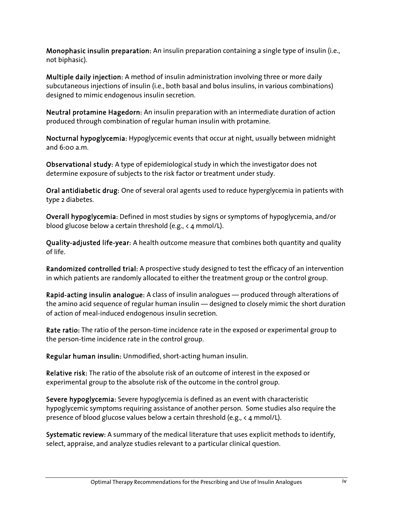Monophasic insulin preparation: An insulin preparation containing a single type of insulin (i.e., not biphasic).

Multiple daily injection: A method of insulin administration involving three or more daily subcutaneous injections of insulin (i.e., both basal and bolus insulins, in various combinations) designed to mimic endogenous insulin secretion.

Neutral protamine Hagedorn: An insulin preparation with an intermediate duration of action produced through combination of regular human insulin with protamine.

Nocturnal hypoglycemia: Hypoglycemic events that occur at night, usually between midnight and 6:00 a.m.

Observational study: A type of epidemiological study in which the investigator does not determine exposure of subjects to the risk factor or treatment under study.

Oral antidiabetic drug: One of several oral agents used to reduce hyperglycemia in patients with type 2 diabetes.

Overall hypoglycemia: Defined in most studies by signs or symptoms of hypoglycemia, and/or blood glucose below a certain threshold (e.g.,  $\leq 4$  mmol/L).

Quality-adjusted life-year: A health outcome measure that combines both quantity and quality of life.

Randomized controlled trial: A prospective study designed to test the efficacy of an intervention in which patients are randomly allocated to either the treatment group or the control group.

Rapid-acting insulin analogue: A class of insulin analogues — produced through alterations of the amino acid sequence of regular human insulin — designed to closely mimic the short duration of action of meal-induced endogenous insulin secretion.

Rate ratio: The ratio of the person-time incidence rate in the exposed or experimental group to the person-time incidence rate in the control group.

Regular human insulin: Unmodified, short-acting human insulin.

Relative risk: The ratio of the absolute risk of an outcome of interest in the exposed or experimental group to the absolute risk of the outcome in the control group.

Severe hypoglycemia: Severe hypoglycemia is defined as an event with characteristic hypoglycemic symptoms requiring assistance of another person. Some studies also require the presence of blood glucose values below a certain threshold (e.g., < 4 mmol/L).

Systematic review: A summary of the medical literature that uses explicit methods to identify, select, appraise, and analyze studies relevant to a particular clinical question.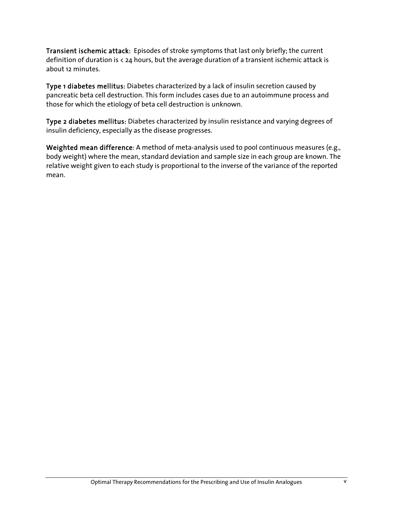Transient ischemic attack: Episodes of stroke symptoms that last only briefly; the current definition of duration is < 24 hours, but the average duration of a transient ischemic attack is about 12 minutes.

Type 1 diabetes mellitus: Diabetes characterized by a lack of insulin secretion caused by pancreatic beta cell destruction. This form includes cases due to an autoimmune process and those for which the etiology of beta cell destruction is unknown.

Type 2 diabetes mellitus: Diabetes characterized by insulin resistance and varying degrees of insulin deficiency, especially as the disease progresses.

Weighted mean difference: A method of meta-analysis used to pool continuous measures (e.g., body weight) where the mean, standard deviation and sample size in each group are known. The relative weight given to each study is proportional to the inverse of the variance of the reported mean.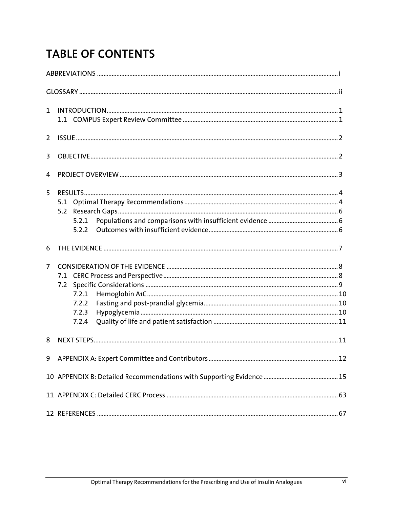# **TABLE OF CONTENTS**

| $\mathbf{1}$   | $\verb INTRODUCTION  \textit{} \textit{} \textit{} \textit{} \textit{} \textit{} \textit{} \textit{} \textit{} \textit{} \textit{} \textit{} \textit{} \textit{} \textit{} \textit{} \textit{} \textit{} \textit{} \textit{} \textit{} \textit{} \textit{} \textit{} \textit{} \textit{} \textit{} \textit{} \textit{} \textit{} \textit{} \textit{} \textit{} \textit{} \textit{}$ |  |
|----------------|-------------------------------------------------------------------------------------------------------------------------------------------------------------------------------------------------------------------------------------------------------------------------------------------------------------------------------------------------------------------------------------|--|
| 2              |                                                                                                                                                                                                                                                                                                                                                                                     |  |
| 3              |                                                                                                                                                                                                                                                                                                                                                                                     |  |
| 4              |                                                                                                                                                                                                                                                                                                                                                                                     |  |
| 5              | 5.2.1                                                                                                                                                                                                                                                                                                                                                                               |  |
| 6              |                                                                                                                                                                                                                                                                                                                                                                                     |  |
| $\overline{7}$ | 7.2.1<br>7.2.2<br>7.2.3<br>7.2.4                                                                                                                                                                                                                                                                                                                                                    |  |
| 8              |                                                                                                                                                                                                                                                                                                                                                                                     |  |
|                |                                                                                                                                                                                                                                                                                                                                                                                     |  |
|                |                                                                                                                                                                                                                                                                                                                                                                                     |  |
|                |                                                                                                                                                                                                                                                                                                                                                                                     |  |
|                |                                                                                                                                                                                                                                                                                                                                                                                     |  |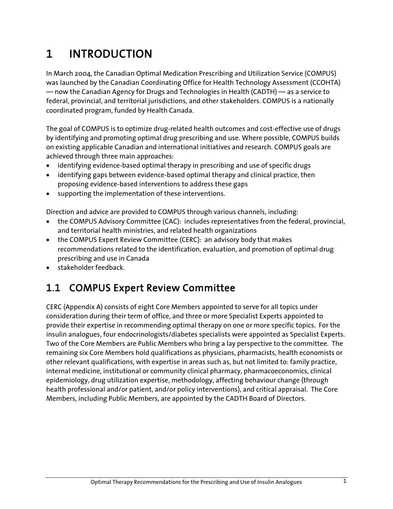# 1 INTRODUCTION

In March 2004, the Canadian Optimal Medication Prescribing and Utilization Service (COMPUS) was launched by the Canadian Coordinating Office for Health Technology Assessment (CCOHTA) — now the Canadian Agency for Drugs and Technologies in Health (CADTH) — as a service to federal, provincial, and territorial jurisdictions, and other stakeholders. COMPUS is a nationally coordinated program, funded by Health Canada.

The goal of COMPUS is to optimize drug-related health outcomes and cost-effective use of drugs by identifying and promoting optimal drug prescribing and use. Where possible, COMPUS builds on existing applicable Canadian and international initiatives and research. COMPUS goals are achieved through three main approaches:

- identifying evidence-based optimal therapy in prescribing and use of specific drugs
- identifying gaps between evidence-based optimal therapy and clinical practice, then proposing evidence-based interventions to address these gaps
- supporting the implementation of these interventions.

Direction and advice are provided to COMPUS through various channels, including:

- the COMPUS Advisory Committee (CAC): includes representatives from the federal, provincial, and territorial health ministries, and related health organizations
- the COMPUS Expert Review Committee (CERC): an advisory body that makes recommendations related to the identification, evaluation, and promotion of optimal drug prescribing and use in Canada
- stakeholder feedback.

## 1.1 COMPUS Expert Review Committee

CERC (Appendix A) consists of eight Core Members appointed to serve for all topics under consideration during their term of office, and three or more Specialist Experts appointed to provide their expertise in recommending optimal therapy on one or more specific topics. For the insulin analogues, four endocrinologists/diabetes specialists were appointed as Specialist Experts. Two of the Core Members are Public Members who bring a lay perspective to the committee. The remaining six Core Members hold qualifications as physicians, pharmacists, health economists or other relevant qualifications, with expertise in areas such as, but not limited to: family practice, internal medicine, institutional or community clinical pharmacy, pharmacoeconomics, clinical epidemiology, drug utilization expertise, methodology, affecting behaviour change (through health professional and/or patient, and/or policy interventions), and critical appraisal. The Core Members, including Public Members, are appointed by the CADTH Board of Directors.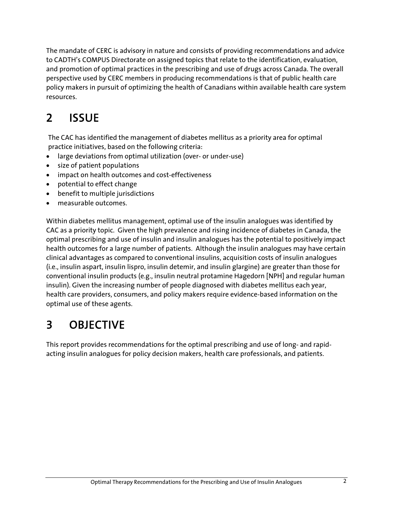The mandate of CERC is advisory in nature and consists of providing recommendations and advice to CADTH's COMPUS Directorate on assigned topics that relate to the identification, evaluation, and promotion of optimal practices in the prescribing and use of drugs across Canada. The overall perspective used by CERC members in producing recommendations is that of public health care policy makers in pursuit of optimizing the health of Canadians within available health care system resources.

# 2 ISSUE

The CAC has identified the management of diabetes mellitus as a priority area for optimal practice initiatives, based on the following criteria:

- large deviations from optimal utilization (over- or under-use)
- size of patient populations
- impact on health outcomes and cost-effectiveness
- potential to effect change
- benefit to multiple jurisdictions
- measurable outcomes.

Within diabetes mellitus management, optimal use of the insulin analogues was identified by CAC as a priority topic. Given the high prevalence and rising incidence of diabetes in Canada, the optimal prescribing and use of insulin and insulin analogues has the potential to positively impact health outcomes for a large number of patients. Although the insulin analogues may have certain clinical advantages as compared to conventional insulins, acquisition costs of insulin analogues (i.e., insulin aspart, insulin lispro, insulin detemir, and insulin glargine) are greater than those for conventional insulin products (e.g., insulin neutral protamine Hagedorn [NPH] and regular human insulin). Given the increasing number of people diagnosed with diabetes mellitus each year, health care providers, consumers, and policy makers require evidence-based information on the optimal use of these agents.

# 3 OBJECTIVE

This report provides recommendations for the optimal prescribing and use of long- and rapidacting insulin analogues for policy decision makers, health care professionals, and patients.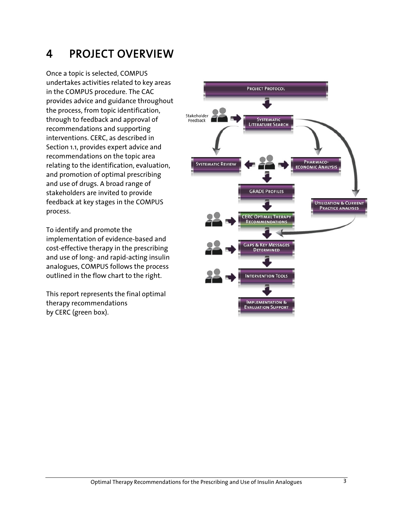# 4 PROJECT OVERVIEW

Once a topic is selected, COMPUS undertakes activities related to key areas in the COMPUS procedure. The CAC provides advice and guidance throughout the process, from topic identification, through to feedback and approval of recommendations and supporting interventions. CERC, as described in Section 1.1, provides expert advice and recommendations on the topic area relating to the identification, evaluation, and promotion of optimal prescribing and use of drugs. A broad range of stakeholders are invited to provide feedback at key stages in the COMPUS process.

To identify and promote the implementation of evidence-based and cost-effective therapy in the prescribing and use of long- and rapid-acting insulin analogues, COMPUS follows the process outlined in the flow chart to the right.

This report represents the final optimal therapy recommendations by CERC (green box).

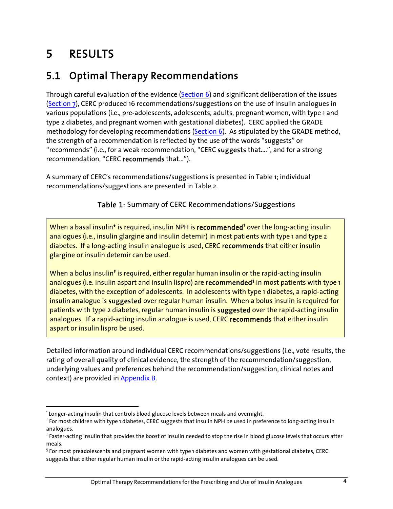# 5 RESULTS

## 5.1 Optimal Therapy Recommendations

Through careful evaluation of the evidence (Section 6) and significant deliberation of the issues (Section 7), CERC produced 16 recommendations/suggestions on the use of insulin analogues in various populations (i.e., pre-adolescents, adolescents, adults, pregnant women, with type 1 and type 2 diabetes, and pregnant women with gestational diabetes). CERC applied the GRADE methodology for developing recommendations (Section 6). As stipulated by the GRADE method, the strength of a recommendation is reflected by the use of the words "suggests" or "recommends" (i.e., for a weak recommendation, "CERC suggests that....", and for a strong recommendation, "CERC recommends that…").

A summary of CERC's recommendations/suggestions is presented in Table 1; individual recommendations/suggestions are presented in Table 2.

Table 1: Summary of CERC Recommendations/Suggestions

When a basal insulin\* is required, insulin NPH is **recommended<sup>†</sup> ov**er the long-acting insulin analogues (i.e., insulin glargine and insulin detemir) in most patients with type 1 and type 2 diabetes. If a long-acting insulin analogue is used, CERC recommends that either insulin glargine or insulin detemir can be used.

When a bolus insulin<sup>‡</sup> is required, either regular human insulin or the rapid-acting insulin analogues (i.e. insulin aspart and insulin lispro) are **recommended<sup>§</sup> i**n most patients with type 1 diabetes, with the exception of adolescents. In adolescents with type 1 diabetes, a rapid-acting insulin analogue is suggested over regular human insulin. When a bolus insulin is required for patients with type 2 diabetes, regular human insulin is suggested over the rapid-acting insulin analogues. If a rapid-acting insulin analogue is used, CERC recommends that either insulin aspart or insulin lispro be used.

Detailed information around individual CERC recommendations/suggestions (i.e., vote results, the rating of overall quality of clinical evidence, the strength of the recommendation/suggestion, underlying values and preferences behind the recommendation/suggestion, clinical notes and context) are provided in Appendix B.

 $\overline{a}$ \* Longer-acting insulin that controls blood glucose levels between meals and overnight. †

<sup>&</sup>lt;sup>†</sup> For most children with type 1 diabetes, CERC suggests that insulin NPH be used in preference to long-acting insulin analogues.

<sup>‡</sup> Faster-acting insulin that provides the boost of insulin needed to stop the rise in blood glucose levels that occurs after meals.

 $^\mathfrak{s}$  For most preadolescents and pregnant women with type 1 diabetes and women with gestational diabetes, CERC suggests that either regular human insulin or the rapid-acting insulin analogues can be used.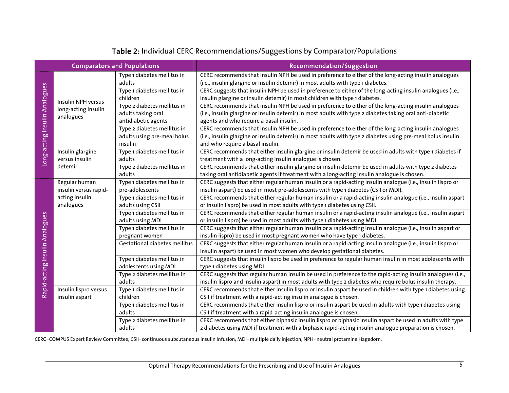| <b>Comparators and Populations</b> |                                                        |                               | <b>Recommendation/Suggestion</b>                                                                             |
|------------------------------------|--------------------------------------------------------|-------------------------------|--------------------------------------------------------------------------------------------------------------|
|                                    |                                                        | Type 1 diabetes mellitus in   | CERC recommends that insulin NPH be used in preference to either of the long-acting insulin analogues        |
|                                    |                                                        | adults                        | (i.e., insulin glargine or insulin detemir) in most adults with type 1 diabetes.                             |
|                                    | Insulin NPH versus<br>long-acting insulin<br>analogues | Type 1 diabetes mellitus in   | CERC suggests that insulin NPH be used in preference to either of the long-acting insulin analogues (i.e.,   |
|                                    |                                                        | children                      | insulin glargine or insulin detemir) in most children with type 1 diabetes.                                  |
|                                    |                                                        | Type 2 diabetes mellitus in   | CERC recommends that insulin NPH be used in preference to either of the long-acting insulin analogues        |
|                                    |                                                        | adults taking oral            | (i.e., insulin glargine or insulin detemir) in most adults with type 2 diabetes taking oral anti-diabetic    |
| Long-acting Insulin Analogues      |                                                        | antidiabetic agents           | agents and who require a basal insulin.                                                                      |
|                                    |                                                        | Type 2 diabetes mellitus in   | CERC recommends that insulin NPH be used in preference to either of the long-acting insulin analogues        |
|                                    |                                                        | adults using pre-meal bolus   | (i.e., insulin glargine or insulin detemir) in most adults with type 2 diabetes using pre-meal bolus insulin |
|                                    |                                                        | insulin                       | and who require a basal insulin.                                                                             |
|                                    | Insulin glargine                                       | Type 1 diabetes mellitus in   | CERC recommends that either insulin glargine or insulin detemir be used in adults with type 1 diabetes if    |
|                                    | versus insulin                                         | adults                        | treatment with a long-acting insulin analogue is chosen.                                                     |
|                                    | detemir                                                | Type 2 diabetes mellitus in   | CERC recommends that either insulin glargine or insulin detemir be used in adults with type 2 diabetes       |
|                                    |                                                        | adults                        | taking oral antidiabetic agents if treatment with a long-acting insulin analogue is chosen.                  |
|                                    | Regular human                                          | Type 1 diabetes mellitus in   | CERC suggests that either regular human insulin or a rapid-acting insulin analogue (i.e., insulin lispro or  |
|                                    | insulin versus rapid-                                  | pre-adolescents               | insulin aspart) be used in most pre-adolescents with type 1 diabetes (CSII or MDI).                          |
|                                    | acting insulin                                         | Type 1 diabetes mellitus in   | CERC recommends that either regular human insulin or a rapid-acting insulin analogue (i.e., insulin aspart   |
|                                    | analogues                                              | adults using CSII             | or insulin lispro) be used in most adults with type 1 diabetes using CSII.                                   |
|                                    |                                                        | Type 1 diabetes mellitus in   | CERC recommends that either regular human insulin or a rapid-acting insulin analogue (i.e., insulin aspart   |
|                                    |                                                        | adults using MDI              | or insulin lispro) be used in most adults with type 1 diabetes using MDI.                                    |
|                                    |                                                        | Type 1 diabetes mellitus in   | CERC suggests that either regular human insulin or a rapid-acting insulin analogue (i.e., insulin aspart or  |
| Rapid-acting Insulin Analogues     |                                                        | pregnant women                | insulin lispro) be used in most pregnant women who have type 1 diabetes.                                     |
|                                    |                                                        | Gestational diabetes mellitus | CERC suggests that either regular human insulin or a rapid-acting insulin analogue (i.e., insulin lispro or  |
|                                    |                                                        |                               | insulin aspart) be used in most women who develop gestational diabetes.                                      |
|                                    |                                                        | Type 1 diabetes mellitus in   | CERC suggests that insulin lispro be used in preference to regular human insulin in most adolescents with    |
|                                    |                                                        | adolescents using MDI         | type 1 diabetes using MDI.                                                                                   |
|                                    |                                                        | Type 2 diabetes mellitus in   | CERC suggests that regular human insulin be used in preference to the rapid-acting insulin analogues (i.e.,  |
|                                    |                                                        | adults                        | insulin lispro and insulin aspart) in most adults with type 2 diabetes who require bolus insulin therapy.    |
|                                    | Insulin lispro versus                                  | Type 1 diabetes mellitus in   | CERC recommends that either insulin lispro or insulin aspart be used in children with type 1 diabetes using  |
|                                    | insulin aspart                                         | children                      | CSII if treatment with a rapid-acting insulin analogue is chosen.                                            |
|                                    |                                                        | Type 1 diabetes mellitus in   | CERC recommends that either insulin lispro or insulin aspart be used in adults with type 1 diabetes using    |
|                                    |                                                        | adults                        | CSII if treatment with a rapid-acting insulin analogue is chosen.                                            |
|                                    |                                                        | Type 2 diabetes mellitus in   | CERC recommends that either biphasic insulin lispro or biphasic insulin aspart be used in adults with type   |
|                                    |                                                        | adults                        | 2 diabetes using MDI if treatment with a biphasic rapid-acting insulin analogue preparation is chosen.       |

### Table <sup>2</sup>: Individual CERC Recommendations/Suggestions by Comparator/Populations

CERC=COMPUS Expert Review Committee; CSII=continuous subcutaneous insulin infusion; MDI=multiple daily injection; NPH=neutral protamine Hagedorn.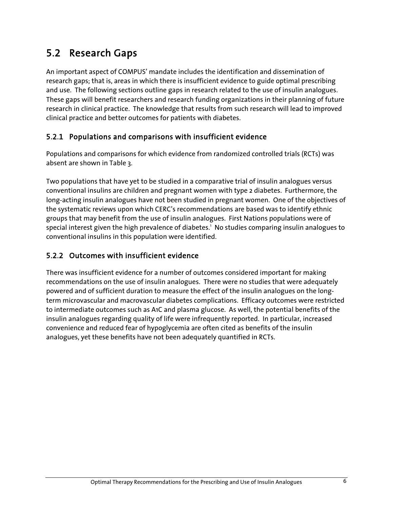## 5.2 Research Gaps

An important aspect of COMPUS' mandate includes the identification and dissemination of research gaps; that is, areas in which there is insufficient evidence to guide optimal prescribing and use. The following sections outline gaps in research related to the use of insulin analogues. These gaps will benefit researchers and research funding organizations in their planning of future research in clinical practice. The knowledge that results from such research will lead to improved clinical practice and better outcomes for patients with diabetes.

### 5.2.1 Populations and comparisons with insufficient evidence

Populations and comparisons for which evidence from randomized controlled trials (RCTs) was absent are shown in Table 3.

Two populations that have yet to be studied in a comparative trial of insulin analogues versus conventional insulins are children and pregnant women with type 2 diabetes. Furthermore, the long-acting insulin analogues have not been studied in pregnant women. One of the objectives of the systematic reviews upon which CERC's recommendations are based was to identify ethnic groups that may benefit from the use of insulin analogues. First Nations populations were of special interest given the high prevalence of diabetes.<sup>1</sup> No studies comparing insulin analogues to conventional insulins in this population were identified.

### 5.2.2 Outcomes with insufficient evidence

There was insufficient evidence for a number of outcomes considered important for making recommendations on the use of insulin analogues. There were no studies that were adequately powered and of sufficient duration to measure the effect of the insulin analogues on the longterm microvascular and macrovascular diabetes complications. Efficacy outcomes were restricted to intermediate outcomes such as A1C and plasma glucose. As well, the potential benefits of the insulin analogues regarding quality of life were infrequently reported. In particular, increased convenience and reduced fear of hypoglycemia are often cited as benefits of the insulin analogues, yet these benefits have not been adequately quantified in RCTs.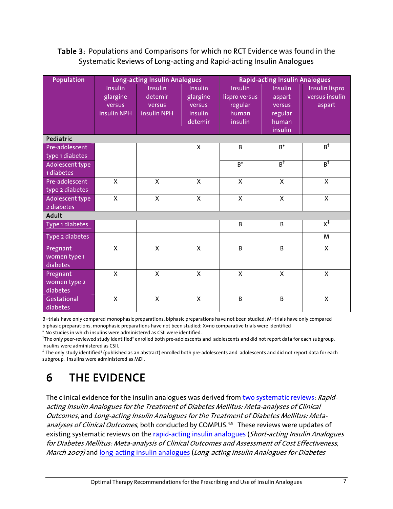### Table 3: Populations and Comparisons for which no RCT Evidence was found in the Systematic Reviews of Long-acting and Rapid-acting Insulin Analogues

| Population      |                | Long-acting Insulin Analogues |                | <b>Rapid-acting Insulin Analogues</b> |                |                                  |
|-----------------|----------------|-------------------------------|----------------|---------------------------------------|----------------|----------------------------------|
|                 | <b>Insulin</b> | <b>Insulin</b>                | <b>Insulin</b> | Insulin                               | <b>Insulin</b> | Insulin lispro                   |
|                 | glargine       | detemir                       | glargine       | lispro versus                         | aspart         | versus insulin                   |
|                 | versus         | versus                        | versus         | regular                               | versus         | aspart                           |
|                 | insulin NPH    | insulin NPH                   | insulin        | human                                 | regular        |                                  |
|                 |                |                               | detemir        | insulin                               | human          |                                  |
|                 |                |                               |                |                                       | insulin        |                                  |
| Pediatric       |                |                               |                |                                       |                |                                  |
| Pre-adolescent  |                |                               | $\mathsf{X}$   | B                                     | $B^*$          | $B^{\dagger}$                    |
| type 1 diabetes |                |                               |                |                                       |                |                                  |
| Adolescent type |                |                               |                | $B^*$                                 | $B_{\pm}$      | $B_+$                            |
| 1 diabetes      |                |                               |                |                                       |                |                                  |
| Pre-adolescent  | $\mathsf{x}$   | $\mathsf{X}$                  | $\mathsf{x}$   | X                                     | $\mathsf{X}$   | X                                |
| type 2 diabetes |                |                               |                |                                       |                |                                  |
| Adolescent type | $\mathsf{x}$   | $\mathsf{X}$                  | $\mathsf{X}$   | $\mathsf{X}$                          | $\mathsf{X}$   | $\mathsf{x}$                     |
| 2 diabetes      |                |                               |                |                                       |                |                                  |
| <b>Adult</b>    |                |                               |                |                                       |                |                                  |
| Type 1 diabetes |                |                               |                | B                                     | B              | $\overline{\mathsf{x}^\ddagger}$ |
| Type 2 diabetes |                |                               |                |                                       |                | M                                |
| Pregnant        | X              | X                             | X              | B                                     | <sub>B</sub>   | $\mathsf{x}$                     |
| women type 1    |                |                               |                |                                       |                |                                  |
| diabetes        |                |                               |                |                                       |                |                                  |
| Pregnant        | $\mathsf{X}$   | $\mathsf{x}$                  | $\mathsf{x}$   | $\mathsf{x}$                          | X              | X                                |
| women type 2    |                |                               |                |                                       |                |                                  |
| diabetes        |                |                               |                |                                       |                |                                  |
| Gestational     | $\mathsf{X}$   | $\mathsf{X}$                  | X              | B                                     | B              | $\mathsf{x}$                     |
| diabetes        |                |                               |                |                                       |                |                                  |

B=trials have only compared monophasic preparations, biphasic preparations have not been studied; M=trials have only compared biphasic preparations, monophasic preparations have not been studied; X=no comparative trials were identified

\* No studies in which insulins were administered as CSII were identified.

 $^\dagger$ The only peer-reviewed study identified<sup>2</sup> enrolled both pre-adolescents and adolescents and did not report data for each subgroup. Insulins were administered as CSII.

 $^\ddag$  The only study identified3 (published as an abstract) enrolled both pre-adolescents and adolescents and did not report data for each subgroup. Insulins were administered as MDI.

# 6 THE EVIDENCE

The clinical evidence for the insulin analogues was derived from two systematic reviews: Rapidacting Insulin Analogues for the Treatment of Diabetes Mellitus: Meta-analyses of Clinical Outcomes, and Long-acting Insulin Analogues for the Treatment of Diabetes Mellitus: Metaanalyses of Clinical Outcomes, both conducted by COMPUS.<sup>4,5</sup> These reviews were updates of existing systematic reviews on the rapid-acting insulin analogues (Short-acting Insulin Analogues for Diabetes Mellitus: Meta-analysis of Clinical Outcomes and Assessment of Cost Effectiveness, March 2007) and long-acting insulin analogues (Long-acting Insulin Analogues for Diabetes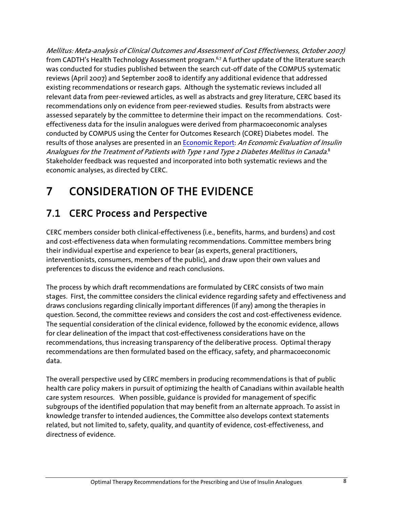Mellitus: Meta-analysis of Clinical Outcomes and Assessment of Cost Effectiveness, October 2007) from CADTH's Health Technology Assessment program.<sup>6,7</sup> A further update of the literature search was conducted for studies published between the search cut-off date of the COMPUS systematic reviews (April 2007) and September 2008 to identify any additional evidence that addressed existing recommendations or research gaps. Although the systematic reviews included all relevant data from peer-reviewed articles, as well as abstracts and grey literature, CERC based its recommendations only on evidence from peer-reviewed studies. Results from abstracts were assessed separately by the committee to determine their impact on the recommendations. Costeffectiveness data for the insulin analogues were derived from pharmacoeconomic analyses conducted by COMPUS using the Center for Outcomes Research (CORE) Diabetes model. The results of those analyses are presented in an Economic Report: An Economic Evaluation of Insulin Analogues for the Treatment of Patients with Type 1 and Type 2 Diabetes Mellitus in Canada. $^8$ Stakeholder feedback was requested and incorporated into both systematic reviews and the economic analyses, as directed by CERC.

# 7 CONSIDERATION OF THE EVIDENCE

# 7.1 CERC Process and Perspective

CERC members consider both clinical-effectiveness (i.e., benefits, harms, and burdens) and cost and cost-effectiveness data when formulating recommendations. Committee members bring their individual expertise and experience to bear (as experts, general practitioners, interventionists, consumers, members of the public), and draw upon their own values and preferences to discuss the evidence and reach conclusions.

The process by which draft recommendations are formulated by CERC consists of two main stages. First, the committee considers the clinical evidence regarding safety and effectiveness and draws conclusions regarding clinically important differences (if any) among the therapies in question. Second, the committee reviews and considers the cost and cost-effectiveness evidence. The sequential consideration of the clinical evidence, followed by the economic evidence, allows for clear delineation of the impact that cost-effectiveness considerations have on the recommendations, thus increasing transparency of the deliberative process. Optimal therapy recommendations are then formulated based on the efficacy, safety, and pharmacoeconomic data.

The overall perspective used by CERC members in producing recommendations is that of public health care policy makers in pursuit of optimizing the health of Canadians within available health care system resources. When possible, guidance is provided for management of specific subgroups of the identified population that may benefit from an alternate approach. To assist in knowledge transfer to intended audiences, the Committee also develops context statements related, but not limited to, safety, quality, and quantity of evidence, cost-effectiveness, and directness of evidence.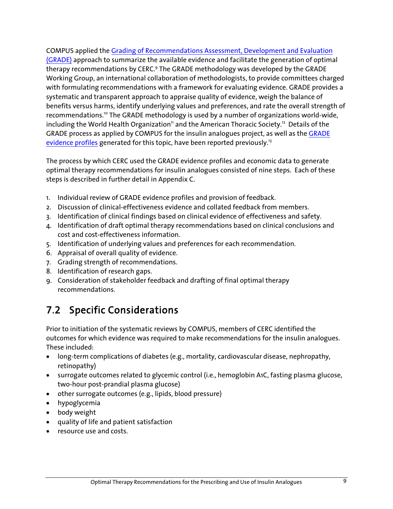COMPUS applied the Grading of Recommendations Assessment, Development and Evaluation (GRADE) approach to summarize the available evidence and facilitate the generation of optimal therapy recommendations by CERC.<sup>9</sup> The GRADE methodology was developed by the GRADE Working Group, an international collaboration of methodologists, to provide committees charged with formulating recommendations with a framework for evaluating evidence. GRADE provides a systematic and transparent approach to appraise quality of evidence, weigh the balance of benefits versus harms, identify underlying values and preferences, and rate the overall strength of recommendations.10 The GRADE methodology is used by a number of organizations world-wide, including the World Health Organization<sup>11</sup> and the American Thoracic Society.<sup>12</sup> Details of the GRADE process as applied by COMPUS for the insulin analogues project, as well as the GRADE evidence profiles generated for this topic, have been reported previously.<sup>13</sup>

The process by which CERC used the GRADE evidence profiles and economic data to generate optimal therapy recommendations for insulin analogues consisted of nine steps. Each of these steps is described in further detail in Appendix C.

- 1. Individual review of GRADE evidence profiles and provision of feedback.
- 2. Discussion of clinical-effectiveness evidence and collated feedback from members.
- 3. Identification of clinical findings based on clinical evidence of effectiveness and safety.
- 4. Identification of draft optimal therapy recommendations based on clinical conclusions and cost and cost-effectiveness information.
- 5. Identification of underlying values and preferences for each recommendation.
- 6. Appraisal of overall quality of evidence.
- 7. Grading strength of recommendations.
- 8. Identification of research gaps.
- 9. Consideration of stakeholder feedback and drafting of final optimal therapy recommendations.

## 7.2 Specific Considerations

Prior to initiation of the systematic reviews by COMPUS, members of CERC identified the outcomes for which evidence was required to make recommendations for the insulin analogues. These included:

- long-term complications of diabetes (e.g., mortality, cardiovascular disease, nephropathy, retinopathy)
- surrogate outcomes related to glycemic control (i.e., hemoglobin A1C, fasting plasma glucose, two-hour post-prandial plasma glucose)
- other surrogate outcomes (e.g., lipids, blood pressure)
- hypoglycemia
- body weight
- quality of life and patient satisfaction
- resource use and costs.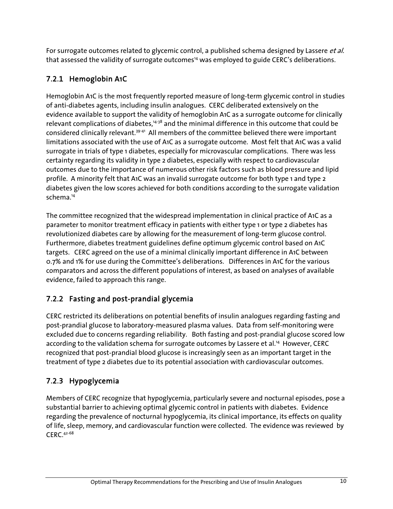For surrogate outcomes related to glycemic control, a published schema designed by Lassere et al. that assessed the validity of surrogate outcomes<sup>14</sup> was employed to guide CERC's deliberations.

## 7.2.1 Hemoglobin A1C

Hemoglobin A1C is the most frequently reported measure of long-term glycemic control in studies of anti-diabetes agents, including insulin analogues. CERC deliberated extensively on the evidence available to support the validity of hemoglobin A1C as a surrogate outcome for clinically relevant complications of diabetes,<sup>14-38</sup> and the minimal difference in this outcome that could be considered clinically relevant.39-41 All members of the committee believed there were important limitations associated with the use of A1C as a surrogate outcome. Most felt that A1C was a valid surrogate in trials of type 1 diabetes, especially for microvascular complications. There was less certainty regarding its validity in type 2 diabetes, especially with respect to cardiovascular outcomes due to the importance of numerous other risk factors such as blood pressure and lipid profile. A minority felt that A1C was an invalid surrogate outcome for both type 1 and type 2 diabetes given the low scores achieved for both conditions according to the surrogate validation schema.14

The committee recognized that the widespread implementation in clinical practice of A1C as a parameter to monitor treatment efficacy in patients with either type 1 or type 2 diabetes has revolutionized diabetes care by allowing for the measurement of long-term glucose control. Furthermore, diabetes treatment guidelines define optimum glycemic control based on A1C targets. CERC agreed on the use of a minimal clinically important difference in A1C between 0.7% and 1% for use during the Committee's deliberations. Differences in A1C for the various comparators and across the different populations of interest, as based on analyses of available evidence, failed to approach this range.

## 7.2.2 Fasting and post-prandial glycemia

CERC restricted its deliberations on potential benefits of insulin analogues regarding fasting and post-prandial glucose to laboratory-measured plasma values. Data from self-monitoring were excluded due to concerns regarding reliability. Both fasting and post-prandial glucose scored low according to the validation schema for surrogate outcomes by Lassere et al.<sup>14</sup> However, CERC recognized that post-prandial blood glucose is increasingly seen as an important target in the treatment of type 2 diabetes due to its potential association with cardiovascular outcomes.

## 7.2.3 Hypoglycemia

Members of CERC recognize that hypoglycemia, particularly severe and nocturnal episodes, pose a substantial barrier to achieving optimal glycemic control in patients with diabetes. Evidence regarding the prevalence of nocturnal hypoglycemia, its clinical importance, its effects on quality of life, sleep, memory, and cardiovascular function were collected. The evidence was reviewed by CERC.42-68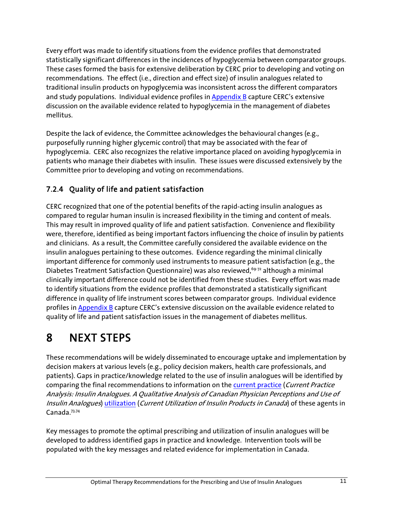Every effort was made to identify situations from the evidence profiles that demonstrated statistically significant differences in the incidences of hypoglycemia between comparator groups. These cases formed the basis for extensive deliberation by CERC prior to developing and voting on recommendations. The effect (i.e., direction and effect size) of insulin analogues related to traditional insulin products on hypoglycemia was inconsistent across the different comparators and study populations. Individual evidence profiles in Appendix B capture CERC's extensive discussion on the available evidence related to hypoglycemia in the management of diabetes mellitus.

Despite the lack of evidence, the Committee acknowledges the behavioural changes (e.g., purposefully running higher glycemic control) that may be associated with the fear of hypoglycemia. CERC also recognizes the relative importance placed on avoiding hypoglycemia in patients who manage their diabetes with insulin. These issues were discussed extensively by the Committee prior to developing and voting on recommendations.

### 7.2.4 Quality of life and patient satisfaction

CERC recognized that one of the potential benefits of the rapid-acting insulin analogues as compared to regular human insulin is increased flexibility in the timing and content of meals. This may result in improved quality of life and patient satisfaction. Convenience and flexibility were, therefore, identified as being important factors influencing the choice of insulin by patients and clinicians. As a result, the Committee carefully considered the available evidence on the insulin analogues pertaining to these outcomes. Evidence regarding the minimal clinically important difference for commonly used instruments to measure patient satisfaction (e.g., the Diabetes Treatment Satisfaction Questionnaire) was also reviewed,<sup>69-72</sup> although a minimal clinically important difference could not be identified from these studies. Every effort was made to identify situations from the evidence profiles that demonstrated a statistically significant difference in quality of life instrument scores between comparator groups. Individual evidence profiles in Appendix B capture CERC's extensive discussion on the available evidence related to quality of life and patient satisfaction issues in the management of diabetes mellitus.

# 8 NEXT STEPS

These recommendations will be widely disseminated to encourage uptake and implementation by decision makers at various levels (e.g., policy decision makers, health care professionals, and patients). Gaps in practice/knowledge related to the use of insulin analogues will be identified by comparing the final recommendations to information on the current practice (Current Practice Analysis: Insulin Analogues. A Qualitative Analysis of Canadian Physician Perceptions and Use of Insulin Analogues) utilization (Current Utilization of Insulin Products in Canada) of these agents in Canada.73,74

Key messages to promote the optimal prescribing and utilization of insulin analogues will be developed to address identified gaps in practice and knowledge. Intervention tools will be populated with the key messages and related evidence for implementation in Canada.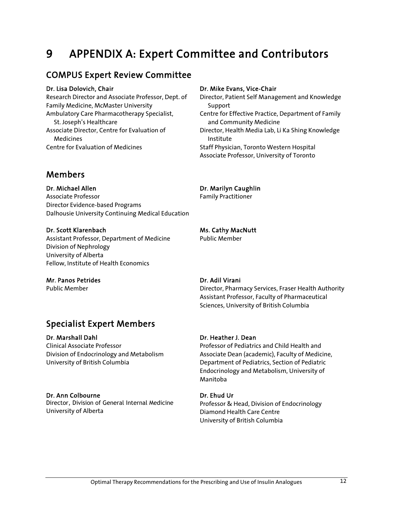## 9 APPENDIX A: Expert Committee and Contributors

### COMPUS Expert Review Committee

#### Dr. Lisa Dolovich, Chair

Research Director and Associate Professor, Dept. of Family Medicine, McMaster University Ambulatory Care Pharmacotherapy Specialist, St. Joseph's Healthcare Associate Director, Centre for Evaluation of Medicines Centre for Evaluation of Medicines

### Members

Dr. Michael Allen Associate Professor Director Evidence-based Programs Dalhousie University Continuing Medical Education

#### Dr. Scott Klarenbach

Assistant Professor, Department of Medicine Division of Nephrology University of Alberta Fellow, Institute of Health Economics

#### Mr. Panos Petrides

Public Member

### Specialist Expert Members

#### Dr. Marshall Dahl

Clinical Associate Professor Division of Endocrinology and Metabolism University of British Columbia

#### Dr. Ann Colbourne

Director, Division of General Internal Medicine University of Alberta

#### Dr. Mike Evans, Vice-Chair

Director, Patient Self Management and Knowledge Support Centre for Effective Practice, Department of Family and Community Medicine Director, Health Media Lab, Li Ka Shing Knowledge Institute Staff Physician, Toronto Western Hospital

Associate Professor, University of Toronto

## Dr. Marilyn Caughlin

Family Practitioner

#### Ms. Cathy MacNutt

Public Member

#### Dr. Adil Virani

Director, Pharmacy Services, Fraser Health Authority Assistant Professor, Faculty of Pharmaceutical Sciences, University of British Columbia

#### Dr. Heather J. Dean

Professor of Pediatrics and Child Health and Associate Dean (academic), Faculty of Medicine, Department of Pediatrics, Section of Pediatric Endocrinology and Metabolism, University of Manitoba

#### Dr. Ehud Ur

Professor & Head, Division of Endocrinology Diamond Health Care Centre University of British Columbia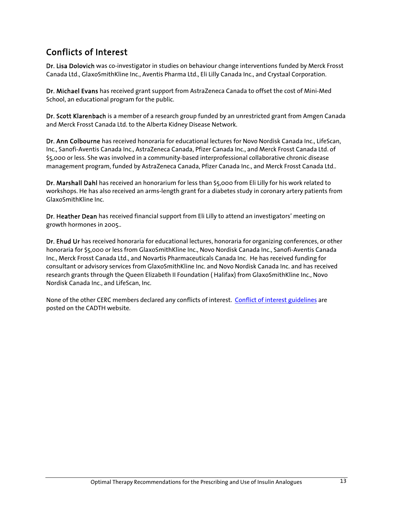## Conflicts of Interest

Dr. Lisa Dolovich was co-investigator in studies on behaviour change interventions funded by Merck Frosst Canada Ltd., GlaxoSmithKline Inc., Aventis Pharma Ltd., Eli Lilly Canada Inc., and Crystaal Corporation.

Dr. Michael Evans has received grant support from AstraZeneca Canada to offset the cost of Mini-Med School, an educational program for the public.

Dr. Scott Klarenbach is a member of a research group funded by an unrestricted grant from Amgen Canada and Merck Frosst Canada Ltd. to the Alberta Kidney Disease Network.

Dr. Ann Colbourne has received honoraria for educational lectures for Novo Nordisk Canada Inc., LifeScan, Inc., Sanofi-Aventis Canada Inc., AstraZeneca Canada, Pfizer Canada Inc., and Merck Frosst Canada Ltd. of \$5,000 or less. She was involved in a community-based interprofessional collaborative chronic disease management program, funded by AstraZeneca Canada, Pfizer Canada Inc., and Merck Frosst Canada Ltd..

Dr. Marshall Dahl has received an honorarium for less than \$5,000 from Eli Lilly for his work related to workshops. He has also received an arms-length grant for a diabetes study in coronary artery patients from GlaxoSmithKline Inc.

Dr. Heather Dean has received financial support from Eli Lilly to attend an investigators' meeting on growth hormones in 2005..

Dr. Ehud Ur has received honoraria for educational lectures, honoraria for organizing conferences, or other honoraria for \$5,000 or less from GlaxoSmithKline Inc., Novo Nordisk Canada Inc., Sanofi-Aventis Canada Inc., Merck Frosst Canada Ltd., and Novartis Pharmaceuticals Canada Inc. He has received funding for consultant or advisory services from GlaxoSmithKline Inc. and Novo Nordisk Canada Inc. and has received research grants through the Queen Elizabeth II Foundation ( Halifax) from GlaxoSmithKline Inc., Novo Nordisk Canada Inc., and LifeScan, Inc.

None of the other CERC members declared any conflicts of interest. Conflict of interest guidelines are posted on the CADTH website.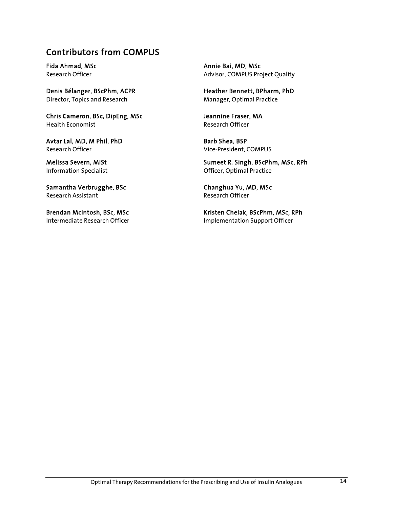### Contributors from COMPUS

Fida Ahmad, MSc Research Officer

Denis Bélanger, BScPhm, ACPR Director, Topics and Research

Chris Cameron, BSc, DipEng, MSc Health Economist

Avtar Lal, MD, M Phil, PhD Research Officer

Melissa Severn, MISt Information Specialist

Samantha Verbrugghe, BSc Research Assistant

Brendan McIntosh, BSc, MSc Intermediate Research Officer Annie Bai, MD, MSc Advisor, COMPUS Project Quality

Heather Bennett, BPharm, PhD Manager, Optimal Practice

Jeannine Fraser, MA Research Officer

Barb Shea, BSP Vice-President, COMPUS

Sumeet R. Singh, BScPhm, MSc, RPh Officer, Optimal Practice

Changhua Yu, MD, MSc Research Officer

Kristen Chelak, BScPhm, MSc, RPh Implementation Support Officer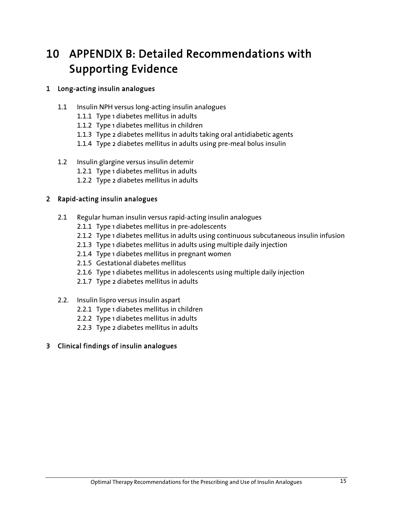# 10 APPENDIX B: Detailed Recommendations with Supporting Evidence

### 1 Long-acting insulin analogues

- 1.1 Insulin NPH versus long-acting insulin analogues
	- 1.1.1 Type 1 diabetes mellitus in adults
	- 1.1.2 Type 1 diabetes mellitus in children
	- 1.1.3 Type 2 diabetes mellitus in adults taking oral antidiabetic agents
	- 1.1.4 Type 2 diabetes mellitus in adults using pre-meal bolus insulin
- 1.2 Insulin glargine versus insulin detemir
	- 1.2.1 Type 1 diabetes mellitus in adults
	- 1.2.2 Type 2 diabetes mellitus in adults

### 2 Rapid-acting insulin analogues

- 2.1 Regular human insulin versus rapid-acting insulin analogues
	- 2.1.1 Type 1 diabetes mellitus in pre-adolescents
	- 2.1.2 Type 1 diabetes mellitus in adults using continuous subcutaneous insulin infusion
	- 2.1.3 Type 1 diabetes mellitus in adults using multiple daily injection
	- 2.1.4 Type 1 diabetes mellitus in pregnant women
	- 2.1.5 Gestational diabetes mellitus
	- 2.1.6 Type 1 diabetes mellitus in adolescents using multiple daily injection
	- 2.1.7 Type 2 diabetes mellitus in adults
- 2.2. Insulin lispro versus insulin aspart
	- 2.2.1 Type 1 diabetes mellitus in children
	- 2.2.2 Type 1 diabetes mellitus in adults
	- 2.2.3 Type 2 diabetes mellitus in adults

### 3 Clinical findings of insulin analogues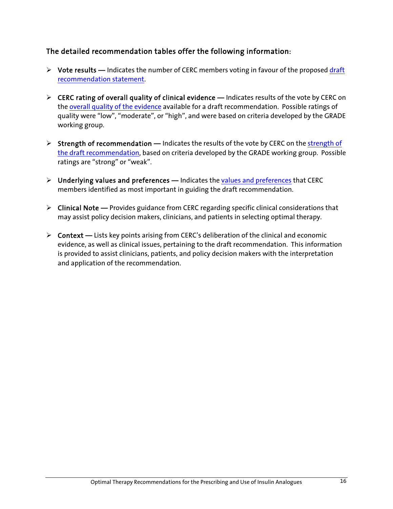### The detailed recommendation tables offer the following information:

- ¾ Vote results **—** Indicates the number of CERC members voting in favour of the proposed draft recommendation statement.
- ¾ CERC rating of overall quality of clinical evidence **—** Indicates results of the vote by CERC on the overall quality of the evidence available for a draft recommendation. Possible ratings of quality were "low", "moderate", or "high", and were based on criteria developed by the GRADE working group.
- ¾ Strength of recommendation **—** Indicates the results of the vote by CERC on the strength of the draft recommendation, based on criteria developed by the GRADE working group. Possible ratings are "strong" or "weak".
- ¾ Underlying values and preferences **—** Indicates the values and preferences that CERC members identified as most important in guiding the draft recommendation.
- ¾ Clinical Note **—** Provides guidance from CERC regarding specific clinical considerations that may assist policy decision makers, clinicians, and patients in selecting optimal therapy.
- ¾ Context **—** Lists key points arising from CERC's deliberation of the clinical and economic evidence, as well as clinical issues, pertaining to the draft recommendation. This information is provided to assist clinicians, patients, and policy decision makers with the interpretation and application of the recommendation.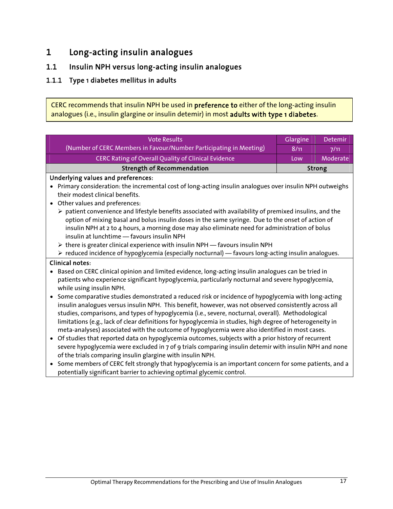## 1 Long-acting insulin analogues

### 1.1 Insulin NPH versus long-acting insulin analogues

### 1.1.1 Type 1 diabetes mellitus in adults

CERC recommends that insulin NPH be used in preference to either of the long-acting insulin analogues (i.e., insulin glargine or insulin detemir) in most adults with type 1 diabetes.

| <b>Vote Results</b>                                                                                                           | Glargine | Detemir  |
|-------------------------------------------------------------------------------------------------------------------------------|----------|----------|
| (Number of CERC Members in Favour/Number Participating in Meeting)                                                            | 8/11     | 7/11     |
| <b>CERC Rating of Overall Quality of Clinical Evidence</b>                                                                    | Low      | Moderate |
| <b>Strength of Recommendation</b><br><b>Strong</b>                                                                            |          |          |
| Underlying values and preferences:                                                                                            |          |          |
| Primary consideration: the incremental cost of long-acting insulin analogues over insulin NPH outweighs                       |          |          |
| their modest clinical benefits.                                                                                               |          |          |
| Other values and preferences:                                                                                                 |          |          |
| $\triangleright$ patient convenience and lifestyle benefits associated with availability of premixed insulins, and the        |          |          |
| option of mixing basal and bolus insulin doses in the same syringe. Due to the onset of action of                             |          |          |
| insulin NPH at 2 to 4 hours, a morning dose may also eliminate need for administration of bolus                               |          |          |
| insulin at lunchtime - favours insulin NPH                                                                                    |          |          |
| > there is greater clinical experience with insulin NPH - favours insulin NPH                                                 |          |          |
| > reduced incidence of hypoglycemia (especially nocturnal) - favours long-acting insulin analogues.                           |          |          |
| <b>Clinical notes:</b>                                                                                                        |          |          |
| Based on CERC clinical opinion and limited evidence, long-acting insulin analogues can be tried in                            |          |          |
| patients who experience significant hypoglycemia, particularly nocturnal and severe hypoglycemia,<br>while using insulin NPH. |          |          |
| Some comparative studies demonstrated a reduced risk or incidence of hypoglycemia with long-acting<br>$\bullet$               |          |          |
| insulin analogues versus insulin NPH. This benefit, however, was not observed consistently across all                         |          |          |
| studies, comparisons, and types of hypoglycemia (i.e., severe, nocturnal, overall). Methodological                            |          |          |
| limitations (e.g., lack of clear definitions for hypoglycemia in studies, high degree of heterogeneity in                     |          |          |
| meta-analyses) associated with the outcome of hypoglycemia were also identified in most cases.                                |          |          |
| Of studies that reported data on hypoglycemia outcomes, subjects with a prior history of recurrent<br>$\bullet$               |          |          |
| severe hypoglycemia were excluded in 7 of 9 trials comparing insulin detemir with insulin NPH and none                        |          |          |
| of the trials comparing insulin glargine with insulin NPH.                                                                    |          |          |
| Some members of CERC felt strongly that hypoglycemia is an important concern for some patients, and a<br>$\bullet$            |          |          |
| potentially significant barrier to achieving optimal glycemic control.                                                        |          |          |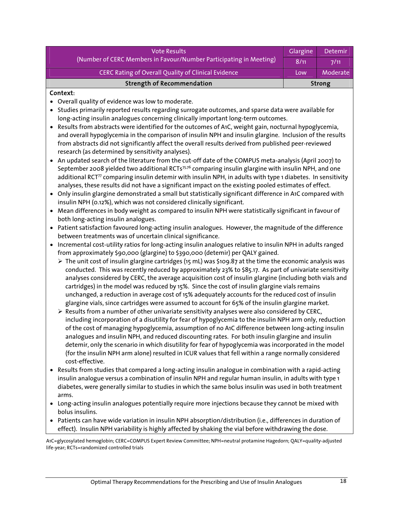| <b>Strength of Recommendation</b>                                  |          | <b>Strong</b> |
|--------------------------------------------------------------------|----------|---------------|
| <b>CERC Rating of Overall Quality of Clinical Evidence</b>         | Low      | Moderate      |
| (Number of CERC Members in Favour/Number Participating in Meeting) |          | 7/11          |
| <b>Vote Results</b>                                                | Glargine | Detemir       |

#### Context:

- Overall quality of evidence was low to moderate.
- Studies primarily reported results regarding surrogate outcomes, and sparse data were available for long-acting insulin analogues concerning clinically important long-term outcomes.
- Results from abstracts were identified for the outcomes of A1C, weight gain, nocturnal hypoglycemia, and overall hypoglycemia in the comparison of insulin NPH and insulin glargine. Inclusion of the results from abstracts did not significantly affect the overall results derived from published peer-reviewed research (as determined by sensitivity analyses).
- An updated search of the literature from the cut-off date of the COMPUS meta-analysis (April 2007) to September 2008 yielded two additional RCTs<sup>75,76</sup> comparing insulin glargine with insulin NPH, and one additional RCT<sup>77</sup> comparing insulin detemir with insulin NPH, in adults with type 1 diabetes. In sensitivity analyses, these results did not have a significant impact on the existing pooled estimates of effect.
- Only insulin glargine demonstrated a small but statistically significant difference in A1C compared with insulin NPH (0.12%), which was not considered clinically significant.
- Mean differences in body weight as compared to insulin NPH were statistically significant in favour of both long-acting insulin analogues.
- Patient satisfaction favoured long-acting insulin analogues. However, the magnitude of the difference between treatments was of uncertain clinical significance.
- Incremental cost-utility ratios for long-acting insulin analogues relative to insulin NPH in adults ranged from approximately \$90,000 (glargine) to \$390,000 (detemir) per QALY gained.
	- $\triangleright$  The unit cost of insulin glargine cartridges (15 mL) was \$109.87 at the time the economic analysis was conducted. This was recently reduced by approximately 23% to \$85.17. As part of univariate sensitivity analyses considered by CERC, the average acquisition cost of insulin glargine (including both vials and cartridges) in the model was reduced by 15%. Since the cost of insulin glargine vials remains unchanged, a reduction in average cost of 15% adequately accounts for the reduced cost of insulin glargine vials, since cartridges were assumed to account for 65% of the insulin glargine market.
	- $\triangleright$  Results from a number of other univariate sensitivity analyses were also considered by CERC, including incorporation of a disutility for fear of hypoglycemia to the insulin NPH arm only, reduction of the cost of managing hypoglycemia, assumption of no A1C difference between long-acting insulin analogues and insulin NPH, and reduced discounting rates. For both insulin glargine and insulin detemir, only the scenario in which disutility for fear of hypoglycemia was incorporated in the model (for the insulin NPH arm alone) resulted in ICUR values that fell within a range normally considered cost-effective.
- Results from studies that compared a long-acting insulin analogue in combination with a rapid-acting insulin analogue versus a combination of insulin NPH and regular human insulin, in adults with type 1 diabetes, were generally similar to studies in which the same bolus insulin was used in both treatment arms.
- Long-acting insulin analogues potentially require more injections because they cannot be mixed with bolus insulins.
- Patients can have wide variation in insulin NPH absorption/distribution (i.e., differences in duration of effect). Insulin NPH variability is highly affected by shaking the vial before withdrawing the dose.

A1C=glycosylated hemoglobin; CERC=COMPUS Expert Review Committee; NPH=neutral protamine Hagedorn; QALY=quality-adjusted life-year; RCTs=randomized controlled trials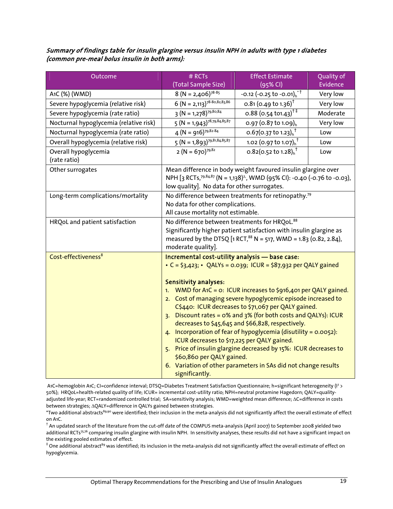#### Summary of findings table for insulin glargine versus insulin NPH in adults with type 1 diabetes (common pre-meal bolus insulin in both arms):

| Outcome                                | # RCTs                                                                                                                                                                                                                                                                                                                                                                                                                                                                                                                                                                                                                                                                                                                                                                                              | <b>Effect Estimate</b>                                                                                                                                             | Quality of |
|----------------------------------------|-----------------------------------------------------------------------------------------------------------------------------------------------------------------------------------------------------------------------------------------------------------------------------------------------------------------------------------------------------------------------------------------------------------------------------------------------------------------------------------------------------------------------------------------------------------------------------------------------------------------------------------------------------------------------------------------------------------------------------------------------------------------------------------------------------|--------------------------------------------------------------------------------------------------------------------------------------------------------------------|------------|
|                                        | (Total Sample Size)                                                                                                                                                                                                                                                                                                                                                                                                                                                                                                                                                                                                                                                                                                                                                                                 | $(95%$ CI)                                                                                                                                                         | Evidence   |
| A1C (%) (WMD)                          | $8 (N = 2,406)^{78-85}$                                                                                                                                                                                                                                                                                                                                                                                                                                                                                                                                                                                                                                                                                                                                                                             | $-0.12$ (-0.25 to $-0.01$ ) <sup>*</sup>                                                                                                                           | Very low   |
| Severe hypoglycemia (relative risk)    | $6 (N = 2,113)^{78-80,82,83,86}$                                                                                                                                                                                                                                                                                                                                                                                                                                                                                                                                                                                                                                                                                                                                                                    | $0.81$ (0.49 to 1.36) <sup>†</sup>                                                                                                                                 | Very low   |
| Severe hypoglycemia (rate ratio)       | $3 (N = 1,278)^{79,80,84}$                                                                                                                                                                                                                                                                                                                                                                                                                                                                                                                                                                                                                                                                                                                                                                          | 0.88 (0.54 to 1.43) <sup>†‡</sup>                                                                                                                                  | Moderate   |
| Nocturnal hypoglycemia (relative risk) | $5 (N = 1,943)^{78,79,84,85,87}$                                                                                                                                                                                                                                                                                                                                                                                                                                                                                                                                                                                                                                                                                                                                                                    | 0.97 (0.87 to 1.09) <sub>h</sub>                                                                                                                                   | Very low   |
| Nocturnal hypoglycemia (rate ratio)    | $4 (N = 916)^{79,82.84}$                                                                                                                                                                                                                                                                                                                                                                                                                                                                                                                                                                                                                                                                                                                                                                            | $\overline{0.67}$ (0.37 to 1.23) <sub>h</sub> <sup>T</sup>                                                                                                         | Low        |
| Overall hypoglycemia (relative risk)   | $5 (N = 1,893)^{79,81,84,85,87}$                                                                                                                                                                                                                                                                                                                                                                                                                                                                                                                                                                                                                                                                                                                                                                    | 1.02 (0.97 to 1.07) <sub>h</sub> <sup>†</sup>                                                                                                                      | Low        |
| Overall hypoglycemia<br>(rate ratio)   | $2 (N = 670)^{79.82}$                                                                                                                                                                                                                                                                                                                                                                                                                                                                                                                                                                                                                                                                                                                                                                               | 0.82(0.52 to 1.28) $h$ <sup>+</sup>                                                                                                                                | Low        |
| Other surrogates                       | low quality]. No data for other surrogates.                                                                                                                                                                                                                                                                                                                                                                                                                                                                                                                                                                                                                                                                                                                                                         | Mean difference in body weight favoured insulin glargine over<br>NPH [3 RCTs, <sup>79,84,87</sup> (N = 1,138) <sup>2</sup> , WMD (95% CI): -0.40 (-0.76 to -0.03), |            |
| Long-term complications/mortality      | No difference between treatments for retinopathy. <sup>79</sup><br>No data for other complications.<br>All cause mortality not estimable.                                                                                                                                                                                                                                                                                                                                                                                                                                                                                                                                                                                                                                                           |                                                                                                                                                                    |            |
| HRQoL and patient satisfaction         | No difference between treatments for HRQoL.88<br>Significantly higher patient satisfaction with insulin glargine as<br>measured by the DTSQ [1 RCT, $^{88}$ N = 517, WMD = 1.83 (0.82, 2.84),                                                                                                                                                                                                                                                                                                                                                                                                                                                                                                                                                                                                       |                                                                                                                                                                    |            |
| Cost-effectiveness <sup>8</sup>        | moderate quality].<br>Incremental cost-utility analysis - base case:<br>• C = \$3,423; • QALYs = 0.039; ICUR = \$87,932 per QALY gained<br><b>Sensitivity analyses:</b><br>1. WMD for A1C = 0: ICUR increases to \$916,401 per QALY gained.<br>2. Cost of managing severe hypoglycemic episode increased to<br>C\$440: ICUR decreases to \$71,067 per QALY gained.<br>3. Discount rates = 0% and 3% (for both costs and QALYs): ICUR<br>decreases to \$45,645 and \$66,828, respectively.<br>4. Incorporation of fear of hypoglycemia (disutility = $0.0052$ ):<br>ICUR decreases to \$17,225 per QALY gained.<br>5. Price of insulin glargine decreased by 15%: ICUR decreases to<br>\$60,860 per QALY gained.<br>6. Variation of other parameters in SAs did not change results<br>significantly. |                                                                                                                                                                    |            |

A1C=hemoglobin A1C; CI=confidence interval; DTSQ=Diabetes Treatment Satisfaction Questionnaire; h=significant heterogeneity (I<sup>2</sup> > 50%); HRQoL=health-related quality of life; ICUR= incremental cost-utility ratio; NPH=neutral protamine Hagedorn; QALY=qualityadjusted life-year; RCT=randomized controlled trial; SA=sensitivity analysis; WMD=weighted mean difference; ∆C=difference in costs between strategies; ∆QALY=difference in QALYs gained between strategies.

\*Two additional abstracts<sup>89,90</sup> were identified; their inclusion in the meta-analysis did not significantly affect the overall estimate of effect on A1C.

 $^\dagger$  An updated search of the literature from the cut-off date of the COMPUS meta-analysis (April 2007) to September 2008 yielded two additional RCTs<sup>75,76</sup> comparing insulin glargine with insulin NPH. In sensitivity analyses, these results did not have a significant impact on the existing pooled estimates of effect.

 $^\ddag$  One additional abstract $^{89}$  was identified; its inclusion in the meta-analysis did not significantly affect the overall estimate of effect on hypoglycemia.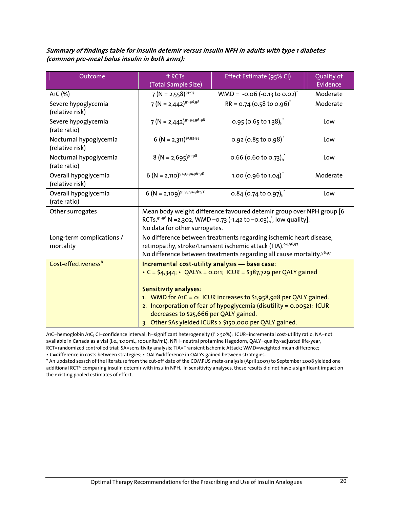#### Summary of findings table for insulin detemir versus insulin NPH in adults with type 1 diabetes (common pre-meal bolus insulin in both arms):

| Outcome                                   | $#$ RCTs<br>(Total Sample Size)                                                                                                                                                                                                                                                                                                                                                                          | Effect Estimate (95% CI)                      | Quality of<br>Evidence |  |
|-------------------------------------------|----------------------------------------------------------------------------------------------------------------------------------------------------------------------------------------------------------------------------------------------------------------------------------------------------------------------------------------------------------------------------------------------------------|-----------------------------------------------|------------------------|--|
| A <sub>1</sub> C (%)                      | $7 (N = 2,558)^{91-97}$                                                                                                                                                                                                                                                                                                                                                                                  | $WMD = -0.06 (-0.13 to 0.02)^{t}$             | Moderate               |  |
| Severe hypoglycemia<br>(relative risk)    | $7 (N = 2,442)^{91 \cdot 96,98}$                                                                                                                                                                                                                                                                                                                                                                         | $RR = 0.74$ (0.58 to 0.96) <sup>*</sup>       | Moderate               |  |
| Severe hypoglycemia<br>(rate ratio)       | $7 (N = 2,442)^{91-94,96-98}$                                                                                                                                                                                                                                                                                                                                                                            | 0.95 (0.65 to 1.38) $h^*$                     | Low                    |  |
| Nocturnal hypoglycemia<br>(relative risk) | $6 (N = 2,311)^{91,93\cdot97}$                                                                                                                                                                                                                                                                                                                                                                           | 0.92 (0.85 to 0.98) <sup>*</sup>              | Low                    |  |
| Nocturnal hypoglycemia<br>(rate ratio)    | $8 (N = 2,695)^{91-98}$                                                                                                                                                                                                                                                                                                                                                                                  | 0.66 (0.60 to 0.73) $h^*$                     | Low                    |  |
| Overall hypoglycemia<br>(relative risk)   | $6 (N = 2,110)^{91,93,94,96-98}$                                                                                                                                                                                                                                                                                                                                                                         | 1.00 (0.96 to 1.04) <sup>*</sup>              | Moderate               |  |
| Overall hypoglycemia<br>(rate ratio)      | $6 (N = 2,109)^{91,93,94,96-98}$                                                                                                                                                                                                                                                                                                                                                                         | 0.84 (0.74 to 0.97) <sub>h</sub> <sup>*</sup> | Low                    |  |
| Other surrogates                          | Mean body weight difference favoured detemir group over NPH group [6<br>RCTs, $91-96$ N = 2,302, WMD -0.73 (-1.42 to -0.03) <sub>h</sub> , low quality].<br>No data for other surrogates.                                                                                                                                                                                                                |                                               |                        |  |
| Long-term complications /<br>mortality    | No difference between treatments regarding ischemic heart disease,<br>retinopathy, stroke/transient ischemic attack (TIA). 94,96,97<br>No difference between treatments regarding all cause mortality. <sup>96,97</sup>                                                                                                                                                                                  |                                               |                        |  |
| Cost-effectiveness <sup>8</sup>           | Incremental cost-utility analysis - base case:<br>• C = \$4,344; • QALYs = 0.011; ICUR = \$387,729 per QALY gained<br><b>Sensitivity analyses:</b><br>1. WMD for A1C = 0: ICUR increases to \$1,958,928 per QALY gained.<br>2. Incorporation of fear of hypoglycemia (disutility = $0.0052$ ): ICUR<br>decreases to \$25,666 per QALY gained.<br>3. Other SAs yielded ICURs > \$150,000 per QALY gained. |                                               |                        |  |

A1C=hemoglobin A1C; CI=confidence interval; h=significant heterogeneity (I2 > 50%); ICUR=incremental cost-utility ratio; NA=not available in Canada as a vial (i.e., 1x10mL, 100units/mL); NPH=neutral protamine Hagedorn; QALY=quality-adjusted life-year; RCT=randomized controlled trial; SA=sensitivity analysis; TIA=Transient Ischemic Attack; WMD=weighted mean difference;

• C=difference in costs between strategies; • QALY=difference in QALYs gained between strategies.

\* An updated search of the literature from the cut-off date of the COMPUS meta-analysis (April 2007) to September 2008 yielded one additional RCT<sup>77</sup> comparing insulin detemir with insulin NPH. In sensitivity analyses, these results did not have a significant impact on the existing pooled estimates of effect.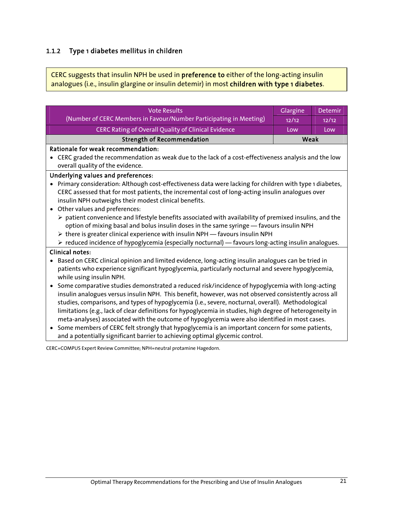### 1.1.2 Type 1 diabetes mellitus in children

CERC suggests that insulin NPH be used in preference to either of the long-acting insulin analogues (i.e., insulin glargine or insulin detemir) in most children with type 1 diabetes.

| <b>Vote Results</b>                                                                                                                                                                                                                                                                                                                                                                                                                                                                                                                                                                                                                                                                                                                             | Glargine | Detemir |  |
|-------------------------------------------------------------------------------------------------------------------------------------------------------------------------------------------------------------------------------------------------------------------------------------------------------------------------------------------------------------------------------------------------------------------------------------------------------------------------------------------------------------------------------------------------------------------------------------------------------------------------------------------------------------------------------------------------------------------------------------------------|----------|---------|--|
| (Number of CERC Members in Favour/Number Participating in Meeting)                                                                                                                                                                                                                                                                                                                                                                                                                                                                                                                                                                                                                                                                              | 12/12    | 12/12   |  |
| CERC Rating of Overall Quality of Clinical Evidence                                                                                                                                                                                                                                                                                                                                                                                                                                                                                                                                                                                                                                                                                             | Low      | Low     |  |
| <b>Strength of Recommendation</b><br>Weak                                                                                                                                                                                                                                                                                                                                                                                                                                                                                                                                                                                                                                                                                                       |          |         |  |
| Rationale for weak recommendation:                                                                                                                                                                                                                                                                                                                                                                                                                                                                                                                                                                                                                                                                                                              |          |         |  |
| • CERC graded the recommendation as weak due to the lack of a cost-effectiveness analysis and the low<br>overall quality of the evidence.                                                                                                                                                                                                                                                                                                                                                                                                                                                                                                                                                                                                       |          |         |  |
| Underlying values and preferences:                                                                                                                                                                                                                                                                                                                                                                                                                                                                                                                                                                                                                                                                                                              |          |         |  |
| Primary consideration: Although cost-effectiveness data were lacking for children with type 1 diabetes,<br>CERC assessed that for most patients, the incremental cost of long-acting insulin analogues over<br>insulin NPH outweighs their modest clinical benefits.<br>Other values and preferences:<br>$\bullet$<br>$\triangleright$ patient convenience and lifestyle benefits associated with availability of premixed insulins, and the<br>option of mixing basal and bolus insulin doses in the same syringe - favours insulin NPH<br>> there is greater clinical experience with insulin NPH - favours insulin NPH<br>$\triangleright$ reduced incidence of hypoglycemia (especially nocturnal) — favours long-acting insulin analogues. |          |         |  |
| <b>Clinical notes:</b>                                                                                                                                                                                                                                                                                                                                                                                                                                                                                                                                                                                                                                                                                                                          |          |         |  |
| Based on CERC clinical opinion and limited evidence, long-acting insulin analogues can be tried in<br>patients who experience significant hypoglycemia, particularly nocturnal and severe hypoglycemia,<br>while using insulin NPH.<br>Some comparative studies demonstrated a reduced risk/incidence of hypoglycemia with long-acting                                                                                                                                                                                                                                                                                                                                                                                                          |          |         |  |
| insulin analogues versus insulin NPH. This benefit, however, was not observed consistently across all<br>studies, comparisons, and types of hypoglycemia (i.e., severe, nocturnal, overall). Methodological<br>limitations (e.g., lack of clear definitions for hypoglycemia in studies, high degree of heterogeneity in<br>meta-analyses) associated with the outcome of hypoglycemia were also identified in most cases.<br>Some members of CERC felt strongly that hypoglycemia is an important concern for some patients,<br>$\bullet$<br>and a potentially significant barrier to achieving optimal glycemic control.                                                                                                                      |          |         |  |
| CEDC, COMBUC Evenit Boutant Composition, MBU, including involvement Ungerfalls                                                                                                                                                                                                                                                                                                                                                                                                                                                                                                                                                                                                                                                                  |          |         |  |

CERC=COMPUS Expert Review Committee; NPH=neutral protamine Hagedorn.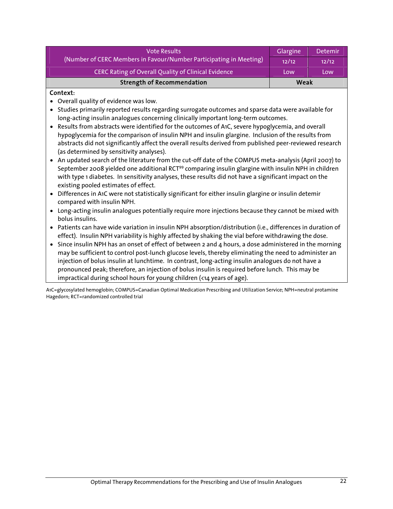| <b>Vote Results</b>                                                | Glargine | <b>Detemir</b> |
|--------------------------------------------------------------------|----------|----------------|
| (Number of CERC Members in Favour/Number Participating in Meeting) |          | 12/12          |
| <b>CERC Rating of Overall Quality of Clinical Evidence</b>         | Low      | Low            |
| <b>Strength of Recommendation</b>                                  | Weak     |                |

#### Context:

- Overall quality of evidence was low.
- Studies primarily reported results regarding surrogate outcomes and sparse data were available for long-acting insulin analogues concerning clinically important long-term outcomes.
- Results from abstracts were identified for the outcomes of A1C, severe hypoglycemia, and overall hypoglycemia for the comparison of insulin NPH and insulin glargine. Inclusion of the results from abstracts did not significantly affect the overall results derived from published peer-reviewed research (as determined by sensitivity analyses).
- An updated search of the literature from the cut-off date of the COMPUS meta-analysis (April 2007) to September 2008 yielded one additional RCT<sup>99</sup> comparing insulin glargine with insulin NPH in children with type 1 diabetes. In sensitivity analyses, these results did not have a significant impact on the existing pooled estimates of effect.
- Differences in A1C were not statistically significant for either insulin glargine or insulin detemir compared with insulin NPH.
- Long-acting insulin analogues potentially require more injections because they cannot be mixed with bolus insulins.
- Patients can have wide variation in insulin NPH absorption/distribution (i.e., differences in duration of effect). Insulin NPH variability is highly affected by shaking the vial before withdrawing the dose.
- Since insulin NPH has an onset of effect of between 2 and 4 hours, a dose administered in the morning may be sufficient to control post-lunch glucose levels, thereby eliminating the need to administer an injection of bolus insulin at lunchtime. In contrast, long-acting insulin analogues do not have a pronounced peak; therefore, an injection of bolus insulin is required before lunch. This may be impractical during school hours for young children (<14 years of age).

A1C=glycosylated hemoglobin; COMPUS=Canadian Optimal Medication Prescribing and Utilization Service; NPH=neutral protamine Hagedorn; RCT=randomized controlled trial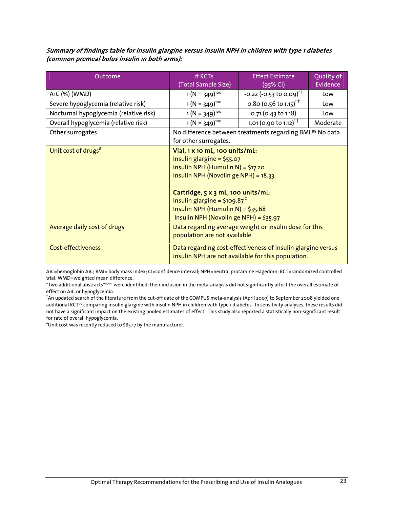#### Summary of findings table for insulin glargine versus insulin NPH in children with type 1 diabetes (common premeal bolus insulin in both arms):

| Outcome                                | $#$ RCTs<br>(Total Sample Size)                                                                                                                                                                                                                                                                                | <b>Effect Estimate</b><br>$(95%$ CI)                      | Quality of<br>Evidence |
|----------------------------------------|----------------------------------------------------------------------------------------------------------------------------------------------------------------------------------------------------------------------------------------------------------------------------------------------------------------|-----------------------------------------------------------|------------------------|
| A <sub>1</sub> C (%) (WMD)             | $1(N = 349)^{100}$                                                                                                                                                                                                                                                                                             | $-0.22$ (-0.53 to 0.09) <sup>*†</sup>                     | Low                    |
| Severe hypoglycemia (relative risk)    | $1(N = 349)^{100}$                                                                                                                                                                                                                                                                                             | 0.80 (0.56 to 1.15) <sup>*†</sup>                         | Low                    |
| Nocturnal hypoglycemia (relative risk) | $1(N = 349)^{100}$                                                                                                                                                                                                                                                                                             | 0.71 (0.43 to 1.18)                                       | Low                    |
| Overall hypoglycemia (relative risk)   | $1(N = 349)^{100}$                                                                                                                                                                                                                                                                                             | 1.01 (0.90 to 1.12) <sup><math>\dagger</math></sup>       | Moderate               |
| Other surrogates                       | for other surrogates.                                                                                                                                                                                                                                                                                          | No difference between treatments regarding BMI.99 No data |                        |
| Unit cost of drugs <sup>8</sup>        | Vial, 1 x 10 mL, 100 units/mL:<br>Insulin glargine = $$55.07$<br>Insulin NPH (Humulin N) = \$17.20<br>Insulin NPH (Novolin ge NPH) = 18.33<br>Cartridge, 5 x 3 mL, 100 units/mL:<br>Insulin glargine = $$109.87$ <sup>‡</sup><br>Insulin NPH (Humulin N) = $$35.68$<br>Insulin NPH (Novolin ge NPH) = $$35.97$ |                                                           |                        |
| Average daily cost of drugs            | Data regarding average weight or insulin dose for this<br>population are not available.                                                                                                                                                                                                                        |                                                           |                        |
| <b>Cost-effectiveness</b>              | Data regarding cost-effectiveness of insulin glargine versus<br>insulin NPH are not available for this population.                                                                                                                                                                                             |                                                           |                        |

A1C=hemoglobin A1C; BMI= body mass index; CI=confidence interval; NPH=neutral protamine Hagedorn; RCT=randomized controlled trial; WMD=weighted mean difference.

\*Two additional abstracts<sup>101,102</sup> were identified; their inclusion in the meta-analysis did not significantly affect the overall estimate of effect on A1C or hypoglycemia.

† An updated search of the literature from the cut-off date of the COMPUS meta-analysis (April 2007) to September 2008 yielded one additional RCT<sup>99</sup> comparing insulin glargine with insulin NPH in children with type 1 diabetes. In sensitivity analyses, these results did not have a significant impact on the existing pooled estimates of effect. This study also reported a statistically non-significant result for rate of overall hypoglycemia.

‡ Unit cost was recently reduced to \$85.17 by the manufacturer.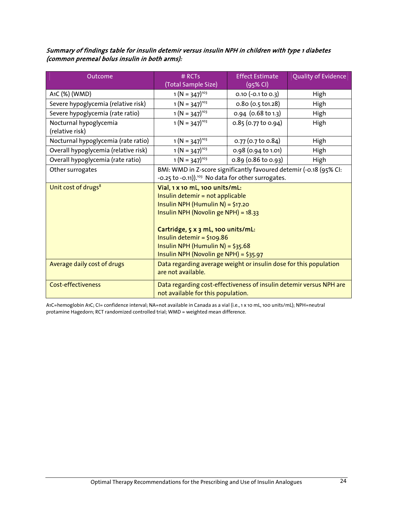Summary of findings table for insulin detemir versus insulin NPH in children with type 1 diabetes (common premeal bolus insulin in both arms):

| Outcome                                   | # RCTs                                                                                                                                                                                                                | <b>Effect Estimate</b> | Quality of Evidence |  |
|-------------------------------------------|-----------------------------------------------------------------------------------------------------------------------------------------------------------------------------------------------------------------------|------------------------|---------------------|--|
|                                           | (Total Sample Size)                                                                                                                                                                                                   | (95% CI)               |                     |  |
| A1C (%) (WMD)                             | $1(N = 347)^{103}$                                                                                                                                                                                                    | $0.10 (-0.1 to 0.3)$   | High                |  |
| Severe hypoglycemia (relative risk)       | $1(N = 347)^{103}$                                                                                                                                                                                                    | $0.80$ (0.5 t01.28)    | High                |  |
| Severe hypoglycemia (rate ratio)          | $1 (N = 347)^{103}$                                                                                                                                                                                                   | 0.94 (0.68 to 1.3)     | High                |  |
| Nocturnal hypoglycemia<br>(relative risk) | $1 (N = 347)^{103}$                                                                                                                                                                                                   | 0.85 (0.77 to 0.94)    | High                |  |
| Nocturnal hypoglycemia (rate ratio)       | $1 (N = 347)^{103}$                                                                                                                                                                                                   | 0.77 (0.7 to 0.84)     | High                |  |
| Overall hypoglycemia (relative risk)      | $1(N = 347)^{103}$                                                                                                                                                                                                    | 0.98 (0.94 to 1.01)    | High                |  |
| Overall hypoglycemia (rate ratio)         | $1(N = 347)^{103}$                                                                                                                                                                                                    | 0.89 (0.86 to 0.93)    | High                |  |
| Other surrogates                          | BMI: WMD in Z-score significantly favoured detemir (-0.18 (95% CI:                                                                                                                                                    |                        |                     |  |
|                                           | -0.25 to -0.11)). <sup>103</sup> No data for other surrogates.                                                                                                                                                        |                        |                     |  |
| Unit cost of drugs <sup>8</sup>           | Vial, 1 x 10 mL, 100 units/mL:<br>Insulin detemir = not applicable<br>Insulin NPH (Humulin N) = $$17.20$<br>Insulin NPH (Novolin ge NPH) = 18.33<br>Cartridge, 5 x 3 mL, 100 units/mL:<br>Insulin detemir = $$109.86$ |                        |                     |  |
|                                           | Insulin NPH (Humulin N) = $$35.68$<br>Insulin NPH (Novolin ge NPH) = $$35.97$                                                                                                                                         |                        |                     |  |
| Average daily cost of drugs               | Data regarding average weight or insulin dose for this population<br>are not available.                                                                                                                               |                        |                     |  |
| <b>Cost-effectiveness</b>                 | Data regarding cost-effectiveness of insulin detemir versus NPH are<br>not available for this population.                                                                                                             |                        |                     |  |

A1C=hemoglobin A1C; CI= confidence interval; NA=not available in Canada as a vial (i.e., 1 x 10 mL, 100 units/mL); NPH=neutral protamine Hagedorn; RCT randomized controlled trial; WMD = weighted mean difference.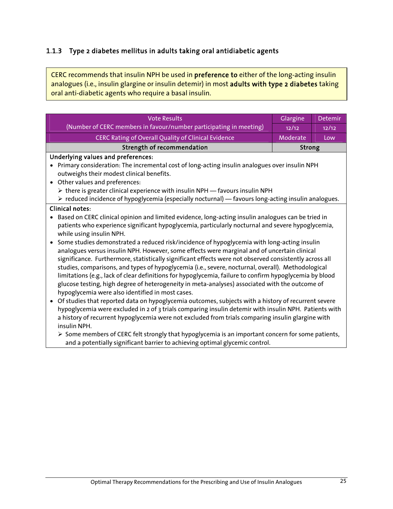### 1.1.3 Type 2 diabetes mellitus in adults taking oral antidiabetic agents

CERC recommends that insulin NPH be used in preference to either of the long-acting insulin analogues (i.e., insulin glargine or insulin detemir) in most adults with type 2 diabetes taking oral anti-diabetic agents who require a basal insulin.

| <b>Vote Results</b>                                                                                                |               | Detemir |  |
|--------------------------------------------------------------------------------------------------------------------|---------------|---------|--|
| (Number of CERC members in favour/number participating in meeting)                                                 | 12/12         | 12/12   |  |
| <b>CERC Rating of Overall Quality of Clinical Evidence</b>                                                         | Moderate      | Low     |  |
| <b>Strength of recommendation</b>                                                                                  | <b>Strong</b> |         |  |
| Underlying values and preferences:                                                                                 |               |         |  |
| Primary consideration: The incremental cost of long-acting insulin analogues over insulin NPH<br>$\bullet$         |               |         |  |
| outweighs their modest clinical benefits.                                                                          |               |         |  |
| Other values and preferences:<br>$\bullet$                                                                         |               |         |  |
| $\triangleright$ there is greater clinical experience with insulin NPH - favours insulin NPH                       |               |         |  |
| $\triangleright$ reduced incidence of hypoglycemia (especially nocturnal) — favours long-acting insulin analogues. |               |         |  |
| <b>Clinical notes:</b>                                                                                             |               |         |  |
| Based on CERC clinical opinion and limited evidence, long-acting insulin analogues can be tried in<br>$\bullet$    |               |         |  |
| patients who experience significant hypoglycemia, particularly nocturnal and severe hypoglycemia,                  |               |         |  |
| while using insulin NPH.                                                                                           |               |         |  |
| Some studies demonstrated a reduced risk/incidence of hypoglycemia with long-acting insulin<br>$\bullet$           |               |         |  |
| analogues versus insulin NPH. However, some effects were marginal and of uncertain clinical                        |               |         |  |
| significance. Furthermore, statistically significant effects were not observed consistently across all             |               |         |  |
| studies, comparisons, and types of hypoglycemia (i.e., severe, nocturnal, overall). Methodological                 |               |         |  |
| limitations (e.g., lack of clear definitions for hypoglycemia, failure to confirm hypoglycemia by blood            |               |         |  |
| glucose testing, high degree of heterogeneity in meta-analyses) associated with the outcome of                     |               |         |  |
| hypoglycemia were also identified in most cases.                                                                   |               |         |  |
| Of studies that reported data on hypoglycemia outcomes, subjects with a history of recurrent severe<br>$\bullet$   |               |         |  |
| hypoglycemia were excluded in 2 of 3 trials comparing insulin detemir with insulin NPH. Patients with              |               |         |  |
| a history of recurrent hypoglycemia were not excluded from trials comparing insulin glargine with                  |               |         |  |
| insulin NPH.                                                                                                       |               |         |  |
| $\triangleright$ Some members of CERC felt strongly that hypoglycemia is an important concern for some patients,   |               |         |  |

and a potentially significant barrier to achieving optimal glycemic control.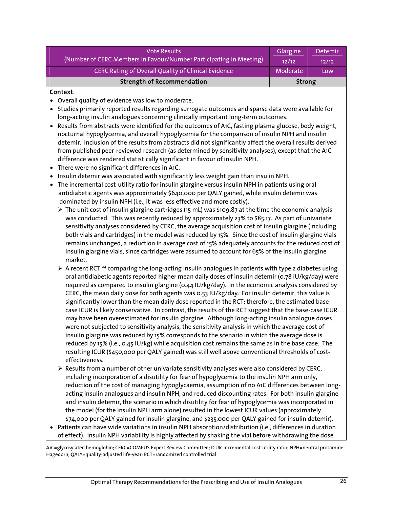| <b>Vote Results</b>                                                | Glargine | <b>Detemir</b> |
|--------------------------------------------------------------------|----------|----------------|
| (Number of CERC Members in Favour/Number Participating in Meeting) | 12/12    | 12/12          |
| CERC Rating of Overall Quality of Clinical Evidence                | Moderate | Low            |
| <b>Strength of Recommendation</b>                                  | Strong   |                |

#### Context:

- Overall quality of evidence was low to moderate.
- Studies primarily reported results regarding surrogate outcomes and sparse data were available for long-acting insulin analogues concerning clinically important long-term outcomes.
- Results from abstracts were identified for the outcomes of A1C, fasting plasma glucose, body weight, nocturnal hypoglycemia, and overall hypoglycemia for the comparison of insulin NPH and insulin detemir. Inclusion of the results from abstracts did not significantly affect the overall results derived from published peer-reviewed research (as determined by sensitivity analyses), except that the A1C difference was rendered statistically significant in favour of insulin NPH.
- There were no significant differences in A1C.
- Insulin detemir was associated with significantly less weight gain than insulin NPH.
- The incremental cost-utility ratio for insulin glargine versus insulin NPH in patients using oral antidiabetic agents was approximately \$640,000 per QALY gained, while insulin detemir was dominated by insulin NPH (i.e., it was less effective and more costly).
	- $\triangleright$  The unit cost of insulin glargine cartridges (15 mL) was \$109.87 at the time the economic analysis was conducted. This was recently reduced by approximately 23% to \$85.17. As part of univariate sensitivity analyses considered by CERC, the average acquisition cost of insulin glargine (including both vials and cartridges) in the model was reduced by 15%. Since the cost of insulin glargine vials remains unchanged, a reduction in average cost of 15% adequately accounts for the reduced cost of insulin glargine vials, since cartridges were assumed to account for 65% of the insulin glargine market.
	- $\triangleright$  A recent RCT<sup>104</sup> comparing the long-acting insulin analogues in patients with type 2 diabetes using oral antidiabetic agents reported higher mean daily doses of insulin detemir (0.78 IU/kg/day) were required as compared to insulin glargine (0.44 IU/kg/day). In the economic analysis considered by CERC, the mean daily dose for both agents was 0.53 IU/kg/day. For insulin detemir, this value is significantly lower than the mean daily dose reported in the RCT; therefore, the estimated basecase ICUR is likely conservative. In contrast, the results of the RCT suggest that the base-case ICUR may have been overestimated for insulin glargine. Although long-acting insulin analogue doses were not subjected to sensitivity analysis, the sensitivity analysis in which the average cost of insulin glargine was reduced by 15% corresponds to the scenario in which the average dose is reduced by 15% (i.e., 0.45 IU/kg) while acquisition cost remains the same as in the base case. The resulting ICUR (\$450,000 per QALY gained) was still well above conventional thresholds of costeffectiveness.
	- $\triangleright$  Results from a number of other univariate sensitivity analyses were also considered by CERC, including incorporation of a disutility for fear of hypoglycemia to the insulin NPH arm only, reduction of the cost of managing hypoglycaemia, assumption of no A1C differences between longacting insulin analogues and insulin NPH, and reduced discounting rates. For both insulin glargine and insulin detemir, the scenario in which disutility for fear of hypoglycemia was incorporated in the model (for the insulin NPH arm alone) resulted in the lowest ICUR values (approximately \$74,000 per QALY gained for insulin glargine, and \$235,000 per QALY gained for insulin detemir).
- Patients can have wide variations in insulin NPH absorption/distribution (i.e., differences in duration of effect). Insulin NPH variability is highly affected by shaking the vial before withdrawing the dose.

A1C=glycosylated hemoglobin; CERC=COMPUS Expert Review Committee; ICUR-incremental cost-utility ratio; NPH=neutral protamine Hagedorn; QALY=quality-adjusted life-year; RCT=randomized controlled trial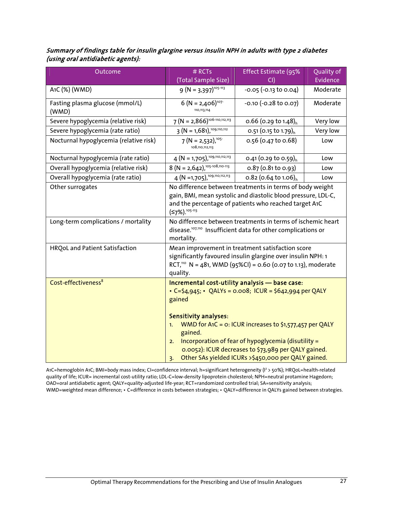#### Summary of findings table for insulin glargine versus insulin NPH in adults with type 2 diabetes (using oral antidiabetic agents):

| Outcome                                  | # RCTs                                                                                                                                                                                                                                                                                                                                                                                                                          | <b>Effect Estimate (95%</b>        | Quality of |
|------------------------------------------|---------------------------------------------------------------------------------------------------------------------------------------------------------------------------------------------------------------------------------------------------------------------------------------------------------------------------------------------------------------------------------------------------------------------------------|------------------------------------|------------|
|                                          | (Total Sample Size)                                                                                                                                                                                                                                                                                                                                                                                                             | CI)                                | Evidence   |
| A1C (%) (WMD)                            | $9 (N = 3,397)^{105-113}$                                                                                                                                                                                                                                                                                                                                                                                                       | $-0.05$ $(-0.13 \text{ to } 0.04)$ | Moderate   |
| Fasting plasma glucose (mmol/L)<br>(WMD) | $6 (N = 2,406)^{107}$<br>110, 113, 114                                                                                                                                                                                                                                                                                                                                                                                          | $-0.10$ $(-0.28$ to 0.07)          | Moderate   |
| Severe hypoglycemia (relative risk)      | $7 (N = 2,866)^{106-110,112,113}$                                                                                                                                                                                                                                                                                                                                                                                               | 0.66 (0.29 to 1.48) <sub>h</sub>   | Very low   |
| Severe hypoglycemia (rate ratio)         | $3 (N = 1,681)$ , 109, 110, 112                                                                                                                                                                                                                                                                                                                                                                                                 | 0.51 (0.15 to 1.79) <sub>h</sub>   | Very low   |
| Nocturnal hypoglycemia (relative risk)   | $7(N = 2,532),105$<br>108,110,112,113                                                                                                                                                                                                                                                                                                                                                                                           | 0.56 (0.47 to 0.68)                | Low        |
| Nocturnal hypoglycemia (rate ratio)      | $4 (N = 1,705),$ <sup>109,110,112,113</sup>                                                                                                                                                                                                                                                                                                                                                                                     | 0.41 (0.29 to 0.59) <sub>h</sub>   | Low        |
| Overall hypoglycemia (relative risk)     | $8 (N = 2,642),105-108,110-113$                                                                                                                                                                                                                                                                                                                                                                                                 | $0.87$ (0.81 to 0.93)              | Low        |
| Overall hypoglycemia (rate ratio)        | 4 (N = 1,705), <sup>109,110,112,113</sup>                                                                                                                                                                                                                                                                                                                                                                                       | 0.82 (0.64 to 1.06) <sub>h</sub>   | Low        |
| Other surrogates                         | No difference between treatments in terms of body weight<br>gain, BMI, mean systolic and diastolic blood pressure, LDL-C,<br>and the percentage of patients who reached target A1C<br>$(57\%)$ . <sup>105-113</sup>                                                                                                                                                                                                             |                                    |            |
| Long-term complications / mortality      | No difference between treatments in terms of ischemic heart<br>disease. <sup>107,110</sup> Insufficient data for other complications or<br>mortality.                                                                                                                                                                                                                                                                           |                                    |            |
| HRQoL and Patient Satisfaction           | Mean improvement in treatment satisfaction score<br>significantly favoured insulin glargine over insulin NPH: 1<br>RCT, <sup>110</sup> N = 481, WMD (95%CI) = 0.60 (0.07 to 1.13), moderate<br>quality.                                                                                                                                                                                                                         |                                    |            |
| Cost-effectiveness <sup>8</sup>          | Incremental cost-utility analysis - base case:<br>• C=\$4,945; • QALYs = 0.008; ICUR = \$642,994 per QALY<br>gained<br><b>Sensitivity analyses:</b><br>WMD for A1C = o: ICUR increases to \$1,577,457 per QALY<br>1.<br>gained.<br>Incorporation of fear of hypoglycemia (disutility =<br>2.<br>0.0052): ICUR decreases to \$73,989 per QALY gained.<br>Other SAs yielded ICURs >\$450,000 per QALY gained.<br>$\overline{3}$ . |                                    |            |

A1C=hemoglobin A1C; BMI=body mass index; CI=confidence interval; h=significant heterogeneity (I² > 50%); HRQoL=health-related quality of life; ICUR= incremental cost-utility ratio; LDL-C=low-density lipoprotein cholesterol; NPH=neutral protamine Hagedorn; OAD=oral antidiabetic agent; QALY=quality-adjusted life-year; RCT=randomized controlled trial; SA=sensitivity analysis; WMD=weighted mean difference; • C=difference in costs between strategies; • QALY=difference in QALYs gained between strategies.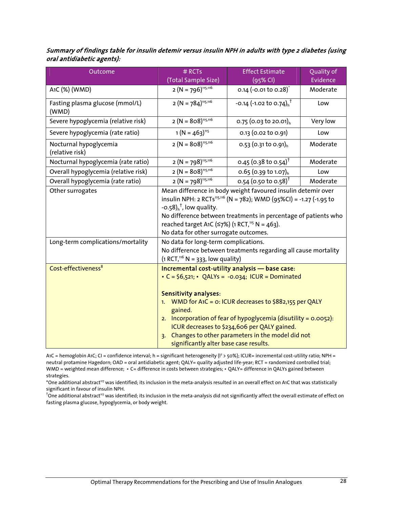| Summary of findings table for insulin detemir versus insulin NPH in adults with type 2 diabetes (using |  |
|--------------------------------------------------------------------------------------------------------|--|
| oral antidiabetic agents):                                                                             |  |

| Outcome                                   | # RCTs<br>(Total Sample Size)                                                                                                                                                                                                                                                                                                                                                                                                              | <b>Effect Estimate</b><br>(95% CI)  | Quality of<br>Evidence |
|-------------------------------------------|--------------------------------------------------------------------------------------------------------------------------------------------------------------------------------------------------------------------------------------------------------------------------------------------------------------------------------------------------------------------------------------------------------------------------------------------|-------------------------------------|------------------------|
| A <sub>1</sub> C (%) (WMD)                | $2 (N = 796)^{115,116}$                                                                                                                                                                                                                                                                                                                                                                                                                    | 0.14 $(-0.01 \text{ to } 0.28)^{*}$ | Moderate               |
| Fasting plasma glucose (mmol/L)<br>(WMD)  | $2 (N = 784)^{115,116}$                                                                                                                                                                                                                                                                                                                                                                                                                    | -0.14 (-1.02 to 0.74) <sup>1</sup>  | Low                    |
| Severe hypoglycemia (relative risk)       | $2 (N = 808)^{115,116}$                                                                                                                                                                                                                                                                                                                                                                                                                    | 0.75 (0.03 to 20.01) <sub>h</sub>   | Very low               |
| Severe hypoglycemia (rate ratio)          | $1 (N = 463)^{115}$                                                                                                                                                                                                                                                                                                                                                                                                                        | 0.13 (0.02 to 0.91)                 | Low                    |
| Nocturnal hypoglycemia<br>(relative risk) | $2 (N = 808)^{115,116}$                                                                                                                                                                                                                                                                                                                                                                                                                    | 0.53 (0.31 to 0.91) <sub>h</sub>    | Moderate               |
| Nocturnal hypoglycemia (rate ratio)       | $2 (N = 798)^{115,116}$                                                                                                                                                                                                                                                                                                                                                                                                                    | 0.45 (0.38 to 0.54) <sup>†</sup>    | Moderate               |
| Overall hypoglycemia (relative risk)      | $2 (N = 808)^{115,116}$                                                                                                                                                                                                                                                                                                                                                                                                                    | 0.65 (0.39 to 1.07) <sub>h</sub>    | Low                    |
| Overall hypoglycemia (rate ratio)         | $2 (N = 798)^{115,116}$                                                                                                                                                                                                                                                                                                                                                                                                                    | 0.54 (0.50 to 0.58) <sup>†</sup>    | Moderate               |
| Other surrogates                          | Mean difference in body weight favoured insulin detemir over<br>insulin NPH: 2 RCTs <sup>115,116</sup> (N = 782); WMD (95%CI) = -1.27 (-1.95 to<br>$-0.58$ ) <sup><math>†</math>, low quality.</sup><br>No difference between treatments in percentage of patients who<br>reached target A1C ( $\leq$ 7%) (1 RCT, <sup>115</sup> N = 463).<br>No data for other surrogate outcomes.                                                        |                                     |                        |
| Long-term complications/mortality         | No data for long-term complications.<br>No difference between treatments regarding all cause mortality<br>$(1 RCT)116 N = 333$ , low quality)                                                                                                                                                                                                                                                                                              |                                     |                        |
| Cost-effectiveness <sup>8</sup>           | Incremental cost-utility analysis - base case:<br>• $C = \frac{6}{521}$ ; • QALYs = -0.034; ICUR = Dominated<br><b>Sensitivity analyses:</b><br>1. WMD for A1C = 0: ICUR decreases to \$882,155 per QALY<br>gained.<br>2. Incorporation of fear of hypoglycemia (disutility = $0.0052$ ):<br>ICUR decreases to \$234,606 per QALY gained.<br>3. Changes to other parameters in the model did not<br>significantly alter base case results. |                                     |                        |

A1C = hemoglobin A1C; CI = confidence interval; h = significant heterogeneity (I² > 50%); ICUR= incremental cost-utility ratio; NPH = neutral protamine Hagedorn; OAD = oral antidiabetic agent; QALY= quality adjusted life-year; RCT = randomized controlled trial; WMD = weighted mean difference; • C= difference in costs between strategies; • QALY= difference in QALYs gained between strategies.

\*One additional abstract<sup>117</sup> was identified; its inclusion in the meta-analysis resulted in an overall effect on A1C that was statistically significant in favour of insulin NPH.

 $^\dagger$ One additional abstract"<sup>7</sup> was identified; its inclusion in the meta-analysis did not significantly affect the overall estimate of effect on fasting plasma glucose, hypoglycemia, or body weight.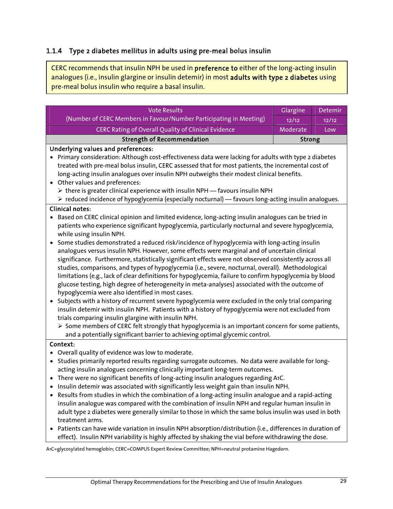## 1.1.4 Type 2 diabetes mellitus in adults using pre-meal bolus insulin

CERC recommends that insulin NPH be used in preference to either of the long-acting insulin analogues (i.e., insulin glargine or insulin detemir) in most adults with type 2 diabetes using pre-meal bolus insulin who require a basal insulin.

| <b>Vote Results</b>                                                                                             | Glargine      | Detemir |  |  |
|-----------------------------------------------------------------------------------------------------------------|---------------|---------|--|--|
| (Number of CERC Members in Favour/Number Participating in Meeting)                                              | 12/12         | 12/12   |  |  |
| CERC Rating of Overall Quality of Clinical Evidence                                                             | Moderate      | Low     |  |  |
| <b>Strength of Recommendation</b>                                                                               | <b>Strong</b> |         |  |  |
| <b>Underlying values and preferences:</b>                                                                       |               |         |  |  |
| • Primary consideration: Although cost-effectiveness data were lacking for adults with type 2 diabetes          |               |         |  |  |
| treated with pre-meal bolus insulin, CERC assessed that for most patients, the incremental cost of              |               |         |  |  |
| long-acting insulin analogues over insulin NPH outweighs their modest clinical benefits.                        |               |         |  |  |
| Other values and preferences:                                                                                   |               |         |  |  |
| > there is greater clinical experience with insulin NPH - favours insulin NPH                                   |               |         |  |  |
| > reduced incidence of hypoglycemia (especially nocturnal) - favours long-acting insulin analogues.             |               |         |  |  |
| <b>Clinical notes:</b>                                                                                          |               |         |  |  |
| Based on CERC clinical opinion and limited evidence, long-acting insulin analogues can be tried in              |               |         |  |  |
| patients who experience significant hypoglycemia, particularly nocturnal and severe hypoglycemia,               |               |         |  |  |
| while using insulin NPH.                                                                                        |               |         |  |  |
| Some studies demonstrated a reduced risk/incidence of hypoglycemia with long-acting insulin                     |               |         |  |  |
| analogues versus insulin NPH. However, some effects were marginal and of uncertain clinical                     |               |         |  |  |
| significance. Furthermore, statistically significant effects were not observed consistently across all          |               |         |  |  |
| studies, comparisons, and types of hypoglycemia (i.e., severe, nocturnal, overall). Methodological              |               |         |  |  |
| limitations (e.g., lack of clear definitions for hypoglycemia, failure to confirm hypoglycemia by blood         |               |         |  |  |
| glucose testing, high degree of heterogeneity in meta-analyses) associated with the outcome of                  |               |         |  |  |
| hypoglycemia were also identified in most cases.                                                                |               |         |  |  |
| Subjects with a history of recurrent severe hypoglycemia were excluded in the only trial comparing<br>$\bullet$ |               |         |  |  |
| insulin detemir with insulin NPH. Patients with a history of hypoglycemia were not excluded from                |               |         |  |  |
| trials comparing insulin glargine with insulin NPH.                                                             |               |         |  |  |
| > Some members of CERC felt strongly that hypoglycemia is an important concern for some patients,               |               |         |  |  |
| and a potentially significant barrier to achieving optimal glycemic control.                                    |               |         |  |  |
| Context:                                                                                                        |               |         |  |  |
| • Overall quality of evidence was low to moderate.                                                              |               |         |  |  |
| • Studies primarily reported results regarding surrogate outcomes. No data were available for long-             |               |         |  |  |
| acting insulin analogues concerning clinically important long-term outcomes.                                    |               |         |  |  |
| • There were no significant benefits of long-acting insulin analogues regarding A1C.                            |               |         |  |  |
| • Insulin detemir was associated with significantly less weight gain than insulin NPH.                          |               |         |  |  |
| • Results from studies in which the combination of a long-acting insulin analogue and a rapid-acting            |               |         |  |  |
| insulin analogue was compared with the combination of insulin NPH and regular human insulin in                  |               |         |  |  |
| adult type 2 diabetes were generally similar to those in which the same bolus insulin was used in both          |               |         |  |  |
| treatment arms.                                                                                                 |               |         |  |  |

• Patients can have wide variation in insulin NPH absorption/distribution (i.e., differences in duration of effect). Insulin NPH variability is highly affected by shaking the vial before withdrawing the dose.

A1C=glycosylated hemoglobin; CERC=COMPUS Expert Review Committee; NPH=neutral protamine Hagedorn.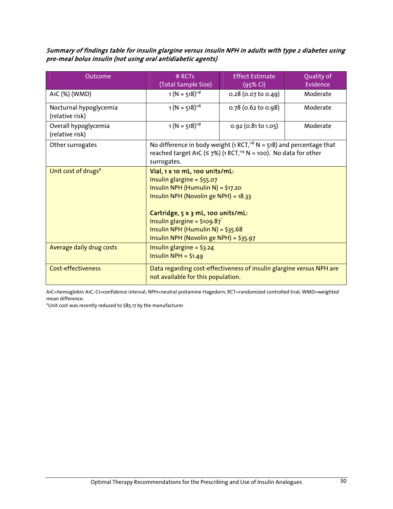Summary of findings table for insulin glargine versus insulin NPH in adults with type 2 diabetes using pre-meal bolus insulin (not using oral antidiabetic agents)

| Outcome                                   | # RCTs<br>(Total Sample Size)                                                                                                                                                                                                                                                                                   | <b>Effect Estimate</b><br>(95% CI) | Quality of<br>Evidence |
|-------------------------------------------|-----------------------------------------------------------------------------------------------------------------------------------------------------------------------------------------------------------------------------------------------------------------------------------------------------------------|------------------------------------|------------------------|
| A1C (%) (WMD)                             | $1 (N = 518)^{118}$                                                                                                                                                                                                                                                                                             | $0.28$ (0.07 to 0.49)              | Moderate               |
| Nocturnal hypoglycemia<br>(relative risk) | $1 (N = 518)^{118}$                                                                                                                                                                                                                                                                                             | $0.78$ (0.62 to 0.98)              | Moderate               |
| Overall hypoglycemia<br>(relative risk)   | $1 (N = 518)^{118}$                                                                                                                                                                                                                                                                                             | $0.92$ (0.81 to 1.05)              | Moderate               |
| Other surrogates                          | No difference in body weight (1 RCT, <sup>118</sup> N = 518) and percentage that<br>reached target A1C ( $\leq$ 7%) (1 RCT, <sup>119</sup> N = 100). No data for other<br>surrogates.                                                                                                                           |                                    |                        |
| Unit cost of drugs <sup>8</sup>           | Vial, 1 x 10 mL, 100 units/mL:<br>Insulin glargine = $$55.07$<br>Insulin NPH (Humulin N) = $$17.20$<br>Insulin NPH (Novolin ge NPH) = 18.33<br>Cartridge, 5 x 3 mL, 100 units/mL:<br>Insulin glargine = $$109.87$ <sup>*</sup><br>Insulin NPH (Humulin N) = $$35.68$<br>Insulin NPH (Novolin ge NPH) = $$35.97$ |                                    |                        |
| Average daily drug costs                  | Insulin glargine = $$3.24$<br>Insulin NPH = $$1.49$                                                                                                                                                                                                                                                             |                                    |                        |
| <b>Cost-effectiveness</b>                 | Data regarding cost-effectiveness of insulin glargine versus NPH are<br>not available for this population.                                                                                                                                                                                                      |                                    |                        |

A1C=hemoglobin A1C; CI=confidence interval; NPH=neutral protamine Hagedorn; RCT=randomized controlled trial; WMD=weighted mean difference.

\*Unit cost was recently reduced to \$85.17 by the manufacturer.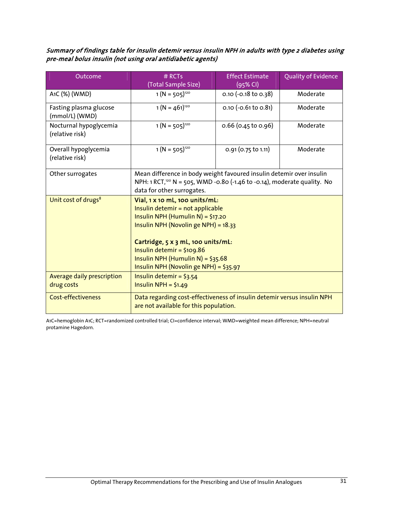Summary of findings table for insulin detemir versus insulin NPH in adults with type 2 diabetes using pre-meal bolus insulin (not using oral antidiabetic agents)

| Outcome                                   | # RCTs<br>(Total Sample Size)                                                                                                                                                                                                                                                                        | <b>Effect Estimate</b><br>$(95%$ CI) | Quality of Evidence |  |
|-------------------------------------------|------------------------------------------------------------------------------------------------------------------------------------------------------------------------------------------------------------------------------------------------------------------------------------------------------|--------------------------------------|---------------------|--|
| A1C (%) (WMD)                             | $1(N = 505)^{120}$                                                                                                                                                                                                                                                                                   | $0.10$ (-0.18 to 0.38)               | Moderate            |  |
|                                           |                                                                                                                                                                                                                                                                                                      |                                      |                     |  |
| Fasting plasma glucose<br>(mmol/L) (WMD)  | $1(N = 461)^{120}$                                                                                                                                                                                                                                                                                   | $0.10$ (-0.61 to 0.81)               | Moderate            |  |
| Nocturnal hypoglycemia<br>(relative risk) | $1 (N = 505)^{120}$                                                                                                                                                                                                                                                                                  | $0.66$ (0.45 to 0.96)                | Moderate            |  |
| Overall hypoglycemia<br>(relative risk)   | $1(N = 505)^{120}$                                                                                                                                                                                                                                                                                   | $0.91$ (0.75 to 1.11)                | Moderate            |  |
| Other surrogates                          | Mean difference in body weight favoured insulin detemir over insulin<br>NPH: 1 RCT, <sup>120</sup> N = 505, WMD -0.80 (-1.46 to -0.14), moderate quality. No<br>data for other surrogates.                                                                                                           |                                      |                     |  |
| Unit cost of drugs <sup>8</sup>           | Vial, 1 x 10 mL, 100 units/mL:<br>Insulin detemir = not applicable<br>Insulin NPH (Humulin N) = \$17.20<br>Insulin NPH (Novolin ge NPH) = 18.33<br>Cartridge, 5 x 3 mL, 100 units/mL:<br>Insulin detemir = $$109.86$<br>Insulin NPH (Humulin N) = $$35.68$<br>Insulin NPH (Novolin ge NPH) = \$35.97 |                                      |                     |  |
| Average daily prescription<br>drug costs  | Insulin detemir = $$3.54$<br>Insulin NPH = $$1.49$                                                                                                                                                                                                                                                   |                                      |                     |  |
| <b>Cost-effectiveness</b>                 | Data regarding cost-effectiveness of insulin detemir versus insulin NPH<br>are not available for this population.                                                                                                                                                                                    |                                      |                     |  |

A1C=hemoglobin A1C; RCT=randomized controlled trial; CI=confidence interval; WMD=weighted mean difference; NPH=neutral protamine Hagedorn.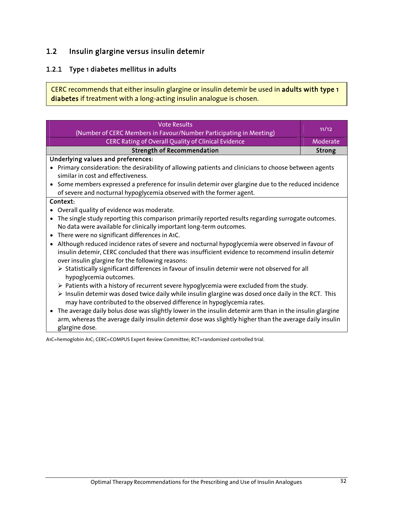# 1.2 Insulin glargine versus insulin detemir

## 1.2.1 Type 1 diabetes mellitus in adults

CERC recommends that either insulin glargine or insulin detemir be used in adults with type 1 diabetes if treatment with a long-acting insulin analogue is chosen.

| <b>Vote Results</b>                                                                                                                                                            | 11/12    |
|--------------------------------------------------------------------------------------------------------------------------------------------------------------------------------|----------|
| (Number of CERC Members in Favour/Number Participating in Meeting)                                                                                                             |          |
| CERC Rating of Overall Quality of Clinical Evidence                                                                                                                            | Moderate |
| <b>Strength of Recommendation</b>                                                                                                                                              | Strong   |
| <b>Underlying values and preferences:</b>                                                                                                                                      |          |
| Primary consideration: the desirability of allowing patients and clinicians to choose between agents                                                                           |          |
| similar in cost and effectiveness.                                                                                                                                             |          |
| • Some members expressed a preference for insulin detemir over glargine due to the reduced incidence                                                                           |          |
| of severe and nocturnal hypoglycemia observed with the former agent.                                                                                                           |          |
| Context:                                                                                                                                                                       |          |
| Overall quality of evidence was moderate.                                                                                                                                      |          |
| The single study reporting this comparison primarily reported results regarding surrogate outcomes.<br>$\bullet$                                                               |          |
| No data were available for clinically important long-term outcomes.                                                                                                            |          |
| There were no significant differences in A1C.<br>$\bullet$                                                                                                                     |          |
| Although reduced incidence rates of severe and nocturnal hypoglycemia were observed in favour of<br>$\bullet$                                                                  |          |
| insulin detemir, CERC concluded that there was insufficient evidence to recommend insulin detemir<br>over insulin glargine for the following reasons:                          |          |
| > Statistically significant differences in favour of insulin detemir were not observed for all<br>hypoglycemia outcomes.                                                       |          |
| $\triangleright$ Patients with a history of recurrent severe hypoglycemia were excluded from the study.                                                                        |          |
| > Insulin detemir was dosed twice daily while insulin glargine was dosed once daily in the RCT. This<br>may have contributed to the observed difference in hypoglycemia rates. |          |
| The average daily bolus dose was slightly lower in the insulin detemir arm than in the insulin glargine<br>$\bullet$                                                           |          |
| arm, whereas the average daily insulin detemir dose was slightly higher than the average daily insulin                                                                         |          |
| glargine dose.                                                                                                                                                                 |          |
| A1C=hemoglobin A1C: CERC=COMPUS Expert Review Committee: RCT=randomized controlled trial.                                                                                      |          |

A1C=hemoglobin A1C; CERC=COMPUS Expert Review Committee; RCT=randomized controlled trial.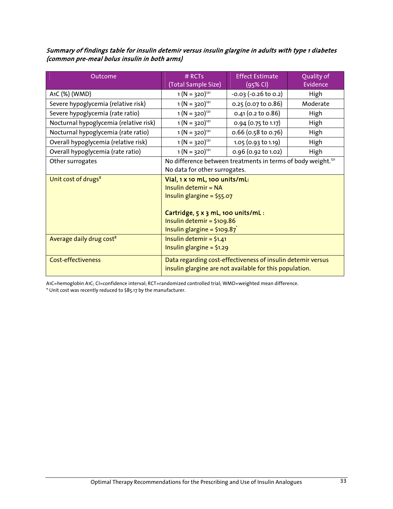#### Summary of findings table for insulin detemir versus insulin glargine in adults with type 1 diabetes (common pre-meal bolus insulin in both arms)

| Outcome                                | $#$ RCTs                                                                                                                                                                                                | <b>Effect Estimate</b>   | Quality of |
|----------------------------------------|---------------------------------------------------------------------------------------------------------------------------------------------------------------------------------------------------------|--------------------------|------------|
|                                        | (Total Sample Size)                                                                                                                                                                                     | (95% CI)                 | Evidence   |
| A <sub>1</sub> C (%) (WMD)             | $1(N = 320)^{121}$                                                                                                                                                                                      | $-0.03$ $(-0.26$ to 0.2) | High       |
| Severe hypoglycemia (relative risk)    | $1(N = 320)^{121}$                                                                                                                                                                                      | 0.25 (0.07 to 0.86)      | Moderate   |
| Severe hypoglycemia (rate ratio)       | $1(N = 320)^{121}$                                                                                                                                                                                      | $0.41$ (0.2 to 0.86)     | High       |
| Nocturnal hypoglycemia (relative risk) | $1(N = 320)^{121}$                                                                                                                                                                                      | 0.94 (0.75 to 1.17)      | High       |
| Nocturnal hypoglycemia (rate ratio)    | $1(N = 320)^{121}$                                                                                                                                                                                      | $0.66$ (0.58 to 0.76)    | High       |
| Overall hypoglycemia (relative risk)   | $1(N = 320)^{121}$                                                                                                                                                                                      | 1.05 (0.93 to 1.19)      | High       |
| Overall hypoglycemia (rate ratio)      | $1(N = 320)^{121}$                                                                                                                                                                                      | 0.96 (0.92 to 1.02)      | High       |
| Other surrogates                       | No difference between treatments in terms of body weight. <sup>121</sup><br>No data for other surrogates.                                                                                               |                          |            |
| Unit cost of drugs <sup>8</sup>        | Vial, 1 x 10 mL, 100 units/mL:<br>Insulin detemir = NA<br>Insulin glargine = $$55.07$<br>Cartridge, 5 x 3 mL, 100 units/mL:<br>Insulin detemir = $$109.86$<br>Insulin glargine = $$109.87$ <sup>*</sup> |                          |            |
| Average daily drug cost <sup>8</sup>   | Insulin detemir = $$1.41$<br>Insulin glargine = $$1.29$                                                                                                                                                 |                          |            |
| <b>Cost-effectiveness</b>              | Data regarding cost-effectiveness of insulin detemir versus<br>insulin glargine are not available for this population.                                                                                  |                          |            |

A1C=hemoglobin A1C; CI=confidence interval; RCT=randomized controlled trial; WMD=weighted mean difference.

\* Unit cost was recently reduced to \$85.17 by the manufacturer.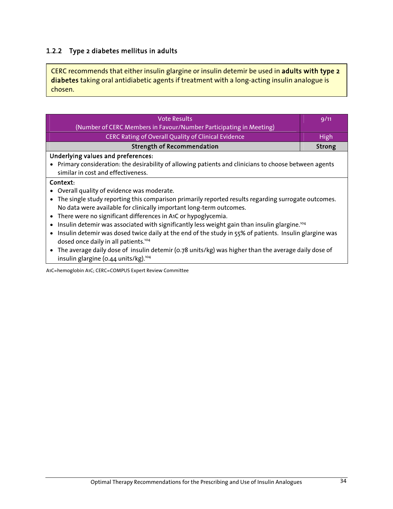## 1.2.2 Type 2 diabetes mellitus in adults

CERC recommends that either insulin glargine or insulin detemir be used in adults with type 2 diabetes taking oral antidiabetic agents if treatment with a long-acting insulin analogue is chosen.

| <b>Vote Results</b>                                                                                      | 9/11        |
|----------------------------------------------------------------------------------------------------------|-------------|
| (Number of CERC Members in Favour/Number Participating in Meeting)                                       |             |
| <b>CERC Rating of Overall Quality of Clinical Evidence</b>                                               | <b>High</b> |
| <b>Strength of Recommendation</b>                                                                        | Strong      |
| Underlying values and preferences:                                                                       |             |
| • Primary consideration: the desirability of allowing patients and clinicians to choose between agents   |             |
| similar in cost and effectiveness.                                                                       |             |
| Context:                                                                                                 |             |
| • Overall quality of evidence was moderate.                                                              |             |
| The single study reporting this comparison primarily reported results regarding surrogate outcomes.      |             |
| No data were available for clinically important long-term outcomes.                                      |             |
| • There were no significant differences in A1C or hypoglycemia.                                          |             |
| Insulin detemir was associated with significantly less weight gain than insulin glargine. <sup>104</sup> |             |
| • Insulin detemir was dosed twice daily at the end of the study in 55% of patients. Insulin glargine was |             |
| dosed once daily in all patients. <sup>104</sup>                                                         |             |
| • The average daily dose of insulin detemir (0.78 units/kg) was higher than the average daily dose of    |             |
| insulin glargine (0.44 units/kg). <sup>104</sup>                                                         |             |

A1C=hemoglobin A1C; CERC=COMPUS Expert Review Committee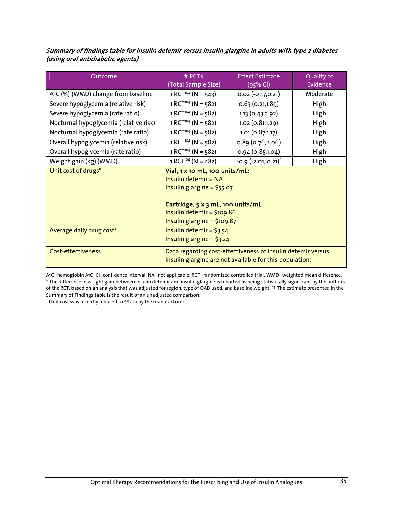#### Summary of findings table for insulin detemir versus insulin glargine in adults with type 2 diabetes (using oral antidiabetic agents)

| Outcome                                | $#$ RCTs<br>(Total Sample Size)                                                                                                                                                                         | <b>Effect Estimate</b><br>(95% CI) | Quality of<br>Evidence |
|----------------------------------------|---------------------------------------------------------------------------------------------------------------------------------------------------------------------------------------------------------|------------------------------------|------------------------|
| A1C (%) (WMD) change from baseline     | $1 RCT^{104} (N = 543)$                                                                                                                                                                                 | $0.02$ $(-0.17, 0.21)$             | Moderate               |
| Severe hypoglycemia (relative risk)    | $1 RCT^{104} (N = 582)$                                                                                                                                                                                 | 0.63(0.21, 1.89)                   | High                   |
| Severe hypoglycemia (rate ratio)       | $1 RCT^{104} (N = 582)$                                                                                                                                                                                 | 1.13(0.43, 2.92)                   | High                   |
| Nocturnal hypoglycemia (relative risk) | $1 RCT^{104} (N = 582)$                                                                                                                                                                                 | 1.02(0.81, 1.29)                   | High                   |
| Nocturnal hypoglycemia (rate ratio)    | $1 RCT^{104} (N = 582)$                                                                                                                                                                                 | 1.01(0.87, 1.17)                   | High                   |
| Overall hypoglycemia (relative risk)   | $1 RCT^{104} (N = 582)$                                                                                                                                                                                 | 0.89(0.76, 1.06)                   | High                   |
| Overall hypoglycemia (rate ratio)      | $1 RCT^{104} (N = 582)$                                                                                                                                                                                 | 0.94 (0.85,1.04)                   | High                   |
| Weight gain (kg) (WMD)                 | $1 RCT^{104} (N = 482)$                                                                                                                                                                                 | $-0.9$ $(-2.01, 0.21)^{*}$         | High                   |
| Unit cost of drugs <sup>8</sup>        | Vial, 1 x 10 mL, 100 units/mL:<br>Insulin detemir = NA<br>Insulin glargine = $$55.07$<br>Cartridge, 5 x 3 mL, 100 units/mL:<br>Insulin detemir = $$109.86$<br>Insulin glargine = $$109.87$ <sup>†</sup> |                                    |                        |
| Average daily drug cost <sup>8</sup>   | Insulin detemir = $$3.54$<br>Insulin glargine = $$3.24$                                                                                                                                                 |                                    |                        |
| <b>Cost-effectiveness</b>              | Data regarding cost-effectiveness of insulin detemir versus<br>insulin glargine are not available for this population.                                                                                  |                                    |                        |

A1C=hemoglobin A1C; CI=confidence interval; NA=not applicable; RCT=randomized controlled trial; WMD=weighted mean difference. \* The difference in weight gain between insulin detemir and insulin glargine is reported as being statistically significant by the authors of the RCT, based on an analysis that was adjusted for region, type of OAD used, and baseline weight.104 The estimate presented in the Summary of Findings table is the result of an unadjusted comparison.<br><sup>†</sup> Unit cost was recently reduced to \$85.17 by the manufacturer.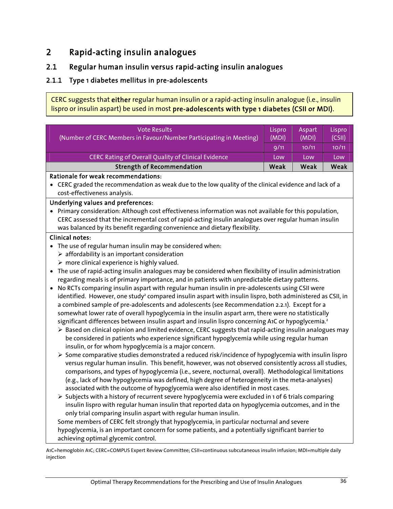## 2 Rapid-acting insulin analogues

## 2.1 Regular human insulin versus rapid-acting insulin analogues

### 2.1.1 Type 1 diabetes mellitus in pre-adolescents

CERC suggests that either regular human insulin or a rapid-acting insulin analogue (i.e., insulin lispro or insulin aspart) be used in most pre-adolescents with type 1 diabetes (CSII or MDI).

| <b>Vote Results</b>                                                | Lispro/ | Aspart | Lispro |  |
|--------------------------------------------------------------------|---------|--------|--------|--|
| (Number of CERC Members in Favour/Number Participating in Meeting) | (MDI)   | (MDI)  | (CSII) |  |
|                                                                    | 9/11    | 10/11  | 10/11  |  |
| CERC Rating of Overall Quality of Clinical Evidence                | Low     | Low    | Low    |  |
| <b>Strength of Recommendation</b>                                  | Weak    | Weak   | Weak   |  |
| Detianale formeal recommendations.                                 |         |        |        |  |

#### Rationale for weak recommendations:

• CERC graded the recommendation as weak due to the low quality of the clinical evidence and lack of a cost-effectiveness analysis.

#### Underlying values and preferences:

• Primary consideration: Although cost effectiveness information was not available for this population, CERC assessed that the incremental cost of rapid-acting insulin analogues over regular human insulin was balanced by its benefit regarding convenience and dietary flexibility.

#### Clinical notes:

- The use of regular human insulin may be considered when:
	- $\triangleright$  affordability is an important consideration
	- $\triangleright$  more clinical experience is highly valued.
- The use of rapid-acting insulin analogues may be considered when flexibility of insulin administration regarding meals is of primary importance, and in patients with unpredictable dietary patterns.
- No RCTs comparing insulin aspart with regular human insulin in pre-adolescents using CSII were identified. However, one study<sup>2</sup> compared insulin aspart with insulin lispro, both administered as CSII, in a combined sample of pre-adolescents and adolescents (see Recommendation 2.2.1). Except for a somewhat lower rate of overall hypoglycemia in the insulin aspart arm, there were no statistically significant differences between insulin aspart and insulin lispro concerning A1C or hypoglycemia.<sup>2</sup>
	- $\triangleright$  Based on clinical opinion and limited evidence, CERC suggests that rapid-acting insulin analogues may be considered in patients who experience significant hypoglycemia while using regular human insulin, or for whom hypoglycemia is a major concern.
	- $\triangleright$  Some comparative studies demonstrated a reduced risk/incidence of hypoglycemia with insulin lispro versus regular human insulin. This benefit, however, was not observed consistently across all studies, comparisons, and types of hypoglycemia (i.e., severe, nocturnal, overall). Methodological limitations (e.g., lack of how hypoglycemia was defined, high degree of heterogeneity in the meta-analyses) associated with the outcome of hypoglycemia were also identified in most cases.
	- $\triangleright$  Subjects with a history of recurrent severe hypoglycemia were excluded in 1 of 6 trials comparing insulin lispro with regular human insulin that reported data on hypoglycemia outcomes, and in the only trial comparing insulin aspart with regular human insulin.

Some members of CERC felt strongly that hypoglycemia, in particular nocturnal and severe hypoglycemia, is an important concern for some patients, and a potentially significant barrier to achieving optimal glycemic control.

A1C=hemoglobin A1C; CERC=COMPUS Expert Review Committee; CSII=continuous subcutaneous insulin infusion; MDI=multiple daily injection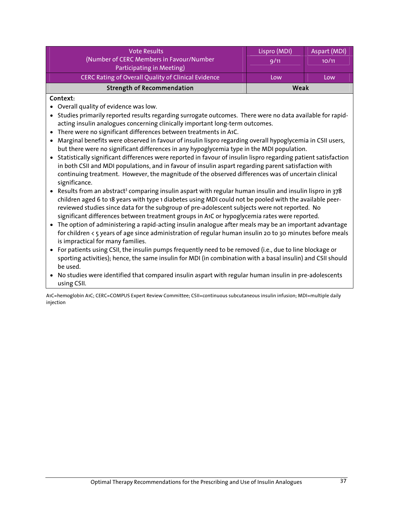| <b>Vote Results</b>                                        | Lispro (MDI) | Aspart (MDI) |
|------------------------------------------------------------|--------------|--------------|
| (Number of CERC Members in Favour/Number                   | 9/11         | 10/11        |
| Participating in Meeting)                                  |              |              |
| <b>CERC Rating of Overall Quality of Clinical Evidence</b> | Low          | Low          |
| <b>Strength of Recommendation</b>                          | Weak         |              |

#### Context:

- Overall quality of evidence was low.
- Studies primarily reported results regarding surrogate outcomes. There were no data available for rapidacting insulin analogues concerning clinically important long-term outcomes.
- There were no significant differences between treatments in A1C.
- Marginal benefits were observed in favour of insulin lispro regarding overall hypoglycemia in CSII users, but there were no significant differences in any hypoglycemia type in the MDI population.
- Statistically significant differences were reported in favour of insulin lispro regarding patient satisfaction in both CSII and MDI populations, and in favour of insulin aspart regarding parent satisfaction with continuing treatment. However, the magnitude of the observed differences was of uncertain clinical significance.
- Results from an abstract<sup>3</sup> comparing insulin aspart with regular human insulin and insulin lispro in 378 children aged 6 to 18 years with type 1 diabetes using MDI could not be pooled with the available peerreviewed studies since data for the subgroup of pre-adolescent subjects were not reported. No significant differences between treatment groups in A1C or hypoglycemia rates were reported.
- The option of administering a rapid-acting insulin analogue after meals may be an important advantage for children < 5 years of age since administration of regular human insulin 20 to 30 minutes before meals is impractical for many families.
- For patients using CSII, the insulin pumps frequently need to be removed (i.e., due to line blockage or sporting activities); hence, the same insulin for MDI (in combination with a basal insulin) and CSII should be used.
- No studies were identified that compared insulin aspart with regular human insulin in pre-adolescents using CSII.

A1C=hemoglobin A1C; CERC=COMPUS Expert Review Committee; CSII=continuous subcutaneous insulin infusion; MDI=multiple daily iniection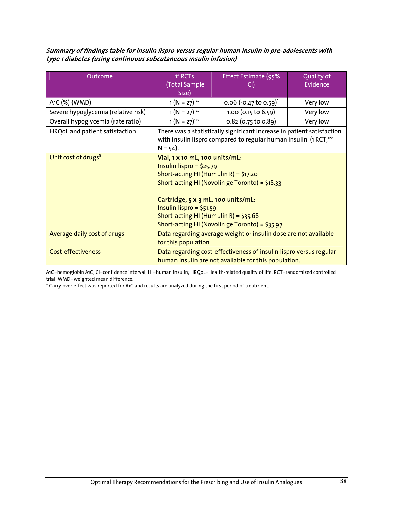Summary of findings table for insulin lispro versus regular human insulin in pre-adolescents with type 1 diabetes (using continuous subcutaneous insulin infusion)

| Outcome                             | # RCTs                                                                                                                                                                                                                                                                                                                 | Effect Estimate (95%              | Quality of |
|-------------------------------------|------------------------------------------------------------------------------------------------------------------------------------------------------------------------------------------------------------------------------------------------------------------------------------------------------------------------|-----------------------------------|------------|
|                                     | (Total Sample                                                                                                                                                                                                                                                                                                          | CI)                               | Evidence   |
|                                     | Size)                                                                                                                                                                                                                                                                                                                  |                                   |            |
| A1C (%) (WMD)                       | $1(N = 27)^{122}$                                                                                                                                                                                                                                                                                                      | 0.06 (-0.47 to 0.59) <sup>*</sup> | Very low   |
| Severe hypoglycemia (relative risk) | $1(N = 27)^{122}$                                                                                                                                                                                                                                                                                                      | 1.00 (0.15 to 6.59)               | Very low   |
| Overall hypoglycemia (rate ratio)   | $1(N = 27)^{122}$                                                                                                                                                                                                                                                                                                      | 0.82 (0.75 to 0.89)               | Very low   |
| HRQoL and patient satisfaction      | There was a statistically significant increase in patient satisfaction<br>with insulin lispro compared to regular human insulin (1 RCT; <sup>122</sup><br>$N = 54$ ).                                                                                                                                                  |                                   |            |
| Unit cost of drugs <sup>8</sup>     | Vial, 1 x 10 mL, 100 units/mL:<br>Insulin lispro = $$25.79$<br>Short-acting HI (Humulin R) = $$17.20$<br>Short-acting HI (Novolin ge Toronto) = \$18.33<br>Cartridge, 5 x 3 mL, 100 units/mL:<br>Insulin lispro = $$51.59$<br>Short-acting HI (Humulin R) = $$35.68$<br>Short-acting HI (Novolin ge Toronto) = \$35.97 |                                   |            |
| Average daily cost of drugs         | Data regarding average weight or insulin dose are not available<br>for this population.                                                                                                                                                                                                                                |                                   |            |
| <b>Cost-effectiveness</b>           | Data regarding cost-effectiveness of insulin lispro versus regular<br>human insulin are not available for this population.                                                                                                                                                                                             |                                   |            |

A1C=hemoglobin A1C; CI=confidence interval; HI=human insulin; HRQoL=Health-related quality of life; RCT=randomized controlled trial; WMD=weighted mean difference.

\* Carry-over effect was reported for A1C and results are analyzed during the first period of treatment.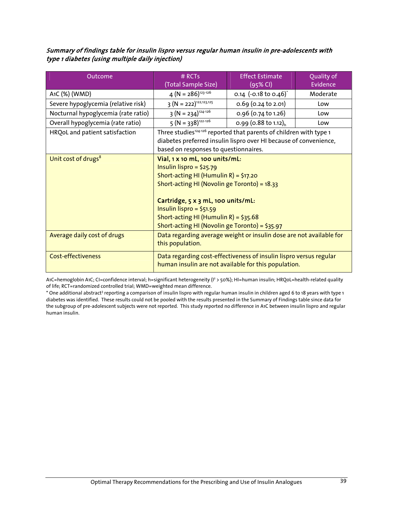#### Summary of findings table for insulin lispro versus regular human insulin in pre-adolescents with type 1 diabetes (using multiple daily injection)

| Outcome                             | $#$ RCTs<br>(Total Sample Size)                                                                                                                                                                                                                                                                                      | <b>Effect Estimate</b><br>$(95%$ CI) | Quality of<br>Evidence |
|-------------------------------------|----------------------------------------------------------------------------------------------------------------------------------------------------------------------------------------------------------------------------------------------------------------------------------------------------------------------|--------------------------------------|------------------------|
| A1C (%) (WMD)                       | $4 (N = 286)^{123 \cdot 126}$                                                                                                                                                                                                                                                                                        | 0.14 $(-0.18 \text{ to } 0.46)^{*}$  | Moderate               |
| Severe hypoglycemia (relative risk) | $3(N = 222)^{122,123,125}$                                                                                                                                                                                                                                                                                           | $0.69$ (0.24 to 2.01)                | Low                    |
| Nocturnal hypoglycemia (rate ratio) | $3 (N = 234)^{124-126}$                                                                                                                                                                                                                                                                                              | 0.96 (0.74 to 1.26)                  | Low                    |
| Overall hypoglycemia (rate ratio)   | $5 (N = 338)^{122-126}$                                                                                                                                                                                                                                                                                              | 0.99 (0.88 to 1.12) <sub>h</sub>     | Low                    |
| HRQoL and patient satisfaction      | Three studies <sup>124-126</sup> reported that parents of children with type 1<br>diabetes preferred insulin lispro over HI because of convenience,<br>based on responses to questionnaires.                                                                                                                         |                                      |                        |
| Unit cost of drugs <sup>8</sup>     | Vial, 1 x 10 mL, 100 units/mL:<br>Insulin lispro = $$25.79$<br>Short-acting HI (Humulin R) = $$17.20$<br>Short-acting HI (Novolin ge Toronto) = 18.33<br>Cartridge, 5 x 3 mL, 100 units/mL:<br>Insulin lispro = $$51.59$<br>Short-acting HI (Humulin R) = $$35.68$<br>Short-acting HI (Novolin ge Toronto) = \$35.97 |                                      |                        |
| Average daily cost of drugs         | Data regarding average weight or insulin dose are not available for<br>this population.                                                                                                                                                                                                                              |                                      |                        |
| <b>Cost-effectiveness</b>           | Data regarding cost-effectiveness of insulin lispro versus regular<br>human insulin are not available for this population.                                                                                                                                                                                           |                                      |                        |

A1C=hemoglobin A1C; CI=confidence interval; h=significant heterogeneity (I² > 50%); HI=human insulin; HRQoL=health-related quality of life; RCT=randomized controlled trial; WMD=weighted mean difference.

\* One additional abstract<sup>3</sup> reporting a comparison of insulin lispro with regular human insulin in children aged 6 to 18 years with type 1 diabetes was identified. These results could not be pooled with the results presented in the Summary of Findings table since data for the subgroup of pre-adolescent subjects were not reported. This study reported no difference in A1C between insulin lispro and regular human insulin.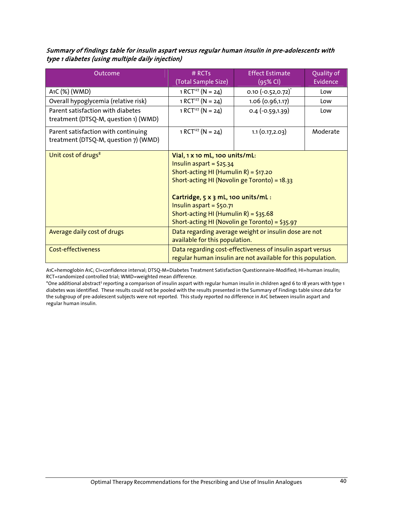| Summary of findings table for insulin aspart versus regular human insulin in pre-adolescents with |  |
|---------------------------------------------------------------------------------------------------|--|
| type 1 diabetes (using multiple daily injection)                                                  |  |

| Outcome                                                                     | $#$ RCTs<br>(Total Sample Size)                                                                                                                                                                                                                                                                                      | <b>Effect Estimate</b><br>(95% CI) | Quality of<br>Evidence |
|-----------------------------------------------------------------------------|----------------------------------------------------------------------------------------------------------------------------------------------------------------------------------------------------------------------------------------------------------------------------------------------------------------------|------------------------------------|------------------------|
| A <sub>1</sub> C (%) (WMD)                                                  | 1 RCT <sup>127</sup> (N = 24)                                                                                                                                                                                                                                                                                        | $0.10 (-0.52, 0.72)^{*}$           | Low                    |
| Overall hypoglycemia (relative risk)                                        | $1 RCT127 (N = 24)$                                                                                                                                                                                                                                                                                                  | 1.06(0.96, 1.17)                   | Low                    |
| Parent satisfaction with diabetes<br>treatment (DTSQ-M, question 1) (WMD)   | 1 RCT <sup>127</sup> (N = 24)                                                                                                                                                                                                                                                                                        | $0.4$ (-0.59,1.39)                 | Low                    |
| Parent satisfaction with continuing<br>treatment (DTSQ-M, question 7) (WMD) | 1 RCT <sup>127</sup> (N = 24)                                                                                                                                                                                                                                                                                        | 1.1(0.17, 2.03)                    | Moderate               |
| Unit cost of drugs <sup>8</sup>                                             | Vial, 1 x 10 mL, 100 units/mL:<br>Insulin aspart = $$25.34$<br>Short-acting HI (Humulin R) = $$17.20$<br>Short-acting HI (Novolin ge Toronto) = 18.33<br>Cartridge, 5 x 3 mL, 100 units/mL:<br>Insulin aspart = $$50.71$<br>Short-acting HI (Humulin R) = $$35.68$<br>Short-acting HI (Novolin ge Toronto) = \$35.97 |                                    |                        |
| Average daily cost of drugs                                                 | Data regarding average weight or insulin dose are not<br>available for this population.                                                                                                                                                                                                                              |                                    |                        |
| <b>Cost-effectiveness</b>                                                   | Data regarding cost-effectiveness of insulin aspart versus<br>regular human insulin are not available for this population.                                                                                                                                                                                           |                                    |                        |

A1C=hemoglobin A1C; CI=confidence interval; DTSQ-M=Diabetes Treatment Satisfaction Questionnaire-Modified; HI=human insulin; RCT=randomized controlled trial; WMD=weighted mean difference.

\*One additional abstract<sup>3</sup> reporting a comparison of insulin aspart with regular human insulin in children aged 6 to 18 years with type 1 diabetes was identified. These results could not be pooled with the results presented in the Summary of Findings table since data for the subgroup of pre-adolescent subjects were not reported. This study reported no difference in A1C between insulin aspart and regular human insulin.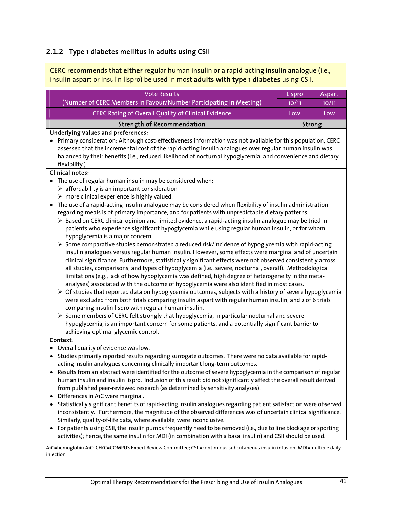## 2.1.2 Type 1 diabetes mellitus in adults using CSII

CERC recommends that either regular human insulin or a rapid-acting insulin analogue (i.e., insulin aspart or insulin lispro) be used in most adults with type 1 diabetes using CSII.

| <b>Vote Results</b>                                                                                                     | Lispro | Aspart |
|-------------------------------------------------------------------------------------------------------------------------|--------|--------|
| (Number of CERC Members in Favour/Number Participating in Meeting)                                                      | 10/11  | 10/11  |
| <b>CERC Rating of Overall Quality of Clinical Evidence</b>                                                              | Low    | Low    |
| <b>Strength of Recommendation</b>                                                                                       | Strong |        |
| <b>Underlying values and preferences:</b>                                                                               |        |        |
| Primary consideration: Although cost-effectiveness information was not available for this population, CERC              |        |        |
| assessed that the incremental cost of the rapid-acting insulin analogues over regular human insulin was                 |        |        |
| balanced by their benefits (i.e., reduced likelihood of nocturnal hypoglycemia, and convenience and dietary             |        |        |
| flexibility.)                                                                                                           |        |        |
| <b>Clinical notes:</b>                                                                                                  |        |        |
| The use of regular human insulin may be considered when:<br>$\bullet$                                                   |        |        |
| $\triangleright$ affordability is an important consideration                                                            |        |        |
| $\triangleright$ more clinical experience is highly valued.                                                             |        |        |
| The use of a rapid-acting insulin analogue may be considered when flexibility of insulin administration<br>$\bullet$    |        |        |
| regarding meals is of primary importance, and for patients with unpredictable dietary patterns.                         |        |        |
| > Based on CERC clinical opinion and limited evidence, a rapid-acting insulin analogue may be tried in                  |        |        |
| patients who experience significant hypoglycemia while using regular human insulin, or for whom                         |        |        |
| hypoglycemia is a major concern.                                                                                        |        |        |
| $\triangleright$ Some comparative studies demonstrated a reduced risk/incidence of hypoglycemia with rapid-acting       |        |        |
| insulin analogues versus regular human insulin. However, some effects were marginal and of uncertain                    |        |        |
| clinical significance. Furthermore, statistically significant effects were not observed consistently across             |        |        |
| all studies, comparisons, and types of hypoglycemia (i.e., severe, nocturnal, overall). Methodological                  |        |        |
| limitations (e.g., lack of how hypoglycemia was defined, high degree of heterogeneity in the meta-                      |        |        |
| analyses) associated with the outcome of hypoglycemia were also identified in most cases.                               |        |        |
| $\triangleright$ Of studies that reported data on hypoglycemia outcomes, subjects with a history of severe hypoglycemia |        |        |
| were excluded from both trials comparing insulin aspart with regular human insulin, and 2 of 6 trials                   |        |        |
| comparing insulin lispro with regular human insulin.                                                                    |        |        |
| $\triangleright$ Some members of CERC felt strongly that hypoglycemia, in particular nocturnal and severe               |        |        |
| hypoglycemia, is an important concern for some patients, and a potentially significant barrier to                       |        |        |
| achieving optimal glycemic control.                                                                                     |        |        |

#### Context:

- Overall quality of evidence was low.
- Studies primarily reported results regarding surrogate outcomes. There were no data available for rapidacting insulin analogues concerning clinically important long-term outcomes.
- Results from an abstract were identified for the outcome of severe hypoglycemia in the comparison of regular human insulin and insulin lispro. Inclusion of this result did not significantly affect the overall result derived from published peer-reviewed research (as determined by sensitivity analyses).
- Differences in A1C were marginal.
- Statistically significant benefits of rapid-acting insulin analogues regarding patient satisfaction were observed inconsistently. Furthermore, the magnitude of the observed differences was of uncertain clinical significance. Similarly, quality-of-life data, where available, were inconclusive.
- For patients using CSII, the insulin pumps frequently need to be removed (i.e., due to line blockage or sporting activities); hence, the same insulin for MDI (in combination with a basal insulin) and CSII should be used.

A1C=hemoglobin A1C; CERC=COMPUS Expert Review Committee; CSII=continuous subcutaneous insulin infusion; MDI=multiple daily injection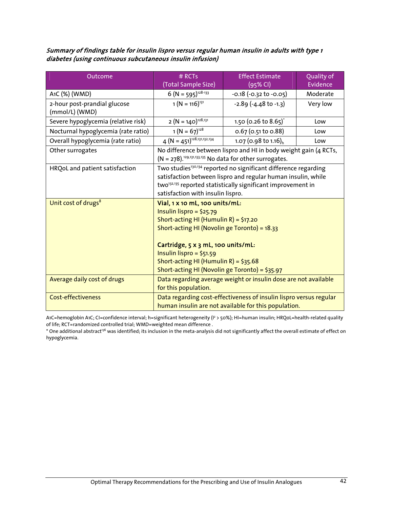Summary of findings table for insulin lispro versus regular human insulin in adults with type 1 diabetes (using continuous subcutaneous insulin infusion)

| Outcome                             | $#$ RCTs                                                                                                                                                                                                                 | <b>Effect Estimate</b>                                                                                                           | Quality of<br><b>Evidence</b> |
|-------------------------------------|--------------------------------------------------------------------------------------------------------------------------------------------------------------------------------------------------------------------------|----------------------------------------------------------------------------------------------------------------------------------|-------------------------------|
|                                     | (Total Sample Size)                                                                                                                                                                                                      | (95% CI)                                                                                                                         |                               |
| A1C (%) (WMD)                       | $6 (N = 595)^{128-133}$                                                                                                                                                                                                  | $-0.18$ $(-0.32$ to $-0.05)$                                                                                                     | Moderate                      |
| 2-hour post-prandial glucose        | $1 (N = 116)^{131}$                                                                                                                                                                                                      | $-2.89$ $(-4.48$ to $-1.3)$                                                                                                      | Very low                      |
| (mmol/L) (WMD)                      |                                                                                                                                                                                                                          |                                                                                                                                  |                               |
| Severe hypoglycemia (relative risk) | $2 (N = 140)^{128,131}$                                                                                                                                                                                                  | 1.50 (0.26 to 8.65) <sup>*</sup>                                                                                                 | Low                           |
| Nocturnal hypoglycemia (rate ratio) | $1 (N = 67)^{128}$                                                                                                                                                                                                       | $0.67$ (0.51 to 0.88)                                                                                                            | Low                           |
| Overall hypoglycemia (rate ratio)   | $4 (N = 451)^{128,131,132,134}$                                                                                                                                                                                          | 1.07 (0.98 to 1.16) <sub>h</sub>                                                                                                 | Low                           |
| Other surrogates                    |                                                                                                                                                                                                                          | No difference between lispro and HI in body weight gain (4 RCTs,<br>$(N = 278).^{129,131,133,135}$ No data for other surrogates. |                               |
| HRQoL and patient satisfaction      |                                                                                                                                                                                                                          | Two studies <sup>130,134</sup> reported no significant difference regarding                                                      |                               |
|                                     | satisfaction between lispro and regular human insulin, while                                                                                                                                                             |                                                                                                                                  |                               |
|                                     | two <sup>132,135</sup> reported statistically significant improvement in                                                                                                                                                 |                                                                                                                                  |                               |
|                                     | satisfaction with insulin lispro.                                                                                                                                                                                        |                                                                                                                                  |                               |
| Unit cost of drugs <sup>8</sup>     | Vial, 1 x 10 mL, 100 units/mL:<br>Insulin lispro = $$25.79$<br>Short-acting HI (Humulin R) = $$17.20$<br>Short-acting HI (Novolin ge Toronto) = 18.33<br>Cartridge, 5 x 3 mL, 100 units/mL:<br>Insulin lispro = $$51.59$ |                                                                                                                                  |                               |
|                                     | Short-acting HI (Humulin R) = $$35.68$                                                                                                                                                                                   |                                                                                                                                  |                               |
|                                     | Short-acting HI (Novolin ge Toronto) = \$35.97                                                                                                                                                                           |                                                                                                                                  |                               |
| Average daily cost of drugs         | Data regarding average weight or insulin dose are not available<br>for this population.                                                                                                                                  |                                                                                                                                  |                               |
| <b>Cost-effectiveness</b>           |                                                                                                                                                                                                                          | Data regarding cost-effectiveness of insulin lispro versus regular<br>human insulin are not available for this population.       |                               |

A1C=hemoglobin A1C; CI=confidence interval; h=significant heterogeneity (I² > 50%); HI=human insulin; HRQoL=health-related quality of life; RCT=randomized controlled trial; WMD=weighted mean difference .

\* One additional abstract<sup>136</sup> was identified; its inclusion in the meta-analysis did not significantly affect the overall estimate of effect on hypoglycemia.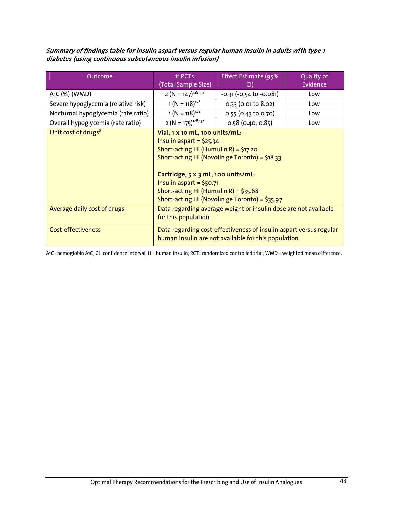Summary of findings table for insulin aspart versus regular human insulin in adults with type 1 diabetes (using continuous subcutaneous insulin infusion)

| Outcome                             | $#$ RCTs<br>(Total Sample Size)                                                                                                                                                                                                                                                                                         | Effect Estimate (95%      | Quality of<br>Evidence |
|-------------------------------------|-------------------------------------------------------------------------------------------------------------------------------------------------------------------------------------------------------------------------------------------------------------------------------------------------------------------------|---------------------------|------------------------|
| A <sub>1</sub> C (%) (WMD)          | $2 (N = 147)^{128,137}$                                                                                                                                                                                                                                                                                                 | $-0.31 (-0.54 to -0.081)$ | Low                    |
| Severe hypoglycemia (relative risk) | $1 (N = 118)^{128}$                                                                                                                                                                                                                                                                                                     | $0.33$ (0.01 to 8.02)     | Low                    |
| Nocturnal hypoglycemia (rate ratio) | $1 (N = 118)^{128}$                                                                                                                                                                                                                                                                                                     | 0.55 (0.43 to 0.70)       | Low                    |
| Overall hypoglycemia (rate ratio)   | $2 (N = 175)^{128,137}$                                                                                                                                                                                                                                                                                                 | $0.58$ (0.40, 0.85)       | Low                    |
| Unit cost of drugs <sup>8</sup>     | Vial, 1 x 10 mL, 100 units/mL:<br>Insulin aspart = $$25.34$<br>Short-acting HI (Humulin R) = $$17.20$<br>Short-acting HI (Novolin ge Toronto) = \$18.33<br>Cartridge, 5 x 3 mL, 100 units/mL:<br>Insulin aspart = $$50.71$<br>Short-acting HI (Humulin R) = $$35.68$<br>Short-acting HI (Novolin ge Toronto) = $$35.97$ |                           |                        |
| Average daily cost of drugs         | Data regarding average weight or insulin dose are not available<br>for this population.                                                                                                                                                                                                                                 |                           |                        |
| <b>Cost-effectiveness</b>           | Data regarding cost-effectiveness of insulin aspart versus regular<br>human insulin are not available for this population.                                                                                                                                                                                              |                           |                        |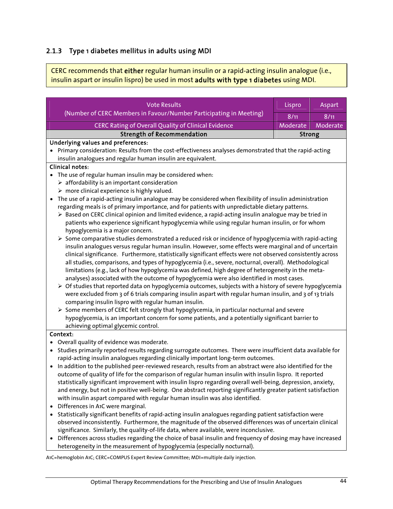## 2.1.3 Type 1 diabetes mellitus in adults using MDI

CERC recommends that either regular human insulin or a rapid-acting insulin analogue (i.e., insulin aspart or insulin lispro) be used in most adults with type 1 diabetes using MDI.

| <b>Vote Results</b>                                                                                                                                                                                       | Lispro        | Aspart   |
|-----------------------------------------------------------------------------------------------------------------------------------------------------------------------------------------------------------|---------------|----------|
| (Number of CERC Members in Favour/Number Participating in Meeting)                                                                                                                                        |               |          |
|                                                                                                                                                                                                           | 8/11          | 8/11     |
| <b>CERC Rating of Overall Quality of Clinical Evidence</b>                                                                                                                                                | Moderate      | Moderate |
| <b>Strength of Recommendation</b>                                                                                                                                                                         | <b>Strong</b> |          |
| Underlying values and preferences:                                                                                                                                                                        |               |          |
| Primary consideration: Results from the cost-effectiveness analyses demonstrated that the rapid-acting                                                                                                    |               |          |
| insulin analogues and regular human insulin are equivalent.                                                                                                                                               |               |          |
| <b>Clinical notes:</b>                                                                                                                                                                                    |               |          |
| • The use of regular human insulin may be considered when:                                                                                                                                                |               |          |
| $\triangleright$ affordability is an important consideration                                                                                                                                              |               |          |
| $\triangleright$ more clinical experience is highly valued.                                                                                                                                               |               |          |
| The use of a rapid-acting insulin analogue may be considered when flexibility of insulin administration<br>$\bullet$                                                                                      |               |          |
| regarding meals is of primary importance, and for patients with unpredictable dietary patterns.<br>> Based on CERC clinical opinion and limited evidence, a rapid-acting insulin analogue may be tried in |               |          |
| patients who experience significant hypoglycemia while using regular human insulin, or for whom                                                                                                           |               |          |
| hypoglycemia is a major concern.                                                                                                                                                                          |               |          |
| > Some comparative studies demonstrated a reduced risk or incidence of hypoglycemia with rapid-acting                                                                                                     |               |          |
| insulin analogues versus regular human insulin. However, some effects were marginal and of uncertain                                                                                                      |               |          |
| clinical significance. Furthermore, statistically significant effects were not observed consistently across                                                                                               |               |          |
| all studies, comparisons, and types of hypoglycemia (i.e., severe, nocturnal, overall). Methodological                                                                                                    |               |          |
| limitations (e.g., lack of how hypoglycemia was defined, high degree of heterogeneity in the meta-                                                                                                        |               |          |
| analyses) associated with the outcome of hypoglycemia were also identified in most cases.                                                                                                                 |               |          |
| $\triangleright$ Of studies that reported data on hypoglycemia outcomes, subjects with a history of severe hypoglycemia                                                                                   |               |          |
| were excluded from 3 of 6 trials comparing insulin aspart with regular human insulin, and 3 of 13 trials                                                                                                  |               |          |
| comparing insulin lispro with regular human insulin.                                                                                                                                                      |               |          |
| $\triangleright$ Some members of CERC felt strongly that hypoglycemia, in particular nocturnal and severe                                                                                                 |               |          |
| hypoglycemia, is an important concern for some patients, and a potentially significant barrier to                                                                                                         |               |          |
| achieving optimal glycemic control.                                                                                                                                                                       |               |          |
| Context:                                                                                                                                                                                                  |               |          |
| Overall quality of evidence was moderate.                                                                                                                                                                 |               |          |
| Studies primarily reported results regarding surrogate outcomes. There were insufficient data available for                                                                                               |               |          |
| rapid-acting insulin analogues regarding clinically important long-term outcomes.                                                                                                                         |               |          |
| In addition to the published peer-reviewed research, results from an abstract were also identified for the<br>$\bullet$                                                                                   |               |          |
| outcome of quality of life for the comparison of regular human insulin with insulin lispro. It reported                                                                                                   |               |          |
| statistically significant improvement with insulin lispro regarding overall well-being, depression, anxiety,                                                                                              |               |          |
| and energy, but not in positive well-being. One abstract reporting significantly greater patient satisfaction<br>with insulin aspart compared with regular human insulin was also identified.             |               |          |
| Differences in A1C were marginal.<br>$\bullet$                                                                                                                                                            |               |          |
| Statistically significant benefits of rapid-acting insulin analogues regarding patient satisfaction were<br>$\bullet$                                                                                     |               |          |
| observed inconsistently. Furthermore, the magnitude of the observed differences was of uncertain clinical                                                                                                 |               |          |
| significance. Similarly, the quality-of-life data, where available, were inconclusive.                                                                                                                    |               |          |
| Differences across studies regarding the choice of basal insulin and frequency of dosing may have increased                                                                                               |               |          |
| heterogeneity in the measurement of hypoglycemia (especially nocturnal).                                                                                                                                  |               |          |

A1C=hemoglobin A1C; CERC=COMPUS Expert Review Committee; MDI=multiple daily injection.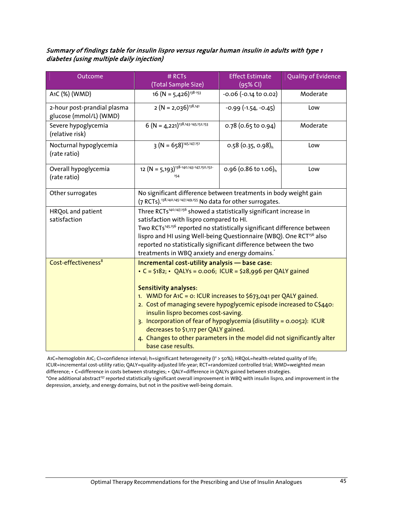#### Summary of findings table for insulin lispro versus regular human insulin in adults with type 1 diabetes (using multiple daily injection)

| Outcome                                               | # RCTs<br>(Total Sample Size)                                                                                                                                                                                                                                                                                                                                                                                                                                                                                                                                    | <b>Effect Estimate</b><br>(95% CI) | Quality of Evidence |
|-------------------------------------------------------|------------------------------------------------------------------------------------------------------------------------------------------------------------------------------------------------------------------------------------------------------------------------------------------------------------------------------------------------------------------------------------------------------------------------------------------------------------------------------------------------------------------------------------------------------------------|------------------------------------|---------------------|
| A1C (%) (WMD)                                         | $16 (N = 5,426)^{138-153}$                                                                                                                                                                                                                                                                                                                                                                                                                                                                                                                                       | $-0.06$ $(-0.14$ to 0.02)          | Moderate            |
| 2-hour post-prandial plasma<br>glucose (mmol/L) (WMD) | $2 (N = 2,036)^{138,141}$                                                                                                                                                                                                                                                                                                                                                                                                                                                                                                                                        | $-0.99$ $(-1.54, -0.45)$           | Low                 |
| Severe hypoglycemia<br>(relative risk)                | $6 (N = 4,221)^{138,143-145,152,153}$                                                                                                                                                                                                                                                                                                                                                                                                                                                                                                                            | $0.78$ (0.65 to 0.94)              | Moderate            |
| Nocturnal hypoglycemia<br>(rate ratio)                | $3 (N = 658)^{145,147,151}$                                                                                                                                                                                                                                                                                                                                                                                                                                                                                                                                      | $0.58$ (0.35, 0.98) <sub>h</sub>   | Low                 |
| Overall hypoglycemia<br>(rate ratio)                  | 12 (N = 5,193) <sup>138-140,143-147,150,152-</sup><br>154                                                                                                                                                                                                                                                                                                                                                                                                                                                                                                        | 0.96 (0.86 to 1.06) <sub>h</sub>   | Low                 |
| Other surrogates                                      | No significant difference between treatments in body weight gain<br>(7 RCTs). <sup>138,140,145-147,149,155</sup> No data for other surrogates.                                                                                                                                                                                                                                                                                                                                                                                                                   |                                    |                     |
| HRQoL and patient<br>satisfaction                     | Three RCTs <sup>140,147,156</sup> showed a statistically significant increase in<br>satisfaction with lispro compared to HI.<br>Two RCTs <sup>145,156</sup> reported no statistically significant difference between<br>lispro and HI using Well-being Questionnaire (WBQ). One RCT <sup>156</sup> also<br>reported no statistically significant difference between the two<br>treatments in WBQ anxiety and energy domains.                                                                                                                                     |                                    |                     |
| Cost-effectiveness <sup>8</sup>                       | Incremental cost-utility analysis - base case:<br>• $C = \frac{1}{2}182$ ; • QALYs = 0.006; ICUR = \$28,996 per QALY gained<br><b>Sensitivity analyses:</b><br>1. WMD for A1C = 0: ICUR increases to \$673,041 per QALY gained.<br>2. Cost of managing severe hypoglycemic episode increased to C\$440:<br>insulin lispro becomes cost-saving.<br>3. Incorporation of fear of hypoglycemia (disutility = 0.0052): ICUR<br>decreases to \$1,117 per QALY gained.<br>4. Changes to other parameters in the model did not significantly alter<br>base case results. |                                    |                     |

A1C=hemoglobin A1C; CI=confidence interval; h=significant heterogeneity ( $1^2$  > 50%); HRQoL=health-related quality of life; ICUR=incremental cost-utility ratio; QALY=quality-adjusted life-year; RCT=randomized controlled trial; WMD=weighted mean difference; • C=difference in costs between strategies; • QALY=difference in QALYs gained between strategies. \*One additional abstract157 reported statistically significant overall improvement in WBQ with insulin lispro, and improvement in the depression, anxiety, and energy domains, but not in the positive well-being domain.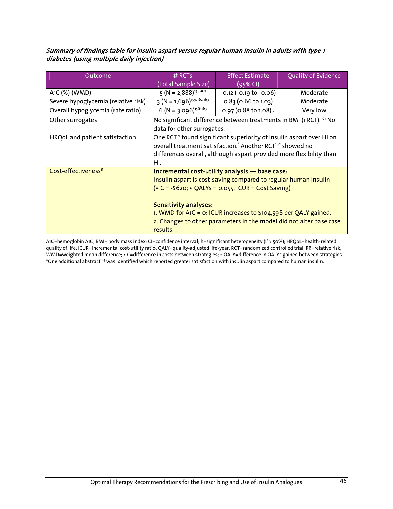#### Summary of findings table for insulin aspart versus regular human insulin in adults with type 1 diabetes (using multiple daily injection)

| Outcome                             | $#$ RCTs<br>(Total Sample Size)                                                                                                                                                                                                       | <b>Effect Estimate</b><br>(95% CI)                                                                                                                                                                                                                                                                                            | <b>Quality of Evidence</b> |
|-------------------------------------|---------------------------------------------------------------------------------------------------------------------------------------------------------------------------------------------------------------------------------------|-------------------------------------------------------------------------------------------------------------------------------------------------------------------------------------------------------------------------------------------------------------------------------------------------------------------------------|----------------------------|
| A <sub>1</sub> C (%) (WMD)          | $5 (N = 2,888)^{158-162}$                                                                                                                                                                                                             | $-0.12$ $(-0.19$ to $-0.06)$                                                                                                                                                                                                                                                                                                  | Moderate                   |
| Severe hypoglycemia (relative risk) | $3 (N = 1,696)^{159,162,163}$                                                                                                                                                                                                         | $0.83$ (0.66 to 1.03)                                                                                                                                                                                                                                                                                                         | Moderate                   |
| Overall hypoglycemia (rate ratio)   | $6 (N = 3,096)^{158-163}$                                                                                                                                                                                                             | 0.97 (0.88 to 1.08) <sub>h</sub>                                                                                                                                                                                                                                                                                              | Very low                   |
| Other surrogates                    | data for other surrogates.                                                                                                                                                                                                            | No significant difference between treatments in BMI (1 RCT). <sup>161</sup> No                                                                                                                                                                                                                                                |                            |
| HRQoL and patient satisfaction      | One RCT <sup>7</sup> found significant superiority of insulin aspart over HI on<br>overall treatment satisfaction. Another RCT <sup>162</sup> showed no<br>differences overall, although aspart provided more flexibility than<br>HI. |                                                                                                                                                                                                                                                                                                                               |                            |
| Cost-effectiveness <sup>8</sup>     | <b>Sensitivity analyses:</b><br>results.                                                                                                                                                                                              | Incremental cost-utility analysis - base case:<br>Insulin aspart is cost-saving compared to regular human insulin<br>$\left($ • C = -\$620; • QALYs = 0.055, ICUR = Cost Saving)<br>1. WMD for A1C = $o:$ ICUR increases to \$104,598 per QALY gained.<br>2. Changes to other parameters in the model did not alter base case |                            |

A1C=hemoglobin A1C; BMI= body mass index; CI=confidence interval; h=significant heterogeneity (I2 > 50%); HRQoL=health-related quality of life; ICUR=incremental cost-utility ratio; QALY=quality-adjusted life-year; RCT=randomized controlled trial; RR=relative risk; WMD=weighted mean difference; • C=difference in costs between strategies; • QALY=difference in QALYs gained between strategies. \*One additional abstract<sup>164</sup> was identified which reported greater satisfaction with insulin aspart compared to human insulin.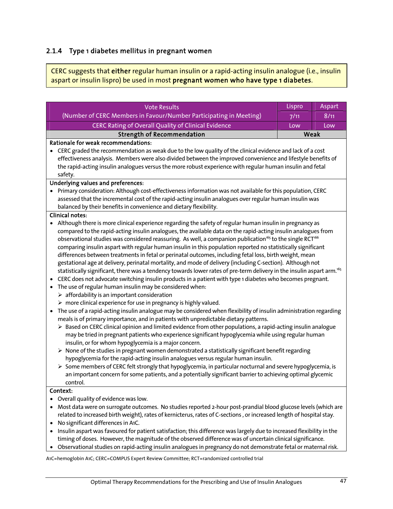## 2.1.4 Type 1 diabetes mellitus in pregnant women

CERC suggests that either regular human insulin or a rapid-acting insulin analogue (i.e., insulin aspart or insulin lispro) be used in most pregnant women who have type 1 diabetes.

|                                                                                                                                                                            | Lispro |                |
|----------------------------------------------------------------------------------------------------------------------------------------------------------------------------|--------|----------------|
| <b>Vote Results</b><br>(Number of CERC Members in Favour/Number Participating in Meeting)                                                                                  |        | Aspart<br>8/11 |
|                                                                                                                                                                            |        |                |
| CERC Rating of Overall Quality of Clinical Evidence                                                                                                                        | Low    | Low<br>Weak    |
| <b>Strength of Recommendation</b><br>Rationale for weak recommendations:                                                                                                   |        |                |
| CERC graded the recommendation as weak due to the low quality of the clinical evidence and lack of a cost                                                                  |        |                |
| effectiveness analysis. Members were also divided between the improved convenience and lifestyle benefits of                                                               |        |                |
| the rapid-acting insulin analogues versus the more robust experience with regular human insulin and fetal                                                                  |        |                |
| safety.                                                                                                                                                                    |        |                |
| Underlying values and preferences:                                                                                                                                         |        |                |
| • Primary consideration: Although cost-effectiveness information was not available for this population, CERC                                                               |        |                |
| assessed that the incremental cost of the rapid-acting insulin analogues over regular human insulin was                                                                    |        |                |
| balanced by their benefits in convenience and dietary flexibility.                                                                                                         |        |                |
| <b>Clinical notes:</b>                                                                                                                                                     |        |                |
| Although there is more clinical experience regarding the safety of regular human insulin in pregnancy as                                                                   |        |                |
| compared to the rapid-acting insulin analogues, the available data on the rapid-acting insulin analogues from                                                              |        |                |
| observational studies was considered reassuring. As well, a companion publication <sup>165</sup> to the single RCT <sup>166</sup>                                          |        |                |
| comparing insulin aspart with regular human insulin in this population reported no statistically significant                                                               |        |                |
| differences between treatments in fetal or perinatal outcomes, including fetal loss, birth weight, mean                                                                    |        |                |
| gestational age at delivery, perinatal mortality, and mode of delivery (including C-section). Although not                                                                 |        |                |
| statistically significant, there was a tendency towards lower rates of pre-term delivery in the insulin aspart arm. <sup>165</sup>                                         |        |                |
| CERC does not advocate switching insulin products in a patient with type 1 diabetes who becomes pregnant.<br>٠                                                             |        |                |
| The use of regular human insulin may be considered when:<br>$\bullet$                                                                                                      |        |                |
| $\triangleright$ affordability is an important consideration                                                                                                               |        |                |
| $\triangleright$ more clinical experience for use in pregnancy is highly valued.                                                                                           |        |                |
| The use of a rapid-acting insulin analogue may be considered when flexibility of insulin administration regarding<br>$\bullet$                                             |        |                |
| meals is of primary importance, and in patients with unpredictable dietary patterns.                                                                                       |        |                |
| > Based on CERC clinical opinion and limited evidence from other populations, a rapid-acting insulin analogue                                                              |        |                |
| may be tried in pregnant patients who experience significant hypoglycemia while using regular human                                                                        |        |                |
| insulin, or for whom hypoglycemia is a major concern.<br>$\triangleright$ None of the studies in pregnant women demonstrated a statistically significant benefit regarding |        |                |
| hypoglycemia for the rapid-acting insulin analogues versus regular human insulin.                                                                                          |        |                |
| > Some members of CERC felt strongly that hypoglycemia, in particular nocturnal and severe hypoglycemia, is                                                                |        |                |
| an important concern for some patients, and a potentially significant barrier to achieving optimal glycemic                                                                |        |                |
| control.                                                                                                                                                                   |        |                |
| Context:                                                                                                                                                                   |        |                |
| Overall quality of evidence was low.                                                                                                                                       |        |                |
| Most data were on surrogate outcomes. No studies reported 2-hour post-prandial blood glucose levels (which are                                                             |        |                |
| related to increased birth weight), rates of kernicterus, rates of C-sections, or increased length of hospital stay.                                                       |        |                |
| No significant differences in A1C.                                                                                                                                         |        |                |
| Insulin aspart was favoured for patient satisfaction; this difference was largely due to increased flexibility in the                                                      |        |                |
| timing of doses. However, the magnitude of the observed difference was of uncertain clinical significance.                                                                 |        |                |
| Observational studies on rapid-acting insulin analogues in pregnancy do not demonstrate fetal or maternal risk                                                             |        |                |

servational studies on rapid-acting insulin analogues in pregnancy do not demonstrate fetal or maternal r

A1C=hemoglobin A1C; CERC=COMPUS Expert Review Committee; RCT=randomized controlled trial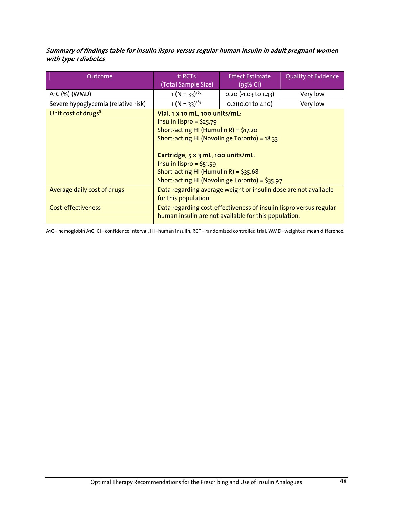#### Summary of findings table for insulin lispro versus regular human insulin in adult pregnant women with type 1 diabetes

| Outcome                             | $#$ RCTs<br>(Total Sample Size)                                                                                                                                                                                                                                                                                       | <b>Effect Estimate</b><br>$(95%$ CI) | Quality of Evidence |
|-------------------------------------|-----------------------------------------------------------------------------------------------------------------------------------------------------------------------------------------------------------------------------------------------------------------------------------------------------------------------|--------------------------------------|---------------------|
| A <sub>1</sub> C (%) (WMD)          | $1 (N = 33)^{167}$                                                                                                                                                                                                                                                                                                    | $0.20$ (-1.03 to 1.43)               | Very low            |
| Severe hypoglycemia (relative risk) | $1 (N = 33)^{167}$                                                                                                                                                                                                                                                                                                    | 0.21(0.01 to 4.10)                   | Very low            |
| Unit cost of drugs <sup>8</sup>     | Vial, 1 x 10 mL, 100 units/mL:<br>Insulin lispro = $$25.79$<br>Short-acting HI (Humulin R) = $$17.20$<br>Short-acting HI (Novolin ge Toronto) = 18.33<br>Cartridge, 5 x 3 mL, 100 units/mL:<br>Insulin lispro = $$51.59$<br>Short-acting HI (Humulin R) = $$35.68$<br>Short-acting HI (Novolin ge Toronto) = $$35.97$ |                                      |                     |
| Average daily cost of drugs         | Data regarding average weight or insulin dose are not available<br>for this population.                                                                                                                                                                                                                               |                                      |                     |
| <b>Cost-effectiveness</b>           | Data regarding cost-effectiveness of insulin lispro versus regular<br>human insulin are not available for this population.                                                                                                                                                                                            |                                      |                     |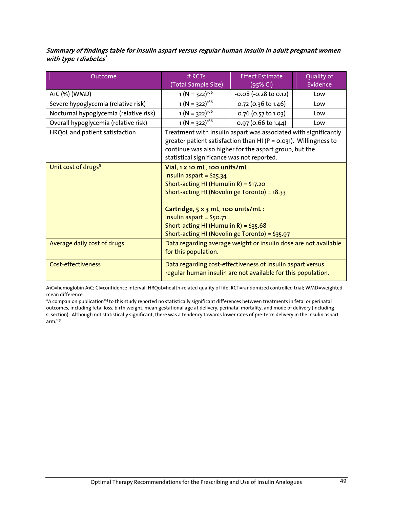#### Summary of findings table for insulin aspart versus regular human insulin in adult pregnant women with type 1 diabetes'

| Outcome                                | # RCTs                                                                                                                                                                                                                                                                                                               | <b>Effect Estimate</b>    | Quality of |
|----------------------------------------|----------------------------------------------------------------------------------------------------------------------------------------------------------------------------------------------------------------------------------------------------------------------------------------------------------------------|---------------------------|------------|
|                                        | (Total Sample Size)                                                                                                                                                                                                                                                                                                  | (95% CI)                  | Evidence   |
| A1C (%) (WMD)                          | $1 (N = 322)^{166}$                                                                                                                                                                                                                                                                                                  | $-0.08$ $(-0.28$ to 0.12) | Low        |
| Severe hypoglycemia (relative risk)    | $1 (N = 322)^{166}$                                                                                                                                                                                                                                                                                                  | 0.72 (0.36 to 1.46)       | Low        |
| Nocturnal hypoglycemia (relative risk) | $1 (N = 322)^{166}$                                                                                                                                                                                                                                                                                                  | 0.76 (0.57 to 1.03)       | Low        |
| Overall hypoglycemia (relative risk)   | $1 (N = 322)^{166}$                                                                                                                                                                                                                                                                                                  | 0.97 (0.66 to 1.44)       | Low        |
| HRQoL and patient satisfaction         | Treatment with insulin aspart was associated with significantly<br>greater patient satisfaction than HI (P = 0.031). Willingness to<br>continue was also higher for the aspart group, but the<br>statistical significance was not reported.                                                                          |                           |            |
| Unit cost of drugs <sup>8</sup>        | Vial, 1 x 10 mL, 100 units/mL:<br>Insulin aspart = $$25.34$<br>Short-acting HI (Humulin R) = $$17.20$<br>Short-acting HI (Novolin ge Toronto) = 18.33<br>Cartridge, 5 x 3 mL, 100 units/mL:<br>Insulin aspart = $$50.71$<br>Short-acting HI (Humulin R) = $$35.68$<br>Short-acting HI (Novolin ge Toronto) = \$35.97 |                           |            |
| Average daily cost of drugs            | Data regarding average weight or insulin dose are not available<br>for this population.                                                                                                                                                                                                                              |                           |            |
| Cost-effectiveness                     | Data regarding cost-effectiveness of insulin aspart versus<br>regular human insulin are not available for this population.                                                                                                                                                                                           |                           |            |

A1C=hemoglobin A1C; CI=confidence interval; HRQoL=health-related quality of life; RCT=randomized controlled trial; WMD=weighted mean difference.

\*A companion publication<sup>165</sup> to this study reported no statistically significant differences between treatments in fetal or perinatal outcomes, including fetal loss, birth weight, mean gestational age at delivery, perinatal mortality, and mode of delivery (including C-section). Although not statistically significant, there was a tendency towards lower rates of pre-term delivery in the insulin aspart arm.165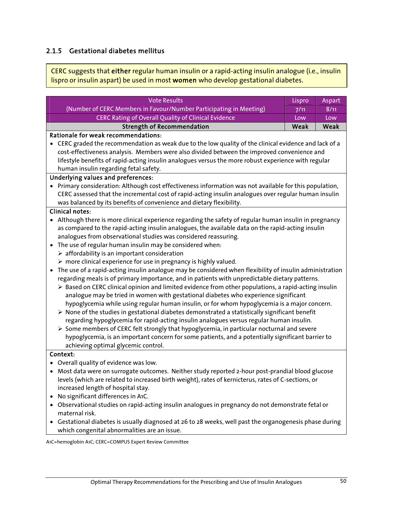## 2.1.5 Gestational diabetes mellitus

CERC suggests that either regular human insulin or a rapid-acting insulin analogue (i.e., insulin lispro or insulin aspart) be used in most women who develop gestational diabetes.

| <b>Vote Results</b>                                                                                                                                                                                           | Lispro | Aspart |
|---------------------------------------------------------------------------------------------------------------------------------------------------------------------------------------------------------------|--------|--------|
| (Number of CERC Members in Favour/Number Participating in Meeting)                                                                                                                                            | 7/11   | 8/11   |
| <b>CERC Rating of Overall Quality of Clinical Evidence</b>                                                                                                                                                    | Low    | Low    |
| <b>Strength of Recommendation</b>                                                                                                                                                                             | Weak   | Weak   |
| Rationale for weak recommendations:                                                                                                                                                                           |        |        |
| CERC graded the recommendation as weak due to the low quality of the clinical evidence and lack of a                                                                                                          |        |        |
| cost-effectiveness analysis. Members were also divided between the improved convenience and                                                                                                                   |        |        |
| lifestyle benefits of rapid-acting insulin analogues versus the more robust experience with regular                                                                                                           |        |        |
| human insulin regarding fetal safety.                                                                                                                                                                         |        |        |
| <b>Underlying values and preferences:</b>                                                                                                                                                                     |        |        |
| Primary consideration: Although cost effectiveness information was not available for this population,                                                                                                         |        |        |
| CERC assessed that the incremental cost of rapid-acting insulin analogues over regular human insulin                                                                                                          |        |        |
| was balanced by its benefits of convenience and dietary flexibility.                                                                                                                                          |        |        |
| <b>Clinical notes:</b>                                                                                                                                                                                        |        |        |
| • Although there is more clinical experience regarding the safety of regular human insulin in pregnancy                                                                                                       |        |        |
| as compared to the rapid-acting insulin analogues, the available data on the rapid-acting insulin                                                                                                             |        |        |
| analogues from observational studies was considered reassuring.                                                                                                                                               |        |        |
| The use of regular human insulin may be considered when:<br>$\bullet$                                                                                                                                         |        |        |
| $\triangleright$ affordability is an important consideration                                                                                                                                                  |        |        |
| $\triangleright$ more clinical experience for use in pregnancy is highly valued.                                                                                                                              |        |        |
| The use of a rapid-acting insulin analogue may be considered when flexibility of insulin administration<br>$\bullet$                                                                                          |        |        |
| regarding meals is of primary importance, and in patients with unpredictable dietary patterns.                                                                                                                |        |        |
| $\triangleright$ Based on CERC clinical opinion and limited evidence from other populations, a rapid-acting insulin                                                                                           |        |        |
| analogue may be tried in women with gestational diabetes who experience significant                                                                                                                           |        |        |
| hypoglycemia while using regular human insulin, or for whom hypoglycemia is a major concern.<br>$\triangleright$ None of the studies in gestational diabetes demonstrated a statistically significant benefit |        |        |
| regarding hypoglycemia for rapid-acting insulin analogues versus regular human insulin.                                                                                                                       |        |        |
| $\triangleright$ Some members of CERC felt strongly that hypoglycemia, in particular nocturnal and severe                                                                                                     |        |        |
| hypoglycemia, is an important concern for some patients, and a potentially significant barrier to                                                                                                             |        |        |
| achieving optimal glycemic control.                                                                                                                                                                           |        |        |
| Context:                                                                                                                                                                                                      |        |        |
| Overall quality of evidence was low.                                                                                                                                                                          |        |        |
| • Most data were on surrogate outcomes. Neither study reported 2-hour post-prandial blood glucose                                                                                                             |        |        |
| levels (which are related to increased birth weight), rates of kernicterus, rates of C-sections, or                                                                                                           |        |        |
| increased length of hospital stay.                                                                                                                                                                            |        |        |
| No significant differences in A1C.                                                                                                                                                                            |        |        |
| Observational studies on rapid-acting insulin analogues in pregnancy do not demonstrate fetal or                                                                                                              |        |        |
| maternal risk.                                                                                                                                                                                                |        |        |
| Gestational diabetes is usually diagnosed at 26 to 28 weeks, well past the organogenesis phase during<br>$\bullet$                                                                                            |        |        |
| which congenital abnormalities are an issue.                                                                                                                                                                  |        |        |

A1C=hemoglobin A1C; CERC=COMPUS Expert Review Committee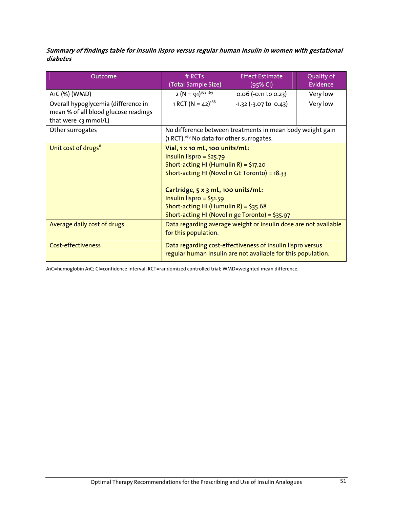#### Summary of findings table for insulin lispro versus regular human insulin in women with gestational diabetes

| Outcome                              | $#$ RCTs<br>(Total Sample Size)                                                                                                                                                                                                                                                                                      | <b>Effect Estimate</b><br>$(95%$ CI)                      | Quality of<br>Evidence |
|--------------------------------------|----------------------------------------------------------------------------------------------------------------------------------------------------------------------------------------------------------------------------------------------------------------------------------------------------------------------|-----------------------------------------------------------|------------------------|
| A1C (%) (WMD)                        | $2 (N = 91)^{168,169}$                                                                                                                                                                                                                                                                                               | $0.06$ (-0.11 to 0.23)                                    | Very low               |
| Overall hypoglycemia (difference in  | 1 RCT $(N = 42)^{168}$                                                                                                                                                                                                                                                                                               | $-1.32$ ( $-3.07$ to 0.43)                                | Very low               |
| mean % of all blood glucose readings |                                                                                                                                                                                                                                                                                                                      |                                                           |                        |
| that were <3 mmol/L)                 |                                                                                                                                                                                                                                                                                                                      |                                                           |                        |
| Other surrogates                     | (1 RCT). <sup>169</sup> No data for other surrogates.                                                                                                                                                                                                                                                                | No difference between treatments in mean body weight gain |                        |
| Unit cost of drugs <sup>8</sup>      | Vial, 1 x 10 mL, 100 units/mL:<br>Insulin lispro = $$25.79$<br>Short-acting HI (Humulin R) = $$17.20$<br>Short-acting HI (Novolin GE Toronto) = 18.33<br>Cartridge, 5 x 3 mL, 100 units/mL:<br>Insulin lispro = $$51.59$<br>Short-acting HI (Humulin R) = $$35.68$<br>Short-acting HI (Novolin ge Toronto) = \$35.97 |                                                           |                        |
| Average daily cost of drugs          | Data regarding average weight or insulin dose are not available<br>for this population.                                                                                                                                                                                                                              |                                                           |                        |
| <b>Cost-effectiveness</b>            | Data regarding cost-effectiveness of insulin lispro versus<br>regular human insulin are not available for this population.                                                                                                                                                                                           |                                                           |                        |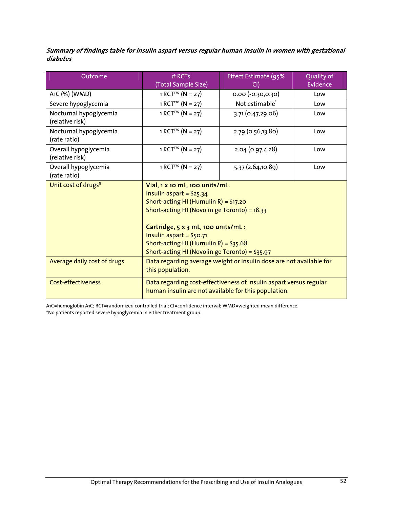#### Summary of findings table for insulin aspart versus regular human insulin in women with gestational diabetes

| Outcome                                   | $#$ RCTs<br>(Total Sample Size)                                                                                                                                                                                                                                                                                      | Effect Estimate (95%<br>CI) | Quality of<br>Evidence |
|-------------------------------------------|----------------------------------------------------------------------------------------------------------------------------------------------------------------------------------------------------------------------------------------------------------------------------------------------------------------------|-----------------------------|------------------------|
| A1C (%) (WMD)                             | 1 RCT <sup>170</sup> (N = 27)                                                                                                                                                                                                                                                                                        | $0.00 (-0.30, 0.30)$        | Low                    |
| Severe hypoglycemia                       | 1 RCT <sup>170</sup> (N = 27)                                                                                                                                                                                                                                                                                        | Not estimable <sup>®</sup>  | Low                    |
| Nocturnal hypoglycemia<br>(relative risk) | 1 RCT <sup>170</sup> (N = 27)                                                                                                                                                                                                                                                                                        | 3.71 (0.47,29.06)           | Low                    |
| Nocturnal hypoglycemia<br>(rate ratio)    | 1 RCT <sup>170</sup> (N = 27)                                                                                                                                                                                                                                                                                        | 2.79 (0.56,13.80)           | Low                    |
| Overall hypoglycemia<br>(relative risk)   | 1 RCT <sup>170</sup> (N = 27)                                                                                                                                                                                                                                                                                        | 2.04 (0.97,4.28)            | Low                    |
| Overall hypoglycemia<br>(rate ratio)      | 1 RCT <sup>170</sup> (N = 27)                                                                                                                                                                                                                                                                                        | 5.37 (2.64,10.89)           | Low                    |
| Unit cost of drugs <sup>8</sup>           | Vial, 1 x 10 mL, 100 units/mL:<br>Insulin aspart = $$25.34$<br>Short-acting HI (Humulin R) = $$17.20$<br>Short-acting HI (Novolin ge Toronto) = 18.33<br>Cartridge, 5 x 3 mL, 100 units/mL:<br>Insulin aspart = $$50.71$<br>Short-acting HI (Humulin R) = $$35.68$<br>Short-acting HI (Novolin ge Toronto) = \$35.97 |                             |                        |
| Average daily cost of drugs               | Data regarding average weight or insulin dose are not available for<br>this population.                                                                                                                                                                                                                              |                             |                        |
| <b>Cost-effectiveness</b>                 | Data regarding cost-effectiveness of insulin aspart versus regular<br>human insulin are not available for this population.                                                                                                                                                                                           |                             |                        |

A1C=hemoglobin A1C; RCT=randomized controlled trial; CI=confidence interval; WMD=weighted mean difference. \*No patients reported severe hypoglycemia in either treatment group.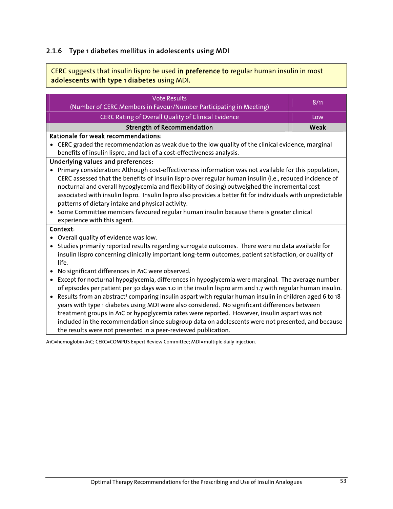## 2.1.6 Type 1 diabetes mellitus in adolescents using MDI

CERC suggests that insulin lispro be used in preference to regular human insulin in most adolescents with type 1 diabetes using MDI.

| <b>Vote Results</b><br>(Number of CERC Members in Favour/Number Participating in Meeting)                                                                                                                                                                                                                                                                                                                                    | 8/11 |  |  |
|------------------------------------------------------------------------------------------------------------------------------------------------------------------------------------------------------------------------------------------------------------------------------------------------------------------------------------------------------------------------------------------------------------------------------|------|--|--|
| <b>CERC Rating of Overall Quality of Clinical Evidence</b>                                                                                                                                                                                                                                                                                                                                                                   | Low  |  |  |
| <b>Strength of Recommendation</b>                                                                                                                                                                                                                                                                                                                                                                                            | Weak |  |  |
| Rationale for weak recommendations:                                                                                                                                                                                                                                                                                                                                                                                          |      |  |  |
| CERC graded the recommendation as weak due to the low quality of the clinical evidence, marginal                                                                                                                                                                                                                                                                                                                             |      |  |  |
| benefits of insulin lispro, and lack of a cost-effectiveness analysis.                                                                                                                                                                                                                                                                                                                                                       |      |  |  |
| <b>Underlying values and preferences:</b>                                                                                                                                                                                                                                                                                                                                                                                    |      |  |  |
| Primary consideration: Although cost-effectiveness information was not available for this population,                                                                                                                                                                                                                                                                                                                        |      |  |  |
| CERC assessed that the benefits of insulin lispro over regular human insulin (i.e., reduced incidence of                                                                                                                                                                                                                                                                                                                     |      |  |  |
| nocturnal and overall hypoglycemia and flexibility of dosing) outweighed the incremental cost                                                                                                                                                                                                                                                                                                                                |      |  |  |
| associated with insulin lispro. Insulin lispro also provides a better fit for individuals with unpredictable                                                                                                                                                                                                                                                                                                                 |      |  |  |
| patterns of dietary intake and physical activity.                                                                                                                                                                                                                                                                                                                                                                            |      |  |  |
| Some Committee members favoured regular human insulin because there is greater clinical<br>$\bullet$                                                                                                                                                                                                                                                                                                                         |      |  |  |
| experience with this agent.                                                                                                                                                                                                                                                                                                                                                                                                  |      |  |  |
| Context:                                                                                                                                                                                                                                                                                                                                                                                                                     |      |  |  |
| Overall quality of evidence was low.                                                                                                                                                                                                                                                                                                                                                                                         |      |  |  |
| Studies primarily reported results regarding surrogate outcomes. There were no data available for<br>$\bullet$                                                                                                                                                                                                                                                                                                               |      |  |  |
| insulin lispro concerning clinically important long-term outcomes, patient satisfaction, or quality of                                                                                                                                                                                                                                                                                                                       |      |  |  |
| life.                                                                                                                                                                                                                                                                                                                                                                                                                        |      |  |  |
| No significant differences in A1C were observed.                                                                                                                                                                                                                                                                                                                                                                             |      |  |  |
| Except for nocturnal hypoglycemia, differences in hypoglycemia were marginal. The average number<br>$\bullet$                                                                                                                                                                                                                                                                                                                |      |  |  |
| of episodes per patient per 30 days was 1.0 in the insulin lispro arm and 1.7 with regular human insulin.                                                                                                                                                                                                                                                                                                                    |      |  |  |
| Results from an abstract <sup>3</sup> comparing insulin aspart with regular human insulin in children aged 6 to 18<br>$\bullet$                                                                                                                                                                                                                                                                                              |      |  |  |
| years with type 1 diabetes using MDI were also considered. No significant differences between                                                                                                                                                                                                                                                                                                                                |      |  |  |
| treatment groups in A1C or hypoglycemia rates were reported. However, insulin aspart was not                                                                                                                                                                                                                                                                                                                                 |      |  |  |
| included in the recommendation since subgroup data on adolescents were not presented, and because                                                                                                                                                                                                                                                                                                                            |      |  |  |
| the results were not presented in a peer-reviewed publication.                                                                                                                                                                                                                                                                                                                                                               |      |  |  |
| $\mathbf{1} + \mathbf{1} + \mathbf{1} + \mathbf{2} + \mathbf{3} + \mathbf{4} + \mathbf{5} + \mathbf{6} + \mathbf{7} + \mathbf{8} + \mathbf{8} + \mathbf{9} + \mathbf{1} + \mathbf{1} + \mathbf{1} + \mathbf{1} + \mathbf{1} + \mathbf{1} + \mathbf{1} + \mathbf{1} + \mathbf{1} + \mathbf{1} + \mathbf{1} + \mathbf{1} + \mathbf{1} + \mathbf{1} + \mathbf{1} + \mathbf{1} + \mathbf{1} + \mathbf{1} + \mathbf{1} + \mathbf$ |      |  |  |

A1C=hemoglobin A1C; CERC=COMPUS Expert Review Committee; MDI=multiple daily injection.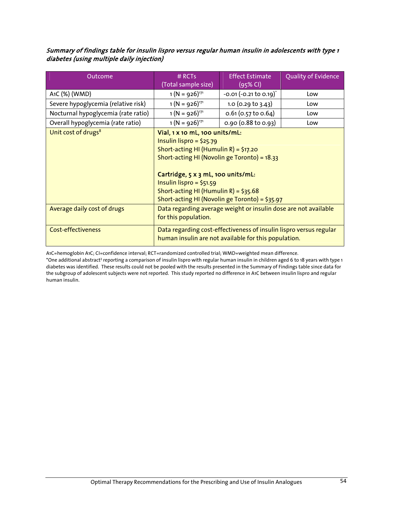#### Summary of findings table for insulin lispro versus regular human insulin in adolescents with type 1 diabetes (using multiple daily injection)

| Outcome                             | $#$ RCTs<br>(Total sample size)                                                                                                                                                                                                                                                                                      | <b>Effect Estimate</b><br>$(95%$ CI) | Quality of Evidence |
|-------------------------------------|----------------------------------------------------------------------------------------------------------------------------------------------------------------------------------------------------------------------------------------------------------------------------------------------------------------------|--------------------------------------|---------------------|
| A1C (%) (WMD)                       | $1 (N = 926)^{171}$                                                                                                                                                                                                                                                                                                  | $-0.01 (-0.21 \text{ to } 0.19)^T$   | Low                 |
| Severe hypoglycemia (relative risk) | $1 (N = 926)^{171}$                                                                                                                                                                                                                                                                                                  | 1.0 (0.29 to 3.43)                   | Low                 |
| Nocturnal hypoglycemia (rate ratio) | $1 (N = 926)^{171}$                                                                                                                                                                                                                                                                                                  | $0.61$ (0.57 to 0.64)                | Low                 |
| Overall hypoglycemia (rate ratio)   | $1 (N = 926)^{171}$                                                                                                                                                                                                                                                                                                  | $0.90$ (0.88 to 0.93)                | Low                 |
| Unit cost of drugs <sup>8</sup>     | Vial, 1 x 10 mL, 100 units/mL:<br>Insulin lispro = $$25.79$<br>Short-acting HI (Humulin R) = $$17.20$<br>Short-acting HI (Novolin ge Toronto) = 18.33<br>Cartridge, 5 x 3 mL, 100 units/mL:<br>Insulin lispro = $$51.59$<br>Short-acting HI (Humulin R) = $$35.68$<br>Short-acting HI (Novolin ge Toronto) = \$35.97 |                                      |                     |
| Average daily cost of drugs         | Data regarding average weight or insulin dose are not available<br>for this population.                                                                                                                                                                                                                              |                                      |                     |
| <b>Cost-effectiveness</b>           | Data regarding cost-effectiveness of insulin lispro versus regular<br>human insulin are not available for this population.                                                                                                                                                                                           |                                      |                     |

A1C=hemoglobin A1C; CI=confidence interval; RCT=randomized controlled trial; WMD=weighted mean difference.

\*One additional abstract<sup>3</sup> reporting a comparison of insulin lispro with regular human insulin in children aged 6 to 18 years with type 1 diabetes was identified. These results could not be pooled with the results presented in the Summary of Findings table since data for the subgroup of adolescent subjects were not reported. This study reported no difference in A1C between insulin lispro and regular human insulin.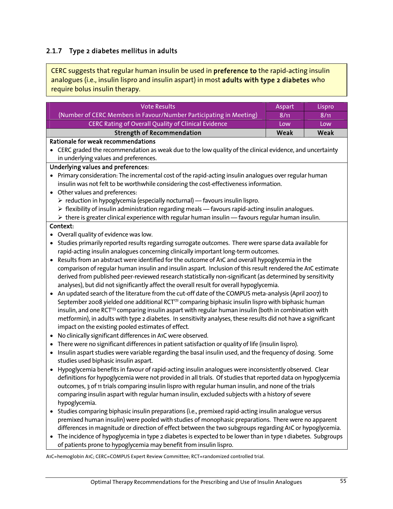## 2.1.7 Type 2 diabetes mellitus in adults

l, 

CERC suggests that regular human insulin be used in preference to the rapid-acting insulin analogues (i.e., insulin lispro and insulin aspart) in most adults with type 2 diabetes who require bolus insulin therapy.

| <b>Vote Results</b>                                                                                                                                                                                                     | Aspart | Lispro |
|-------------------------------------------------------------------------------------------------------------------------------------------------------------------------------------------------------------------------|--------|--------|
| (Number of CERC Members in Favour/Number Participating in Meeting)                                                                                                                                                      | 8/11   | 8/11   |
| CERC Rating of Overall Quality of Clinical Evidence                                                                                                                                                                     | Low    | Low    |
| <b>Strength of Recommendation</b>                                                                                                                                                                                       | Weak   | Weak   |
| Rationale for weak recommendations                                                                                                                                                                                      |        |        |
| • CERC graded the recommendation as weak due to the low quality of the clinical evidence, and uncertainty                                                                                                               |        |        |
| in underlying values and preferences.                                                                                                                                                                                   |        |        |
| <b>Underlying values and preferences:</b>                                                                                                                                                                               |        |        |
| • Primary consideration: The incremental cost of the rapid-acting insulin analogues over regular human                                                                                                                  |        |        |
| insulin was not felt to be worthwhile considering the cost-effectiveness information.                                                                                                                                   |        |        |
| • Other values and preferences:                                                                                                                                                                                         |        |        |
| $\triangleright$ reduction in hypoglycemia (especially nocturnal) — favours insulin lispro.                                                                                                                             |        |        |
| $\triangleright$ flexibility of insulin administration regarding meals - favours rapid-acting insulin analogues.                                                                                                        |        |        |
| $\triangleright$ there is greater clinical experience with regular human insulin - favours regular human insulin.                                                                                                       |        |        |
| Context:                                                                                                                                                                                                                |        |        |
| Overall quality of evidence was low.                                                                                                                                                                                    |        |        |
| Studies primarily reported results regarding surrogate outcomes. There were sparse data available for                                                                                                                   |        |        |
| rapid-acting insulin analogues concerning clinically important long-term outcomes.                                                                                                                                      |        |        |
| Results from an abstract were identified for the outcome of A1C and overall hypoglycemia in the                                                                                                                         |        |        |
| comparison of regular human insulin and insulin aspart. Inclusion of this result rendered the A1C estimate                                                                                                              |        |        |
| derived from published peer-reviewed research statistically non-significant (as determined by sensitivity                                                                                                               |        |        |
| analyses), but did not significantly affect the overall result for overall hypoglycemia.                                                                                                                                |        |        |
| An updated search of the literature from the cut-off date of the COMPUS meta-analysis (April 2007) to<br>September 2008 yielded one additional RCT <sup>172</sup> comparing biphasic insulin lispro with biphasic human |        |        |
| insulin, and one RCT <sup>13</sup> comparing insulin aspart with regular human insulin (both in combination with                                                                                                        |        |        |
| metformin), in adults with type 2 diabetes. In sensitivity analyses, these results did not have a significant                                                                                                           |        |        |
| impact on the existing pooled estimates of effect.                                                                                                                                                                      |        |        |
| No clinically significant differences in A1C were observed.                                                                                                                                                             |        |        |
| There were no significant differences in patient satisfaction or quality of life (insulin lispro).<br>$\bullet$                                                                                                         |        |        |
| Insulin aspart studies were variable regarding the basal insulin used, and the frequency of dosing. Some<br>$\bullet$                                                                                                   |        |        |
| studies used biphasic insulin aspart.                                                                                                                                                                                   |        |        |
| Hypoglycemia benefits in favour of rapid-acting insulin analogues were inconsistently observed. Clear<br>$\bullet$                                                                                                      |        |        |
| definitions for hypoglycemia were not provided in all trials. Of studies that reported data on hypoglycemia                                                                                                             |        |        |
| outcomes, 3 of 11 trials comparing insulin lispro with regular human insulin, and none of the trials                                                                                                                    |        |        |
| comparing insulin aspart with regular human insulin, excluded subjects with a history of severe                                                                                                                         |        |        |
| hypoglycemia.                                                                                                                                                                                                           |        |        |
| Studies comparing biphasic insulin preparations (i.e., premixed rapid-acting insulin analogue versus                                                                                                                    |        |        |
| premixed human insulin) were pooled with studies of monophasic preparations. There were no apparent                                                                                                                     |        |        |
| differences in magnitude or direction of effect between the two subgroups regarding A1C or hypoglycemia.                                                                                                                |        |        |
| The incidence of hypoglycemia in type 2 diabetes is expected to be lower than in type 1 diabetes. Subgroups<br>$\bullet$                                                                                                |        |        |
| of patients prone to hypoglycemia may benefit from insulin lispro.                                                                                                                                                      |        |        |

A1C=hemoglobin A1C; CERC=COMPUS Expert Review Committee; RCT=randomized controlled trial.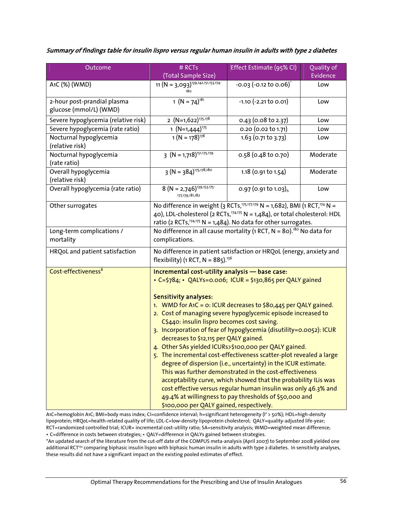#### Summary of findings table for insulin lispro versus regular human insulin in adults with type 2 diabetes

| Outcome                                               | # RCTs                                                                                                                                                                                                                                                   | Effect Estimate (95% CI)                                                                                                                                                                                                                                                                                                                                                                                                                                                                                                                                                                                                                                                                                                                    | Quality of |
|-------------------------------------------------------|----------------------------------------------------------------------------------------------------------------------------------------------------------------------------------------------------------------------------------------------------------|---------------------------------------------------------------------------------------------------------------------------------------------------------------------------------------------------------------------------------------------------------------------------------------------------------------------------------------------------------------------------------------------------------------------------------------------------------------------------------------------------------------------------------------------------------------------------------------------------------------------------------------------------------------------------------------------------------------------------------------------|------------|
|                                                       | (Total Sample Size)                                                                                                                                                                                                                                      |                                                                                                                                                                                                                                                                                                                                                                                                                                                                                                                                                                                                                                                                                                                                             | Evidence   |
| A1C (%) (WMD)                                         | 11 $(N = 3,093)^{139,142,151,153,174}$                                                                                                                                                                                                                   | $-0.03$ $(-0.12 \text{ to } 0.06)^{*}$                                                                                                                                                                                                                                                                                                                                                                                                                                                                                                                                                                                                                                                                                                      | Low        |
| 2-hour post-prandial plasma<br>glucose (mmol/L) (WMD) | 1 $(N = 74)^{181}$                                                                                                                                                                                                                                       | $-1.10$ $(-2.21$ to 0.01)                                                                                                                                                                                                                                                                                                                                                                                                                                                                                                                                                                                                                                                                                                                   | Low        |
| Severe hypoglycemia (relative risk)                   | 2 $(N=1,622)^{175,178}$                                                                                                                                                                                                                                  | 0.43 (0.08 to 2.37)                                                                                                                                                                                                                                                                                                                                                                                                                                                                                                                                                                                                                                                                                                                         | Low        |
| Severe hypoglycemia (rate ratio)                      | $\frac{1 (N=1,444)^{175}}{1 (N=178)^{178}}$                                                                                                                                                                                                              | 0.20 (0.02 to 1.71)                                                                                                                                                                                                                                                                                                                                                                                                                                                                                                                                                                                                                                                                                                                         | Low        |
| Nocturnal hypoglycemia<br>(relative risk)             |                                                                                                                                                                                                                                                          | $1.63$ (0.71 to 3.73)                                                                                                                                                                                                                                                                                                                                                                                                                                                                                                                                                                                                                                                                                                                       | Low        |
| Nocturnal hypoglycemia<br>(rate ratio)                | $3 (N = 1,718)^{151,175,179}$                                                                                                                                                                                                                            | 0.58 (0.48 to 0.70)                                                                                                                                                                                                                                                                                                                                                                                                                                                                                                                                                                                                                                                                                                                         | Moderate   |
| Overall hypoglycemia<br>(relative risk)               | $3 (N = 384)^{175,178,180}$                                                                                                                                                                                                                              | 1.18 (0.91 to 1.54)                                                                                                                                                                                                                                                                                                                                                                                                                                                                                                                                                                                                                                                                                                                         | Moderate   |
| Overall hypoglycemia (rate ratio)                     | $8 (N = 2,746)^{139,153,175}$<br>177, 179, 181, 182                                                                                                                                                                                                      | 0.97 (0.91 to 1.03) <sub>h</sub>                                                                                                                                                                                                                                                                                                                                                                                                                                                                                                                                                                                                                                                                                                            | Low        |
| Other surrogates                                      | No difference in weight (3 RCTs, <sup>175,177,179</sup> N = 1,682), BMI (1 RCT, <sup>174</sup> N =<br>40), LDL-cholesterol (2 RCTs, $74,775$ N = 1,484), or total cholesterol: HDL<br>ratio (2 RCTs, $174.175$ N = 1,484). No data for other surrogates. |                                                                                                                                                                                                                                                                                                                                                                                                                                                                                                                                                                                                                                                                                                                                             |            |
| Long-term complications /<br>mortality                | No difference in all cause mortality (1 RCT, $N = 80$ ). <sup>180</sup> No data for<br>complications.                                                                                                                                                    |                                                                                                                                                                                                                                                                                                                                                                                                                                                                                                                                                                                                                                                                                                                                             |            |
| HRQoL and patient satisfaction                        | No difference in patient satisfaction or HRQoL (energy, anxiety and<br>flexibility) (1 RCT, $N = 885$ ). <sup>156</sup>                                                                                                                                  |                                                                                                                                                                                                                                                                                                                                                                                                                                                                                                                                                                                                                                                                                                                                             |            |
| Cost-effectiveness <sup>8</sup>                       | Incremental cost-utility analysis - base case:<br><b>Sensitivity analyses:</b><br>C\$440: insulin lispro becomes cost saving.<br>decreases to \$12,115 per QALY gained.<br>\$100,000 per QALY gained, respectively.                                      | • $C = \frac{5}{84}$ ; • QALYs=0.006; ICUR = \$130,865 per QALY gained<br>1. WMD for A1C = 0: ICUR decreases to \$80,445 per QALY gained.<br>2. Cost of managing severe hypoglycemic episode increased to<br>3. Incorporation of fear of hypoglycemia (disutility=0.0052): ICUR<br>4. Other SAs yielded ICURs>\$100,000 per QALY gained.<br>5. The incremental cost-effectiveness scatter-plot revealed a large<br>degree of dispersion (i.e., uncertainty) in the ICUR estimate.<br>This was further demonstrated in the cost-effectiveness<br>acceptability curve, which showed that the probability ILis was<br>cost effective versus regular human insulin was only 46.3% and<br>49.4% at willingness to pay thresholds of \$50,000 and |            |

A1C=hemoglobin A1C; BMI=body mass index; CI=confidence interval; h=significant heterogeneity (I2 > 50%); HDL=high-density lipoprotein; HRQoL=health-related quality of life; LDL-C=low-density lipoprotein cholesterol; QALY=quality-adjusted life-year; RCT=randomized controlled trial; ICUR= incremental cost-utility ratio; SA=sensitivity analysis; WMD=weighted mean difference; • C=difference in costs between strategies; • QALY=difference in QALYs gained between strategies.

\*An updated search of the literature from the cut-off date of the COMPUS meta-analysis (April 2007) to September 2008 yielded one

additional RCT<sup>172</sup> comparing biphasic insulin lispro with biphasic human insulin in adults with type 2 diabetes. In sensitivity analyses, these results did not have a significant impact on the existing pooled estimates of effect.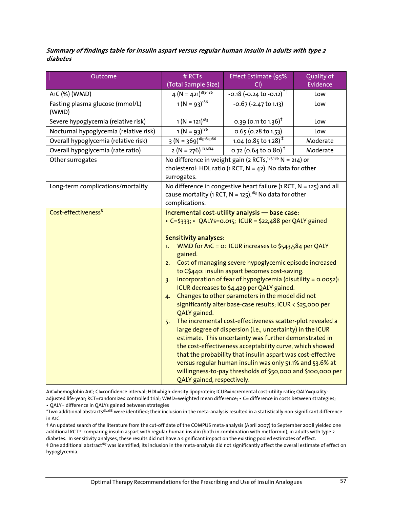#### Summary of findings table for insulin aspart versus regular human insulin in adults with type 2 diabetes

| Outcome                                  | # RCTs                                                                                                                                                              | Effect Estimate (95%                                                                                                                                                                                                                                                                                                                                                                                                                                                                                                                                                                                                                                                                                                                                                                                                                                                                                                                                                        | Quality of |
|------------------------------------------|---------------------------------------------------------------------------------------------------------------------------------------------------------------------|-----------------------------------------------------------------------------------------------------------------------------------------------------------------------------------------------------------------------------------------------------------------------------------------------------------------------------------------------------------------------------------------------------------------------------------------------------------------------------------------------------------------------------------------------------------------------------------------------------------------------------------------------------------------------------------------------------------------------------------------------------------------------------------------------------------------------------------------------------------------------------------------------------------------------------------------------------------------------------|------------|
|                                          | (Total Sample Size)                                                                                                                                                 | CD.                                                                                                                                                                                                                                                                                                                                                                                                                                                                                                                                                                                                                                                                                                                                                                                                                                                                                                                                                                         | Evidence   |
| A1C (%) (WMD)                            | $4 (N = 421)^{183 \cdot 186}$                                                                                                                                       | $-0.18$ (-0.24 to $-0.12$ ) <sup>*</sup>                                                                                                                                                                                                                                                                                                                                                                                                                                                                                                                                                                                                                                                                                                                                                                                                                                                                                                                                    | Low        |
| Fasting plasma glucose (mmol/L)<br>(WMD) | $1 (N = 93)^{186}$                                                                                                                                                  | $-0.67$ $(-2.47$ to 1.13)                                                                                                                                                                                                                                                                                                                                                                                                                                                                                                                                                                                                                                                                                                                                                                                                                                                                                                                                                   | Low        |
| Severe hypoglycemia (relative risk)      | $1 (N = 121)^{183}$                                                                                                                                                 | 0.39 (0.11 to 1.36) <sup>T</sup>                                                                                                                                                                                                                                                                                                                                                                                                                                                                                                                                                                                                                                                                                                                                                                                                                                                                                                                                            | Low        |
| Nocturnal hypoglycemia (relative risk)   | $1 (N = 93)^{186}$                                                                                                                                                  | $0.65$ (0.28 to 1.53)                                                                                                                                                                                                                                                                                                                                                                                                                                                                                                                                                                                                                                                                                                                                                                                                                                                                                                                                                       | Low        |
| Overall hypoglycemia (relative risk)     | $\overline{3}$ (N = 369) <sup>183,184,186</sup>                                                                                                                     | 1.04 (0.85 to 1.28) <sup><math>‡</math></sup>                                                                                                                                                                                                                                                                                                                                                                                                                                                                                                                                                                                                                                                                                                                                                                                                                                                                                                                               | Moderate   |
| Overall hypoglycemia (rate ratio)        | $2 (N = 276)^{183,184}$                                                                                                                                             | 0.72 (0.64 to 0.80) <sup>†</sup>                                                                                                                                                                                                                                                                                                                                                                                                                                                                                                                                                                                                                                                                                                                                                                                                                                                                                                                                            | Moderate   |
| Other surrogates                         | surrogates.                                                                                                                                                         | No difference in weight gain (2 RCTs, <sup>183,186</sup> N = $\overline{214}$ ) or<br>cholesterol: HDL ratio (1 RCT, $N = 42$ ). No data for other                                                                                                                                                                                                                                                                                                                                                                                                                                                                                                                                                                                                                                                                                                                                                                                                                          |            |
| Long-term complications/mortality        | No difference in congestive heart failure ( $1$ RCT, N = $125$ ) and all<br>cause mortality (1 RCT, $N = 125$ ). <sup>183</sup> No data for other<br>complications. |                                                                                                                                                                                                                                                                                                                                                                                                                                                                                                                                                                                                                                                                                                                                                                                                                                                                                                                                                                             |            |
| Cost-effectiveness <sup>8</sup>          | <b>Sensitivity analyses:</b><br>1.<br>gained.<br>2.<br>3.<br>$\mathbf{4}$<br>QALY gained.<br>5.<br>QALY gained, respectively.                                       | Incremental cost-utility analysis - base case:<br>• $C = \frac{2333}{7}$ • QALYs=0.015; ICUR = \$22,488 per QALY gained<br>WMD for A1C = 0: ICUR increases to \$543,584 per QALY<br>Cost of managing severe hypoglycemic episode increased<br>to C\$440: insulin aspart becomes cost-saving.<br>Incorporation of fear of hypoglycemia (disutility = $0.0052$ ):<br>ICUR decreases to \$4,429 per QALY gained.<br>Changes to other parameters in the model did not<br>significantly alter base-case results; ICUR < \$25,000 per<br>The incremental cost-effectiveness scatter-plot revealed a<br>large degree of dispersion (i.e., uncertainty) in the ICUR<br>estimate. This uncertainty was further demonstrated in<br>the cost-effectiveness acceptability curve, which showed<br>that the probability that insulin aspart was cost-effective<br>versus regular human insulin was only 51.1% and 53.6% at<br>willingness-to-pay thresholds of \$50,000 and \$100,000 per |            |

A1C=hemoglobin A1C; CI=confidence interval; HDL=high-density lipoprotein; ICUR=incremental cost-utility ratio; QALY=qualityadjusted life-year; RCT=randomized controlled trial; WMD=weighted mean difference; • C= difference in costs between strategies; • QALY= difference in QALYs gained between strategies

\*Two additional abstracts<sup>187,188</sup> were identified; their inclusion in the meta-analysis resulted in a statistically non-significant difference in A1C.

† An updated search of the literature from the cut-off date of the COMPUS meta-analysis (April 2007) to September 2008 yielded one additional RCT<sup>173</sup> comparing insulin aspart with regular human insulin (both in combination with metformin), in adults with type 2 diabetes. In sensitivity analyses, these results did not have a significant impact on the existing pooled estimates of effect.

 $\ddagger$  One additional abstract<sup>187</sup> was identified; its inclusion in the meta-analysis did not significantly affect the overall estimate of effect on hypoglycemia.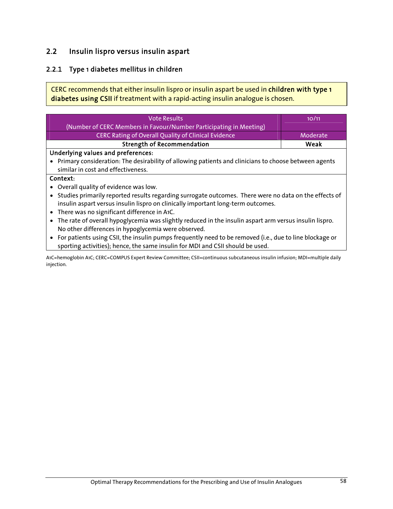## 2.2 Insulin lispro versus insulin aspart

## 2.2.1 Type 1 diabetes mellitus in children

CERC recommends that either insulin lispro or insulin aspart be used in children with type 1 diabetes using CSII if treatment with a rapid-acting insulin analogue is chosen.

| <b>Vote Results</b>                                                                                       | 10/11    |
|-----------------------------------------------------------------------------------------------------------|----------|
| (Number of CERC Members in Favour/Number Participating in Meeting)                                        |          |
| <b>CERC Rating of Overall Quality of Clinical Evidence</b>                                                | Moderate |
| <b>Strength of Recommendation</b>                                                                         | Weak     |
| Underlying values and preferences:                                                                        |          |
| • Primary consideration: The desirability of allowing patients and clinicians to choose between agents    |          |
| similar in cost and effectiveness.                                                                        |          |
| Context:                                                                                                  |          |
| • Overall quality of evidence was low.                                                                    |          |
| • Studies primarily reported results regarding surrogate outcomes. There were no data on the effects of   |          |
| insulin aspart versus insulin lispro on clinically important long-term outcomes.                          |          |
| • There was no significant difference in A1C.                                                             |          |
| The rate of overall hypoglycemia was slightly reduced in the insulin aspart arm versus insulin lispro.    |          |
| No other differences in hypoglycemia were observed.                                                       |          |
| • For patients using CSII, the insulin pumps frequently need to be removed (i.e., due to line blockage or |          |
| sporting activities); hence, the same insulin for MDI and CSII should be used.                            |          |

A1C=hemoglobin A1C; CERC=COMPUS Expert Review Committee; CSII=continuous subcutaneous insulin infusion; MDI=multiple daily injection.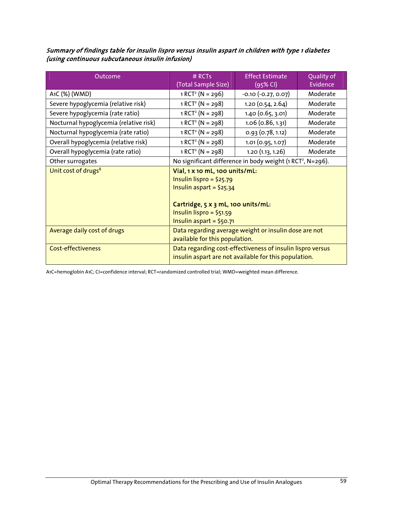#### Summary of findings table for insulin lispro versus insulin aspart in children with type 1 diabetes (using continuous subcutaneous insulin infusion)

| Outcome                                | # RCTs                                                                                                                         | <b>Effect Estimate</b>  | Quality of |
|----------------------------------------|--------------------------------------------------------------------------------------------------------------------------------|-------------------------|------------|
|                                        | (Total Sample Size)                                                                                                            | (95% CI)                | Evidence   |
| A1C (%) (WMD)                          | $1 RCT2 (N = 296)$                                                                                                             | $-0.10$ $(-0.27, 0.07)$ | Moderate   |
| Severe hypoglycemia (relative risk)    | $1 RCT2 (N = 298)$                                                                                                             | 1.20 (0.54, 2.64)       | Moderate   |
| Severe hypoglycemia (rate ratio)       | $1 RCT2 (N = 298)$                                                                                                             | $1.40$ (0.65, 3.01)     | Moderate   |
| Nocturnal hypoglycemia (relative risk) | $1 RCT2 (N = 298)$                                                                                                             | $1.06$ (0.86, 1.31)     | Moderate   |
| Nocturnal hypoglycemia (rate ratio)    | $1 RCT2 (N = 298)$                                                                                                             | 0.93(0.78, 1.12)        | Moderate   |
| Overall hypoglycemia (relative risk)   | $1 RCT2 (N = 298)$                                                                                                             | 1.01 (0.95, 1.07)       | Moderate   |
| Overall hypoglycemia (rate ratio)      | $1 RCT2 (N = 298)$                                                                                                             | 1.20(1.13, 1.26)        | Moderate   |
| Other surrogates                       | No significant difference in body weight (1 RCT <sup>2</sup> , N=296).                                                         |                         |            |
| Unit cost of drugs <sup>8</sup>        | Vial, 1 x 10 mL, 100 units/mL:<br>Insulin lispro = $$25.79$<br>Insulin aspart = $$25.34$<br>Cartridge, 5 x 3 mL, 100 units/mL: |                         |            |
|                                        | Insulin lispro = $$51.59$<br>Insulin aspart = $$50.71$                                                                         |                         |            |
| Average daily cost of drugs            | Data regarding average weight or insulin dose are not<br>available for this population.                                        |                         |            |
| <b>Cost-effectiveness</b>              | Data regarding cost-effectiveness of insulin lispro versus<br>insulin aspart are not available for this population.            |                         |            |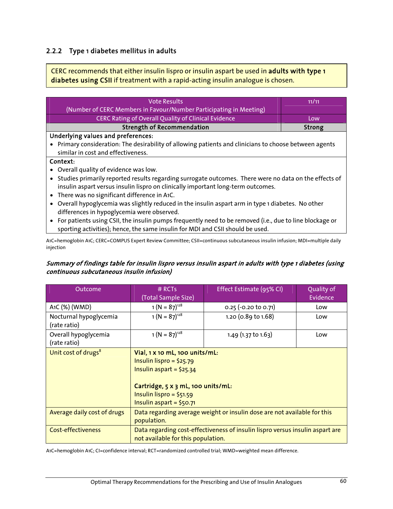### 2.2.2 Type 1 diabetes mellitus in adults

CERC recommends that either insulin lispro or insulin aspart be used in adults with type 1 diabetes using CSII if treatment with a rapid-acting insulin analogue is chosen.

| <b>Vote Results</b>                                                                                       | 11/11         |
|-----------------------------------------------------------------------------------------------------------|---------------|
| (Number of CERC Members in Favour/Number Participating in Meeting)                                        |               |
| CERC Rating of Overall Quality of Clinical Evidence                                                       | Low.          |
| <b>Strength of Recommendation</b>                                                                         | <b>Strong</b> |
| Underlying values and preferences:                                                                        |               |
| • Primary consideration: The desirability of allowing patients and clinicians to choose between agents    |               |
| similar in cost and effectiveness.                                                                        |               |
| Context:                                                                                                  |               |
| • Overall quality of evidence was low.                                                                    |               |
| • Studies primarily reported results regarding surrogate outcomes. There were no data on the effects of   |               |
| insulin aspart versus insulin lispro on clinically important long-term outcomes.                          |               |
| • There was no significant difference in A1C.                                                             |               |
| • Overall hypoglycemia was slightly reduced in the insulin aspart arm in type 1 diabetes. No other        |               |
| differences in hypoglycemia were observed.                                                                |               |
| • For patients using CSII, the insulin pumps frequently need to be removed (i.e., due to line blockage or |               |
| sporting activities); hence, the same insulin for MDI and CSII should be used.                            |               |

A1C=hemoglobin A1C; CERC=COMPUS Expert Review Committee; CSII=continuous subcutaneous insulin infusion; MDI=multiple daily injection

#### Summary of findings table for insulin lispro versus insulin aspart in adults with type 1 diabetes (using continuous subcutaneous insulin infusion)

| Outcome                                | $#$ RCTs<br>(Total Sample Size)                                                                                                                                                          | Effect Estimate (95% CI)                                                      | Quality of<br>Evidence |
|----------------------------------------|------------------------------------------------------------------------------------------------------------------------------------------------------------------------------------------|-------------------------------------------------------------------------------|------------------------|
| A1C (%) (WMD)                          | $1 (N = 87)^{128}$                                                                                                                                                                       | $0.25$ (-0.20 to 0.71)                                                        | Low                    |
| Nocturnal hypoglycemia<br>(rate ratio) | $1 (N = 87)^{128}$                                                                                                                                                                       | 1.20 (0.89 to 1.68)                                                           | Low                    |
| Overall hypoglycemia<br>(rate ratio)   | $1 (N = 87)^{128}$                                                                                                                                                                       | 1.49 (1.37 to 1.63)                                                           | Low                    |
| Unit cost of drugs <sup>8</sup>        | Vial, 1 x 10 mL, 100 units/mL:<br>Insulin lispro = $$25.79$<br>Insulin aspart = $$25.34$<br>Cartridge, 5 x 3 mL, 100 units/mL:<br>Insulin lispro = $$51.59$<br>Insulin aspart = $$50.71$ |                                                                               |                        |
| Average daily cost of drugs            | population.                                                                                                                                                                              | Data regarding average weight or insulin dose are not available for this      |                        |
| <b>Cost-effectiveness</b>              | not available for this population.                                                                                                                                                       | Data regarding cost-effectiveness of insulin lispro versus insulin aspart are |                        |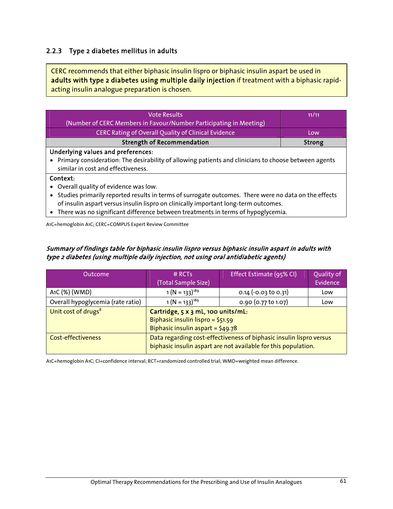## 2.2.3 Type 2 diabetes mellitus in adults

CERC recommends that either biphasic insulin lispro or biphasic insulin aspart be used in adults with type 2 diabetes using multiple daily injection if treatment with a biphasic rapidacting insulin analogue preparation is chosen.

| <b>Vote Results</b>                                                                                               | 11/11  |  |
|-------------------------------------------------------------------------------------------------------------------|--------|--|
| (Number of CERC Members in Favour/Number Participating in Meeting)                                                |        |  |
| CERC Rating of Overall Quality of Clinical Evidence                                                               | Low    |  |
| <b>Strength of Recommendation</b>                                                                                 | Strong |  |
| Underlying values and preferences:                                                                                |        |  |
| Primary consideration: The desirability of allowing patients and clinicians to choose between agents<br>$\bullet$ |        |  |
| similar in cost and effectiveness.                                                                                |        |  |
| Context:                                                                                                          |        |  |
| Overall quality of evidence was low.                                                                              |        |  |
| Studies primarily reported results in terms of surrogate outcomes. There were no data on the effects              |        |  |
| of insulin aspart versus insulin lispro on clinically important long-term outcomes.                               |        |  |
| There was no significant difference between treatments in terms of hypoglycemia.                                  |        |  |
| A1C=hemoglobin A1C; CERC=COMPUS Expert Review Committee                                                           |        |  |

Summary of findings table for biphasic insulin lispro versus biphasic insulin aspart in adults with type 2 diabetes (using multiple daily injection, not using oral antidiabetic agents)

| Outcome                           | $#$ RCTs<br>(Total Sample Size)                                                                                                       | Effect Estimate (95% CI) | Quality of<br>Evidence |
|-----------------------------------|---------------------------------------------------------------------------------------------------------------------------------------|--------------------------|------------------------|
| A1C (%) (WMD)                     | $1 (N = 133)^{189}$                                                                                                                   | $0.14$ (-0.03 to 0.31)   | Low                    |
| Overall hypoglycemia (rate ratio) | $1 (N = 133)^{189}$                                                                                                                   | 0.90 (0.77 to 1.07)      | Low                    |
| Unit cost of drugs <sup>8</sup>   | Cartridge, 5 x 3 mL, 100 units/mL:<br>Biphasic insulin lispro = \$51.59<br>Biphasic insulin aspart = $$49.78$                         |                          |                        |
| Cost-effectiveness                | Data regarding cost-effectiveness of biphasic insulin lispro versus<br>biphasic insulin aspart are not available for this population. |                          |                        |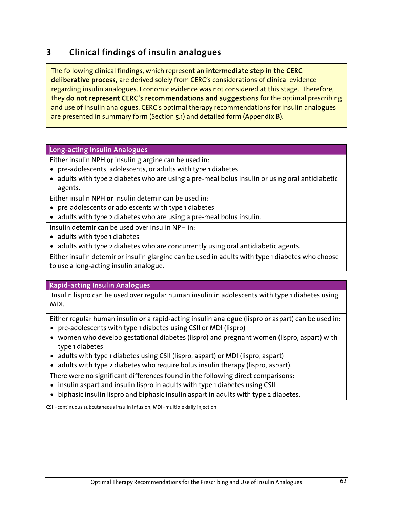# 3 Clinical findings of insulin analogues

The following clinical findings, which represent an intermediate step in the CERC deliberative process, are derived solely from CERC's considerations of clinical evidence regarding insulin analogues. Economic evidence was not considered at this stage. Therefore, they do not represent CERC's recommendations and suggestions for the optimal prescribing and use of insulin analogues. CERC's optimal therapy recommendations for insulin analogues are presented in summary form (Section 5.1) and detailed form (Appendix B).

#### Long-acting Insulin Analogues

Either insulin NPH or insulin glargine can be used in:

- pre-adolescents, adolescents, or adults with type 1 diabetes
- adults with type 2 diabetes who are using a pre-meal bolus insulin or using oral antidiabetic agents.

Either insulin NPH or insulin detemir can be used in:

- pre-adolescents or adolescents with type 1 diabetes
- adults with type 2 diabetes who are using a pre-meal bolus insulin.

Insulin detemir can be used over insulin NPH in:

- adults with type 1 diabetes
- adults with type 2 diabetes who are concurrently using oral antidiabetic agents.

Either insulin detemir or insulin glargine can be used in adults with type 1 diabetes who choose to use a long-acting insulin analogue.

#### Rapid-acting Insulin Analogues

 Insulin lispro can be used over regular human insulin in adolescents with type 1 diabetes using MDI.

Either regular human insulin or a rapid-acting insulin analogue (lispro or aspart) can be used in:

- pre-adolescents with type 1 diabetes using CSII or MDI (lispro)
- women who develop gestational diabetes (lispro) and pregnant women (lispro, aspart) with type 1 diabetes
- adults with type 1 diabetes using CSII (lispro, aspart) or MDI (lispro, aspart)
- adults with type 2 diabetes who require bolus insulin therapy (lispro, aspart).

There were no significant differences found in the following direct comparisons:

- insulin aspart and insulin lispro in adults with type 1 diabetes using CSII
- biphasic insulin lispro and biphasic insulin aspart in adults with type 2 diabetes.

CSII=continuous subcutaneous insulin infusion; MDI=multiple daily injection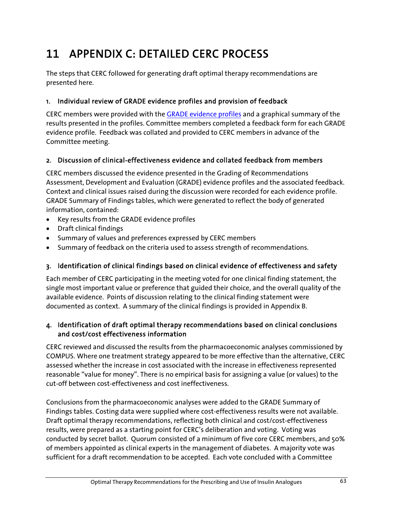# 11 APPENDIX C: DETAILED CERC PROCESS

The steps that CERC followed for generating draft optimal therapy recommendations are presented here.

## 1. Individual review of GRADE evidence profiles and provision of feedback

CERC members were provided with the GRADE evidence profiles and a graphical summary of the results presented in the profiles. Committee members completed a feedback form for each GRADE evidence profile. Feedback was collated and provided to CERC members in advance of the Committee meeting.

## 2. Discussion of clinical-effectiveness evidence and collated feedback from members

CERC members discussed the evidence presented in the Grading of Recommendations Assessment, Development and Evaluation (GRADE) evidence profiles and the associated feedback. Context and clinical issues raised during the discussion were recorded for each evidence profile. GRADE Summary of Findings tables, which were generated to reflect the body of generated information, contained:

- Key results from the GRADE evidence profiles
- Draft clinical findings
- Summary of values and preferences expressed by CERC members
- Summary of feedback on the criteria used to assess strength of recommendations.

## 3. Identification of clinical findings based on clinical evidence of effectiveness and safety

Each member of CERC participating in the meeting voted for one clinical finding statement, the single most important value or preference that guided their choice, and the overall quality of the available evidence. Points of discussion relating to the clinical finding statement were documented as context. A summary of the clinical findings is provided in Appendix B.

## 4. Identification of draft optimal therapy recommendations based on clinical conclusions and cost/cost effectiveness information

CERC reviewed and discussed the results from the pharmacoeconomic analyses commissioned by COMPUS. Where one treatment strategy appeared to be more effective than the alternative, CERC assessed whether the increase in cost associated with the increase in effectiveness represented reasonable "value for money". There is no empirical basis for assigning a value (or values) to the cut-off between cost-effectiveness and cost ineffectiveness.

Conclusions from the pharmacoeconomic analyses were added to the GRADE Summary of Findings tables. Costing data were supplied where cost-effectiveness results were not available. Draft optimal therapy recommendations, reflecting both clinical and cost/cost-effectiveness results, were prepared as a starting point for CERC's deliberation and voting. Voting was conducted by secret ballot. Quorum consisted of a minimum of five core CERC members, and 50% of members appointed as clinical experts in the management of diabetes. A majority vote was sufficient for a draft recommendation to be accepted. Each vote concluded with a Committee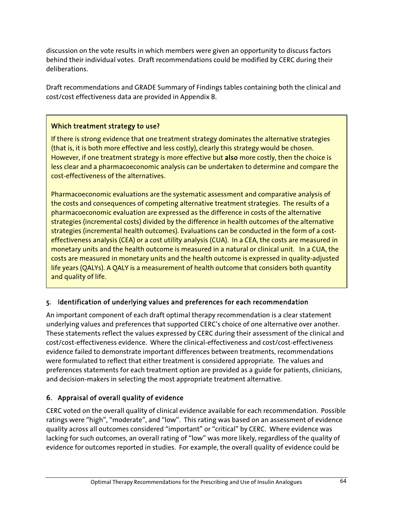discussion on the vote results in which members were given an opportunity to discuss factors behind their individual votes. Draft recommendations could be modified by CERC during their deliberations.

Draft recommendations and GRADE Summary of Findings tables containing both the clinical and cost/cost effectiveness data are provided in Appendix B.

## Which treatment strategy to use?

If there is strong evidence that one treatment strategy dominates the alternative strategies (that is, it is both more effective and less costly), clearly this strategy would be chosen. However, if one treatment strategy is more effective but also more costly, then the choice is less clear and a pharmacoeconomic analysis can be undertaken to determine and compare the cost-effectiveness of the alternatives.

Pharmacoeconomic evaluations are the systematic assessment and comparative analysis of the costs and consequences of competing alternative treatment strategies. The results of a pharmacoeconomic evaluation are expressed as the difference in costs of the alternative strategies (incremental costs) divided by the difference in health outcomes of the alternative strategies (incremental health outcomes). Evaluations can be conducted in the form of a costeffectiveness analysis (CEA) or a cost utility analysis (CUA). In a CEA, the costs are measured in monetary units and the health outcome is measured in a natural or clinical unit. In a CUA, the costs are measured in monetary units and the health outcome is expressed in quality-adjusted life years (QALYs). A QALY is a measurement of health outcome that considers both quantity and quality of life.

## 5. Identification of underlying values and preferences for each recommendation

An important component of each draft optimal therapy recommendation is a clear statement underlying values and preferences that supported CERC's choice of one alternative over another. These statements reflect the values expressed by CERC during their assessment of the clinical and cost/cost-effectiveness evidence. Where the clinical-effectiveness and cost/cost-effectiveness evidence failed to demonstrate important differences between treatments, recommendations were formulated to reflect that either treatment is considered appropriate. The values and preferences statements for each treatment option are provided as a guide for patients, clinicians, and decision-makers in selecting the most appropriate treatment alternative.

## 6. Appraisal of overall quality of evidence

CERC voted on the overall quality of clinical evidence available for each recommendation. Possible ratings were "high", "moderate", and "low". This rating was based on an assessment of evidence quality across all outcomes considered "important" or "critical" by CERC. Where evidence was lacking for such outcomes, an overall rating of "low" was more likely, regardless of the quality of evidence for outcomes reported in studies. For example, the overall quality of evidence could be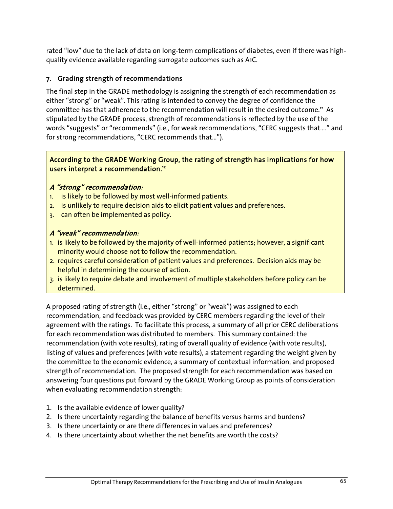rated "low" due to the lack of data on long-term complications of diabetes, even if there was highquality evidence available regarding surrogate outcomes such as A1C.

## 7. Grading strength of recommendations

The final step in the GRADE methodology is assigning the strength of each recommendation as either "strong" or "weak". This rating is intended to convey the degree of confidence the committee has that adherence to the recommendation will result in the desired outcome.<sup>12</sup> As stipulated by the GRADE process, strength of recommendations is reflected by the use of the words "suggests" or "recommends" (i.e., for weak recommendations, "CERC suggests that…." and for strong recommendations, "CERC recommends that…").

#### According to the GRADE Working Group, the rating of strength has implications for how users interpret a recommendation.<sup>12</sup>

## <sup>A</sup>"strong" recommendation:

- 1. is likely to be followed by most well-informed patients.
- 2. is unlikely to require decision aids to elicit patient values and preferences.
- 3. can often be implemented as policy.

#### A "weak" recommendation:

- 1. is likely to be followed by the majority of well-informed patients; however, a significant minority would choose not to follow the recommendation.
- 2. requires careful consideration of patient values and preferences. Decision aids may be helpful in determining the course of action.
- 3. is likely to require debate and involvement of multiple stakeholders before policy can be determined.

A proposed rating of strength (i.e., either "strong" or "weak") was assigned to each recommendation, and feedback was provided by CERC members regarding the level of their agreement with the ratings. To facilitate this process, a summary of all prior CERC deliberations for each recommendation was distributed to members. This summary contained: the recommendation (with vote results), rating of overall quality of evidence (with vote results), listing of values and preferences (with vote results), a statement regarding the weight given by the committee to the economic evidence, a summary of contextual information, and proposed strength of recommendation. The proposed strength for each recommendation was based on answering four questions put forward by the GRADE Working Group as points of consideration when evaluating recommendation strength:

- 1. Is the available evidence of lower quality?
- 2. Is there uncertainty regarding the balance of benefits versus harms and burdens?
- 3. Is there uncertainty or are there differences in values and preferences?
- 4. Is there uncertainty about whether the net benefits are worth the costs?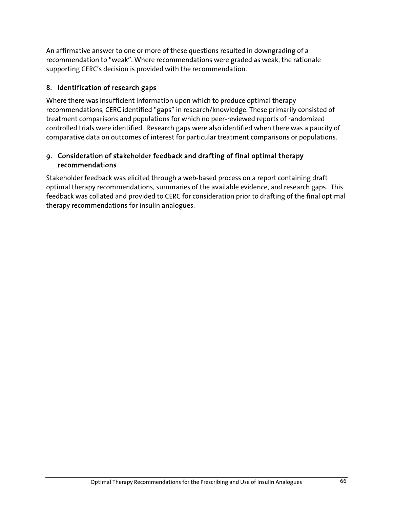An affirmative answer to one or more of these questions resulted in downgrading of a recommendation to "weak". Where recommendations were graded as weak, the rationale supporting CERC's decision is provided with the recommendation.

### 8. Identification of research gaps

Where there was insufficient information upon which to produce optimal therapy recommendations, CERC identified "gaps" in research/knowledge. These primarily consisted of treatment comparisons and populations for which no peer-reviewed reports of randomized controlled trials were identified. Research gaps were also identified when there was a paucity of comparative data on outcomes of interest for particular treatment comparisons or populations.

#### 9. Consideration of stakeholder feedback and drafting of final optimal therapy recommendations

Stakeholder feedback was elicited through a web-based process on a report containing draft optimal therapy recommendations, summaries of the available evidence, and research gaps. This feedback was collated and provided to CERC for consideration prior to drafting of the final optimal therapy recommendations for insulin analogues.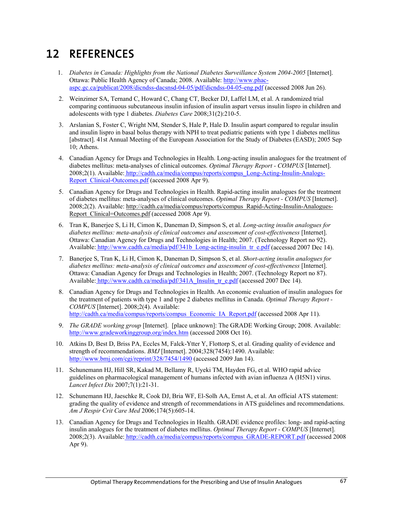# 12 REFERENCES

- 1. *Diabetes in Canada: Highlights from the National Diabetes Surveillance System 2004-2005* [Internet]. Ottawa: Public Health Agency of Canada; 2008. Available: http://www.phac aspc.gc.ca/publicat/2008/dicndss-dacsnsd-04-05/pdf/dicndss-04-05-eng.pdf (accessed 2008 Jun 26).
- 2. Weinzimer SA, Ternand C, Howard C, Chang CT, Becker DJ, Laffel LM, et al. A randomized trial comparing continuous subcutaneous insulin infusion of insulin aspart versus insulin lispro in children and adolescents with type 1 diabetes. *Diabetes Care* 2008;31(2):210-5.
- 3. Arslanian S, Foster C, Wright NM, Stender S, Hale P, Hale D. Insulin aspart compared to regular insulin and insulin lispro in basal bolus therapy with NPH to treat pediatric patients with type 1 diabetes mellitus [abstract]. 41st Annual Meeting of the European Association for the Study of Diabetes (EASD); 2005 Sep 10; Athens.
- 4. Canadian Agency for Drugs and Technologies in Health. Long-acting insulin analogues for the treatment of diabetes mellitus: meta-analyses of clinical outcomes. *Optimal Therapy Report - COMPUS* [Internet]. 2008;2(1). Available: http://cadth.ca/media/compus/reports/compus\_Long-Acting-Insulin-Analogs-Report\_Clinical-Outcomes.pdf (accessed 2008 Apr 9).
- 5. Canadian Agency for Drugs and Technologies in Health. Rapid-acting insulin analogues for the treatment of diabetes mellitus: meta-analyses of clinical outcomes. *Optimal Therapy Report - COMPUS* [Internet]. 2008;2(2). Available: http://cadth.ca/media/compus/reports/compus\_Rapid-Acting-Insulin-Analogues-Report Clinical=Outcomes.pdf (accessed 2008 Apr 9).
- 6. Tran K, Banerjee S, Li H, Cimon K, Daneman D, Simpson S, et al. *Long-acting insulin analogues for diabetes mellitus: meta-analysis of clinical outcomes and assessment of cost-effectiveness* [Internet]. Ottawa: Canadian Agency for Drugs and Technologies in Health; 2007. (Technology Report no 92). Available: http://www.cadth.ca/media/pdf/341b\_Long-acting-insulin\_tr\_e.pdf (accessed 2007 Dec 14).
- 7. Banerjee S, Tran K, Li H, Cimon K, Daneman D, Simpson S, et al. *Short-acting insulin analogues for diabetes mellitus: meta-analysis of clinical outcomes and assessment of cost-effectiveness* [Internet]. Ottawa: Canadian Agency for Drugs and Technologies in Health; 2007. (Technology Report no 87). Available: http://www.cadth.ca/media/pdf/341A\_Insulin\_tr\_e.pdf (accessed 2007 Dec 14).
- 8. Canadian Agency for Drugs and Technologies in Health. An economic evaluation of insulin analogues for the treatment of patients with type 1 and type 2 diabetes mellitus in Canada. *Optimal Therapy Report - COMPUS* [Internet]. 2008;2(4). Available: http://cadth.ca/media/compus/reports/compus\_Economic\_IA\_Report.pdf (accessed 2008 Apr 11).
- 9. *The GRADE working group* [Internet]. [place unknown]: The GRADE Working Group; 2008. Available: http://www.gradeworkinggroup.org/index.htm (accessed 2008 Oct 16).
- 10. Atkins D, Best D, Briss PA, Eccles M, Falck-Ytter Y, Flottorp S, et al. Grading quality of evidence and strength of recommendations. *BMJ* [Internet]. 2004;328(7454):1490. Available: http://www.bmj.com/cgi/reprint/328/7454/1490 (accessed 2009 Jan 14).
- 11. Schunemann HJ, Hill SR, Kakad M, Bellamy R, Uyeki TM, Hayden FG, et al. WHO rapid advice guidelines on pharmacological management of humans infected with avian influenza A (H5N1) virus. *Lancet Infect Dis* 2007;7(1):21-31.
- 12. Schunemann HJ, Jaeschke R, Cook DJ, Bria WF, El-Solh AA, Ernst A, et al. An official ATS statement: grading the quality of evidence and strength of recommendations in ATS guidelines and recommendations. *Am J Respir Crit Care Med* 2006;174(5):605-14.
- 13. Canadian Agency for Drugs and Technologies in Health. GRADE evidence profiles: long- and rapid-acting insulin analogues for the treatment of diabetes mellitus. *Optimal Therapy Report - COMPUS* [Internet]. 2008;2(3). Available: http://cadth.ca/media/compus/reports/compus\_GRADE-REPORT.pdf (accessed 2008 Apr 9).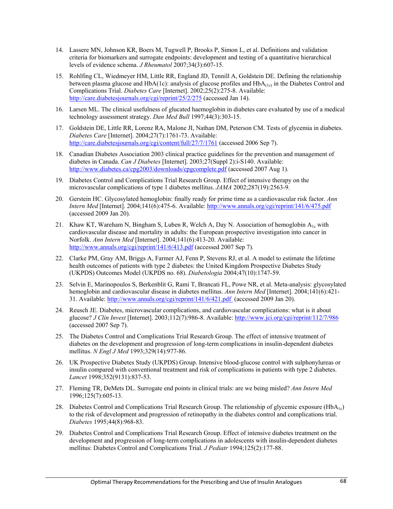- 14. Lassere MN, Johnson KR, Boers M, Tugwell P, Brooks P, Simon L, et al. Definitions and validation criteria for biomarkers and surrogate endpoints: development and testing of a quantitative hierarchical levels of evidence schema. *J Rheumatol* 2007;34(3):607-15.
- 15. Rohlfing CL, Wiedmeyer HM, Little RR, England JD, Tennill A, Goldstein DE. Defining the relationship between plasma glucose and HbA(1c): analysis of glucose profiles and HbA(1c) in the Diabetes Control and Complications Trial. *Diabetes Care* [Internet]. 2002;25(2):275-8. Available: http://care.diabetesjournals.org/cgi/reprint/25/2/275 (accessed Jan 14).
- 16. Larsen ML. The clinical usefulness of glucated haemoglobin in diabetes care evaluated by use of a medical technology assessment strategy. *Dan Med Bull* 1997;44(3):303-15.
- 17. Goldstein DE, Little RR, Lorenz RA, Malone JI, Nathan DM, Peterson CM. Tests of glycemia in diabetes. *Diabetes Care* [Internet]. 2004;27(7):1761-73. Available: http://care.diabetesjournals.org/cgi/content/full/27/7/1761 (accessed 2006 Sep 7).
- 18. Canadian Diabetes Association 2003 clinical practice guidelines for the prevention and management of diabetes in Canada. *Can J Diabetes* [Internet]. 2003;27(Suppl 2):i-S140. Available: http://www.diabetes.ca/cpg2003/downloads/cpgcomplete.pdf (accessed 2007 Aug 1).
- 19. Diabetes Control and Complications Trial Research Group. Effect of intensive therapy on the microvascular complications of type 1 diabetes mellitus. *JAMA* 2002;287(19):2563-9.
- 20. Gerstein HC. Glycosylated hemoglobin: finally ready for prime time as a cardiovascular risk factor. *Ann Intern Med* [Internet]. 2004;141(6):475-6. Available: http://www.annals.org/cgi/reprint/141/6/475.pdf (accessed 2009 Jan 20).
- 21. Khaw KT, Wareham N, Bingham S, Luben R, Welch A, Day N. Association of hemoglobin  $A_{1c}$  with cardiovascular disease and mortality in adults: the European prospective investigation into cancer in Norfolk. *Ann Intern Med* [Internet]. 2004;141(6):413-20. Available: http://www.annals.org/cgi/reprint/141/6/413.pdf (accessed 2007 Sep 7).
- 22. Clarke PM, Gray AM, Briggs A, Farmer AJ, Fenn P, Stevens RJ, et al. A model to estimate the lifetime health outcomes of patients with type 2 diabetes: the United Kingdom Prospective Diabetes Study (UKPDS) Outcomes Model (UKPDS no. 68). *Diabetologia* 2004;47(10):1747-59.
- 23. Selvin E, Marinopoulos S, Berkenblit G, Rami T, Brancati FL, Powe NR, et al. Meta-analysis: glycosylated hemoglobin and cardiovascular disease in diabetes mellitus. *Ann Intern Med* [Internet]. 2004;141(6):421- 31. Available: http://www.annals.org/cgi/reprint/141/6/421.pdf (accessed 2009 Jan 20).
- 24. Reusch JE. Diabetes, microvascular complications, and cardiovascular complications: what is it about glucose? *J Clin Invest* [Internet]. 2003;112(7):986-8. Available: http://www.jci.org/cgi/reprint/112/7/986 (accessed 2007 Sep 7).
- 25. The Diabetes Control and Complications Trial Research Group. The effect of intensive treatment of diabetes on the development and progression of long-term complications in insulin-dependent diabetes mellitus. *N Engl J Med* 1993;329(14):977-86.
- 26. UK Prospective Diabetes Study (UKPDS) Group. Intensive blood-glucose control with sulphonylureas or insulin compared with conventional treatment and risk of complications in patients with type 2 diabetes. *Lancet* 1998;352(9131):837-53.
- 27. Fleming TR, DeMets DL. Surrogate end points in clinical trials: are we being misled? *Ann Intern Med* 1996;125(7):605-13.
- 28. Diabetes Control and Complications Trial Research Group. The relationship of glycemic exposure (HbA<sub>1c</sub>) to the risk of development and progression of retinopathy in the diabetes control and complications trial. *Diabetes* 1995;44(8):968-83.
- 29. Diabetes Control and Complications Trial Research Group. Effect of intensive diabetes treatment on the development and progression of long-term complications in adolescents with insulin-dependent diabetes mellitus: Diabetes Control and Complications Trial. *J Pediatr* 1994;125(2):177-88.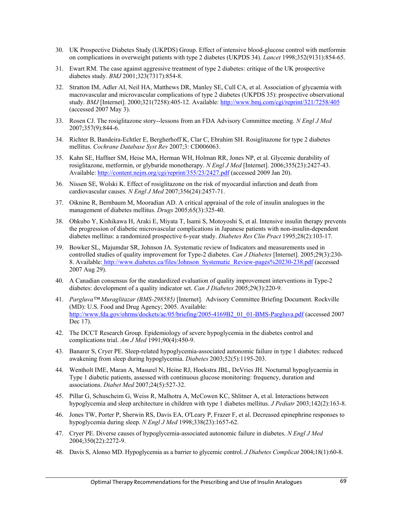- 30. UK Prospective Diabetes Study (UKPDS) Group. Effect of intensive blood-glucose control with metformin on complications in overweight patients with type 2 diabetes (UKPDS 34). *Lancet* 1998;352(9131):854-65.
- 31. Ewart RM. The case against aggressive treatment of type 2 diabetes: critique of the UK prospective diabetes study. *BMJ* 2001;323(7317):854-8.
- 32. Stratton IM, Adler AI, Neil HA, Matthews DR, Manley SE, Cull CA, et al. Association of glycaemia with macrovascular and microvascular complications of type 2 diabetes (UKPDS 35): prospective observational study. *BMJ* [Internet]. 2000;321(7258):405-12. Available: http://www.bmj.com/cgi/reprint/321/7258/405 (accessed 2007 May 3).
- 33. Rosen CJ. The rosiglitazone story--lessons from an FDA Advisory Committee meeting. *N Engl J Med* 2007;357(9):844-6.
- 34. Richter B, Bandeira-Echtler E, Bergherhoff K, Clar C, Ebrahim SH. Rosiglitazone for type 2 diabetes mellitus. *Cochrane Database Syst Rev* 2007;3: CD006063.
- 35. Kahn SE, Haffner SM, Heise MA, Herman WH, Holman RR, Jones NP, et al. Glycemic durability of rosiglitazone, metformin, or glyburide monotherapy. *N Engl J Med* [Internet]. 2006;355(23):2427-43. Available: http://content.nejm.org/cgi/reprint/355/23/2427.pdf (accessed 2009 Jan 20).
- 36. Nissen SE, Wolski K. Effect of rosiglitazone on the risk of myocardial infarction and death from cardiovascular causes. *N Engl J Med* 2007;356(24):2457-71.
- 37. Oiknine R, Bernbaum M, Mooradian AD. A critical appraisal of the role of insulin analogues in the management of diabetes mellitus. *Drugs* 2005;65(3):325-40.
- 38. Ohkubo Y, Kishikawa H, Araki E, Miyata T, Isami S, Motoyoshi S, et al. Intensive insulin therapy prevents the progression of diabetic microvascular complications in Japanese patients with non-insulin-dependent diabetes mellitus: a randomized prospective 6-year study. *Diabetes Res Clin Pract* 1995;28(2):103-17.
- 39. Bowker SL, Majumdar SR, Johnson JA. Systematic review of Indicators and measurements used in controlled studies of quality improvement for Type-2 diabetes. *Can J Diabetes* [Internet]. 2005;29(3):230- 8. Available: http://www.diabetes.ca/files/Johnson\_Systematic\_Review-pages%20230-238.pdf (accessed 2007 Aug 29).
- 40. A Canadian consensus for the standardized evaluation of quality improvement interventions in Type-2 diabetes: development of a quality indicator set. *Can J Diabetes* 2005;29(3):220-9.
- 41. *Pargluva™ Muraglitazar (BMS-298585)* [Internet]. Advisory Committee Briefing Document. Rockville (MD): U.S. Food and Drug Agency; 2005. Available: http://www.fda.gov/ohrms/dockets/ac/05/briefing/2005-4169B2\_01\_01-BMS-Pargluva.pdf (accessed 2007 Dec 17).
- 42. The DCCT Research Group. Epidemiology of severe hypoglycemia in the diabetes control and complications trial. *Am J Med* 1991;90(4):450-9.
- 43. Banarer S, Cryer PE. Sleep-related hypoglycemia-associated autonomic failure in type 1 diabetes: reduced awakening from sleep during hypoglycemia. *Diabetes* 2003;52(5):1195-203.
- 44. Wentholt IME, Maran A, Masurel N, Heine RJ, Hoekstra JBL, DeVries JH. Nocturnal hypoglycaemia in Type 1 diabetic patients, assessed with continuous glucose monitoring: frequency, duration and associations. *Diabet Med* 2007;24(5):527-32.
- 45. Pillar G, Schuscheim G, Weiss R, Malhotra A, McCowen KC, Shlitner A, et al. Interactions between hypoglycemia and sleep architecture in children with type 1 diabetes mellitus. *J Pediatr* 2003;142(2):163-8.
- 46. Jones TW, Porter P, Sherwin RS, Davis EA, O'Leary P, Frazer F, et al. Decreased epinephrine responses to hypoglycemia during sleep. *N Engl J Med* 1998;338(23):1657-62.
- 47. Cryer PE. Diverse causes of hypoglycemia-associated autonomic failure in diabetes. *N Engl J Med* 2004;350(22):2272-9.
- 48. Davis S, Alonso MD. Hypoglycemia as a barrier to glycemic control. *J Diabetes Complicat* 2004;18(1):60-8.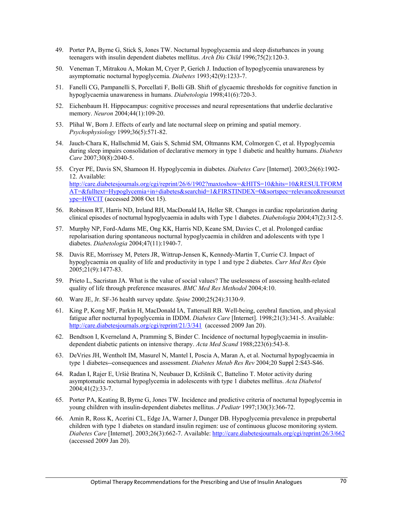- 49. Porter PA, Byrne G, Stick S, Jones TW. Nocturnal hypoglycaemia and sleep disturbances in young teenagers with insulin dependent diabetes mellitus. *Arch Dis Child* 1996;75(2):120-3.
- 50. Veneman T, Mitrakou A, Mokan M, Cryer P, Gerich J. Induction of hypoglycemia unawareness by asymptomatic nocturnal hypoglycemia. *Diabetes* 1993;42(9):1233-7.
- 51. Fanelli CG, Pampanelli S, Porcellati F, Bolli GB. Shift of glycaemic thresholds for cognitive function in hypoglycaemia unawareness in humans. *Diabetologia* 1998;41(6):720-3.
- 52. Eichenbaum H. Hippocampus: cognitive processes and neural representations that underlie declarative memory. *Neuron* 2004;44(1):109-20.
- 53. Plihal W, Born J. Effects of early and late nocturnal sleep on priming and spatial memory. *Psychophysiology* 1999;36(5):571-82.
- 54. Jauch-Chara K, Hallschmid M, Gais S, Schmid SM, Oltmanns KM, Colmorgen C, et al. Hypoglycemia during sleep impairs consolidation of declarative memory in type 1 diabetic and healthy humans. *Diabetes Care* 2007;30(8):2040-5.
- 55. Cryer PE, Davis SN, Shamoon H. Hypoglycemia in diabetes. *Diabetes Care* [Internet]. 2003;26(6):1902- 12. Available: http://care.diabetesjournals.org/cgi/reprint/26/6/1902?maxtoshow=&HITS=10&hits=10&RESULTFORM AT=&fulltext=Hypoglycemia+in+diabetes&searchid=1&FIRSTINDEX=0&sortspec=relevance&resourcet ype=HWCIT (accessed 2008 Oct 15).
- 56. Robinson RT, Harris ND, Ireland RH, MacDonald IA, Heller SR. Changes in cardiac repolarization during clinical episodes of nocturnal hypoglycaemia in adults with Type 1 diabetes. *Diabetologia* 2004;47(2):312-5.
- 57. Murphy NP, Ford-Adams ME, Ong KK, Harris ND, Keane SM, Davies C, et al. Prolonged cardiac repolarisation during spontaneous nocturnal hypoglycaemia in children and adolescents with type 1 diabetes. *Diabetologia* 2004;47(11):1940-7.
- 58. Davis RE, Morrissey M, Peters JR, Wittrup-Jensen K, Kennedy-Martin T, Currie CJ. Impact of hypoglycaemia on quality of life and productivity in type 1 and type 2 diabetes. *Curr Med Res Opin* 2005;21(9):1477-83.
- 59. Prieto L, Sacristan JA. What is the value of social values? The uselessness of assessing health-related quality of life through preference measures. *BMC Med Res Methodol* 2004;4:10.
- 60. Ware JE, Jr. SF-36 health survey update. *Spine* 2000;25(24):3130-9.
- 61. King P, Kong MF, Parkin H, MacDonald IA, Tattersall RB. Well-being, cerebral function, and physical fatigue after nocturnal hypoglycemia in IDDM. *Diabetes Care* [Internet]. 1998;21(3):341-5. Available: http://care.diabetesjournals.org/cgi/reprint/21/3/341 (accessed 2009 Jan 20).
- 62. Bendtson I, Kverneland A, Pramming S, Binder C. Incidence of nocturnal hypoglycaemia in insulindependent diabetic patients on intensive therapy. *Acta Med Scand* 1988;223(6):543-8.
- 63. DeVries JH, Wentholt IM, Masurel N, Mantel I, Poscia A, Maran A, et al. Nocturnal hypoglycaemia in type 1 diabetes--consequences and assessment. *Diabetes Metab Res Rev* 2004;20 Suppl 2:S43-S46.
- 64. Radan I, Rajer E, Uršiè Bratina N, Neubauer D, Kržišnik C, Battelino T. Motor activity during asymptomatic nocturnal hypoglycemia in adolescents with type 1 diabetes mellitus. *Acta Diabetol* 2004;41(2):33-7.
- 65. Porter PA, Keating B, Byrne G, Jones TW. Incidence and predictive criteria of nocturnal hypoglycemia in young children with insulin-dependent diabetes mellitus. *J Pediatr* 1997;130(3):366-72.
- 66. Amin R, Ross K, Acerini CL, Edge JA, Warner J, Dunger DB. Hypoglycemia prevalence in prepubertal children with type 1 diabetes on standard insulin regimen: use of continuous glucose monitoring system. *Diabetes Care* [Internet]. 2003;26(3):662-7. Available: http://care.diabetesjournals.org/cgi/reprint/26/3/662 (accessed 2009 Jan 20).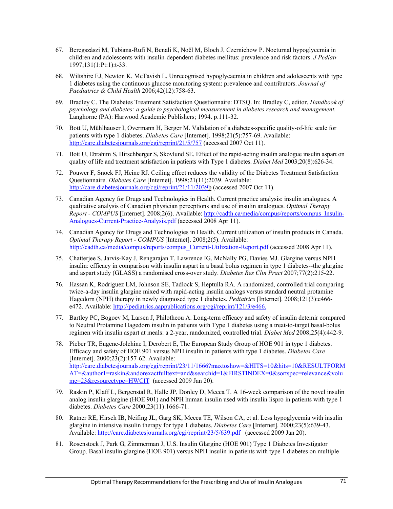- 67. Beregszàszi M, Tubiana-Rufi N, Benali K, Noël M, Bloch J, Czernichow P. Nocturnal hypoglycemia in children and adolescents with insulin-dependent diabetes mellitus: prevalence and risk factors. *J Pediatr* 1997;131(1:Pt:1):t-33.
- 68. Wiltshire EJ, Newton K, McTavish L. Unrecognised hypoglycaemia in children and adolescents with type 1 diabetes using the continuous glucose monitoring system: prevalence and contributors. *Journal of Paediatrics & Child Health* 2006;42(12):758-63.
- 69. Bradley C. The Diabetes Treatment Satisfaction Questionnaire: DTSQ. In: Bradley C, editor. *Handbook of psychology and diabetes: a guide to psychological measurement in diabetes research and management*. Langhorne (PA): Harwood Academic Publishers; 1994. p.111-32.
- 70. Bott U, Mühlhauser I, Overmann H, Berger M. Validation of a diabetes-specific quality-of-life scale for patients with type 1 diabetes. *Diabetes Care* [Internet]. 1998;21(5):757-69. Available: http://care.diabetesjournals.org/cgi/reprint/21/5/757 (accessed 2007 Oct 11).
- 71. Bott U, Ebrahim S, Hirschberger S, Skovlund SE. Effect of the rapid-acting insulin analogue insulin aspart on quality of life and treatment satisfaction in patients with Type 1 diabetes. *Diabet Med* 2003;20(8):626-34.
- 72. Pouwer F, Snoek FJ, Heine RJ. Ceiling effect reduces the validity of the Diabetes Treatment Satisfaction Questionnaire. *Diabetes Care* [Internet]. 1998;21(11):2039. Available: http://care.diabetesjournals.org/cgi/reprint/21/11/2039b (accessed 2007 Oct 11).
- 73. Canadian Agency for Drugs and Technologies in Health. Current practice analysis: insulin analogues. A qualitative analysis of Canadian physician perceptions and use of insulin analogues. *Optimal Therapy Report - COMPUS* [Internet]. 2008;2(6). Available: http://cadth.ca/media/compus/reports/compus\_Insulin-Analogues-Current-Practice-Analysis.pdf (accessed 2008 Apr 11).
- 74. Canadian Agency for Drugs and Technologies in Health. Current utilization of insulin products in Canada. *Optimal Therapy Report - COMPUS* [Internet]. 2008;2(5). Available: http://cadth.ca/media/compus/reports/compus\_Current-Utilization-Report.pdf (accessed 2008 Apr 11).
- 75. Chatterjee S, Jarvis-Kay J, Rengarajan T, Lawrence IG, McNally PG, Davies MJ. Glargine versus NPH insulin: efficacy in comparison with insulin aspart in a basal bolus regimen in type 1 diabetes--the glargine and aspart study (GLASS) a randomised cross-over study. *Diabetes Res Clin Pract* 2007;77(2):215-22.
- 76. Hassan K, Rodriguez LM, Johnson SE, Tadlock S, Heptulla RA. A randomized, controlled trial comparing twice-a-day insulin glargine mixed with rapid-acting insulin analogs versus standard neutral protamine Hagedorn (NPH) therapy in newly diagnosed type 1 diabetes. *Pediatrics* [Internet]. 2008;121(3):e466 e472. Available: http://pediatrics.aappublications.org/cgi/reprint/121/3/e466.
- 77. Bartley PC, Bogoev M, Larsen J, Philotheou A. Long-term efficacy and safety of insulin detemir compared to Neutral Protamine Hagedorn insulin in patients with Type 1 diabetes using a treat-to-target basal-bolus regimen with insulin aspart at meals: a 2-year, randomized, controlled trial. *Diabet Med* 2008;25(4):442-9.
- 78. Pieber TR, Eugene-Jolchine I, Derobert E, The European Study Group of HOE 901 in type 1 diabetes. Efficacy and safety of HOE 901 versus NPH insulin in patients with type 1 diabetes. *Diabetes Care* [Internet]. 2000;23(2):157-62. Available: http://care.diabetesjournals.org/cgi/reprint/23/11/1666?maxtoshow=&HITS=10&hits=10&RESULTFORM AT=&author1=raskin&andorexactfulltext=and&searchid=1&FIRSTINDEX=0&sortspec=relevance&volu me=23&resourcetype=HWCIT (accessed 2009 Jan 20).
- 79. Raskin P, Klaff L, Bergenstal R, Halle JP, Donley D, Mecca T. A 16-week comparison of the novel insulin analog insulin glargine (HOE 901) and NPH human insulin used with insulin lispro in patients with type 1 diabetes. *Diabetes Care* 2000;23(11):1666-71.
- 80. Ratner RE, Hirsch IB, Neifing JL, Garg SK, Mecca TE, Wilson CA, et al. Less hypoglycemia with insulin glargine in intensive insulin therapy for type 1 diabetes. *Diabetes Care* [Internet]. 2000;23(5):639-43. Available: http://care.diabetesjournals.org/cgi/reprint/23/5/639.pdf (accessed 2009 Jan 20).
- 81. Rosenstock J, Park G, Zimmerman J, U.S. Insulin Glargine (HOE 901) Type 1 Diabetes Investigator Group. Basal insulin glargine (HOE 901) versus NPH insulin in patients with type 1 diabetes on multiple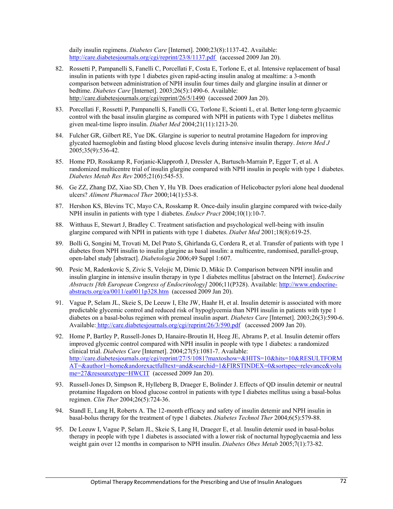daily insulin regimens. *Diabetes Care* [Internet]. 2000;23(8):1137-42. Available: http://care.diabetesjournals.org/cgi/reprint/23/8/1137.pdf (accessed 2009 Jan 20).

- 82. Rossetti P, Pampanelli S, Fanelli C, Porcellati F, Costa E, Torlone E, et al. Intensive replacement of basal insulin in patients with type 1 diabetes given rapid-acting insulin analog at mealtime: a 3-month comparison between administration of NPH insulin four times daily and glargine insulin at dinner or bedtime. *Diabetes Care* [Internet]. 2003;26(5):1490-6. Available: http://care.diabetesjournals.org/cgi/reprint/26/5/1490 (accessed 2009 Jan 20).
- 83. Porcellati F, Rossetti P, Pampanelli S, Fanelli CG, Torlone E, Scionti L, et al. Better long-term glycaemic control with the basal insulin glargine as compared with NPH in patients with Type 1 diabetes mellitus given meal-time lispro insulin. *Diabet Med* 2004;21(11):1213-20.
- 84. Fulcher GR, Gilbert RE, Yue DK. Glargine is superior to neutral protamine Hagedorn for improving glycated haemoglobin and fasting blood glucose levels during intensive insulin therapy. *Intern Med J* 2005;35(9):536-42.
- 85. Home PD, Rosskamp R, Forjanic-Klapproth J, Dressler A, Bartusch-Marrain P, Egger T, et al. A randomized multicentre trial of insulin glargine compared with NPH insulin in people with type 1 diabetes. *Diabetes Metab Res Rev* 2005;21(6):545-53.
- 86. Ge ZZ, Zhang DZ, Xiao SD, Chen Y, Hu YB. Does eradication of Helicobacter pylori alone heal duodenal ulcers? *Aliment Pharmacol Ther* 2000;14(1):53-8.
- 87. Hershon KS, Blevins TC, Mayo CA, Rosskamp R. Once-daily insulin glargine compared with twice-daily NPH insulin in patients with type 1 diabetes. *Endocr Pract* 2004;10(1):10-7.
- 88. Witthaus E, Stewart J, Bradley C. Treatment satisfaction and psychological well-being with insulin glargine compared with NPH in patients with type 1 diabetes. *Diabet Med* 2001;18(8):619-25.
- 89. Bolli G, Songini M, Trovati M, Del Prato S, Ghirlanda G, Cordera R, et al. Transfer of patients with type 1 diabetes from NPH insulin to insulin glargine as basal insulin: a multicentre, randomised, parallel-group, open-label study [abstract]. *Diabetologia* 2006;49 Suppl 1:607.
- 90. Pesic M, Radenkovic S, Zivic S, Velojic M, Dimic D, Mikic D. Comparison between NPH insulin and insulin glargine in intensive insulin therapy in type 1 diabetes mellitus [abstract on the Internet]. *Endocrine Abstracts [8th European Congress of Endocrinology]* 2006;11(P328). Available: http://www.endocrineabstracts.org/ea/0011/ea0011p328.htm (accessed 2009 Jan 20).
- 91. Vague P, Selam JL, Skeie S, De Leeuw I, Elte JW, Haahr H, et al. Insulin detemir is associated with more predictable glycemic control and reduced risk of hypoglycemia than NPH insulin in patients with type 1 diabetes on a basal-bolus regimen with premeal insulin aspart. *Diabetes Care* [Internet]. 2003;26(3):590-6. Available: http://care.diabetesjournals.org/cgi/reprint/26/3/590.pdf (accessed 2009 Jan 20).
- 92. Home P, Bartley P, Russell-Jones D, Hanaire-Broutin H, Heeg JE, Abrams P, et al. Insulin detemir offers improved glycemic control compared with NPH insulin in people with type 1 diabetes: a randomized clinical trial. *Diabetes Care* [Internet]. 2004;27(5):1081-7. Available: http://care.diabetesjournals.org/cgi/reprint/27/5/1081?maxtoshow=&HITS=10&hits=10&RESULTFORM AT=&author1=home&andorexactfulltext=and&searchid=1&FIRSTINDEX=0&sortspec=relevance&volu me=27&resourcetype=HWCIT (accessed 2009 Jan 20).
- 93. Russell-Jones D, Simpson R, Hylleberg B, Draeger E, Bolinder J. Effects of QD insulin detemir or neutral protamine Hagedorn on blood glucose control in patients with type I diabetes mellitus using a basal-bolus regimen. *Clin Ther* 2004;26(5):724-36.
- 94. Standl E, Lang H, Roberts A. The 12-month efficacy and safety of insulin detemir and NPH insulin in basal-bolus therapy for the treatment of type 1 diabetes. *Diabetes Technol Ther* 2004;6(5):579-88.
- 95. De Leeuw I, Vague P, Selam JL, Skeie S, Lang H, Draeger E, et al. Insulin detemir used in basal-bolus therapy in people with type 1 diabetes is associated with a lower risk of nocturnal hypoglycaemia and less weight gain over 12 months in comparison to NPH insulin. *Diabetes Obes Metab* 2005;7(1):73-82.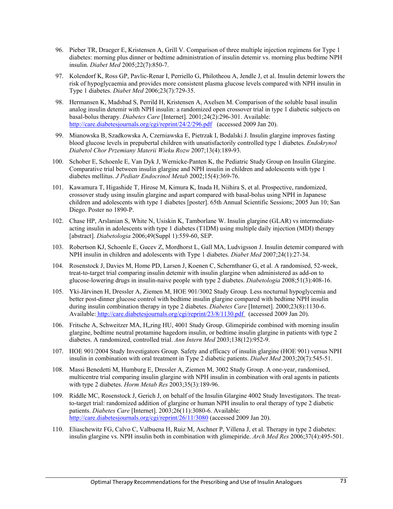- 96. Pieber TR, Draeger E, Kristensen A, Grill V. Comparison of three multiple injection regimens for Type 1 diabetes: morning plus dinner or bedtime administration of insulin detemir vs. morning plus bedtime NPH insulin. *Diabet Med* 2005;22(7):850-7.
- 97. Kolendorf K, Ross GP, Pavlic-Renar I, Perriello G, Philotheou A, Jendle J, et al. Insulin detemir lowers the risk of hypoglycaemia and provides more consistent plasma glucose levels compared with NPH insulin in Type 1 diabetes. *Diabet Med* 2006;23(7):729-35.
- 98. Hermansen K, Madsbad S, Perrild H, Kristensen A, Axelsen M. Comparison of the soluble basal insulin analog insulin detemir with NPH insulin: a randomized open crossover trial in type 1 diabetic subjects on basal-bolus therapy. *Diabetes Care* [Internet]. 2001;24(2):296-301. Available: http://care.diabetesjournals.org/cgi/reprint/24/2/296.pdf (accessed 2009 Jan 20).
- 99. Mianowska B, Szadkowska A, Czerniawska E, Pietrzak I, Bodalski J. Insulin glargine improves fasting blood glucose levels in prepubertal children with unsatisfactorily controlled type 1 diabetes. *Endokrynol Diabetol Chor Przemiany Materii Wieku Rozw* 2007;13(4):189-93.
- 100. Schober E, Schoenle E, Van Dyk J, Wernicke-Panten K, the Pediatric Study Group on Insulin Glargine. Comparative trial between insulin glargine and NPH insulin in children and adolescents with type 1 diabetes mellitus. *J Pediatr Endocrinol Metab* 2002;15(4):369-76.
- 101. Kawamura T, Higashide T, Hirose M, Kimura K, Inada H, Niihira S, et al. Prospective, randomized, crossover study using insulin glargine and aspart compared with basal-bolus using NPH in Japanese children and adolescents with type 1 diabetes [poster]. 65th Annual Scientific Sessions; 2005 Jun 10; San Diego. Poster no 1890-P.
- 102. Chase HP, Arslanian S, White N, Usiskin K, Tamborlane W. Insulin glargine (GLAR) vs intermediateacting insulin in adolescents with type 1 diabetes (T1DM) using multiple daily injection (MDI) therapy [abstract]. *Diabetologia* 2006;49(Suppl 1):559-60, SEP.
- 103. Robertson KJ, Schoenle E, Gucev Z, Mordhorst L, Gall MA, Ludvigsson J. Insulin detemir compared with NPH insulin in children and adolescents with Type 1 diabetes. *Diabet Med* 2007;24(1):27-34.
- 104. Rosenstock J, Davies M, Home PD, Larsen J, Koenen C, Schernthaner G, et al. A randomised, 52-week, treat-to-target trial comparing insulin detemir with insulin glargine when administered as add-on to glucose-lowering drugs in insulin-naive people with type 2 diabetes. *Diabetologia* 2008;51(3):408-16.
- 105. Yki-Järvinen H, Dressler A, Ziemen M, HOE 901/3002 Study Group. Less nocturnal hypoglycemia and better post-dinner glucose control with bedtime insulin glargine compared with bedtime NPH insulin during insulin combination therapy in type 2 diabetes. *Diabetes Care* [Internet]. 2000;23(8):1130-6. Available: http://care.diabetesjournals.org/cgi/reprint/23/8/1130.pdf (accessed 2009 Jan 20).
- 106. Fritsche A, Schweitzer MA, H,,ring HU, 4001 Study Group. Glimepiride combined with morning insulin glargine, bedtime neutral protamine hagedorn insulin, or bedtime insulin glargine in patients with type 2 diabetes. A randomized, controlled trial. *Ann Intern Med* 2003;138(12):952-9.
- 107. HOE 901/2004 Study Investigators Group. Safety and efficacy of insulin glargine (HOE 901) versus NPH insulin in combination with oral treatment in Type 2 diabetic patients. *Diabet Med* 2003;20(7):545-51.
- 108. Massi Benedetti M, Humburg E, Dressler A, Ziemen M, 3002 Study Group. A one-year, randomised, multicentre trial comparing insulin glargine with NPH insulin in combination with oral agents in patients with type 2 diabetes. *Horm Metab Res* 2003;35(3):189-96.
- 109. Riddle MC, Rosenstock J, Gerich J, on behalf of the Insulin Glargine 4002 Study Investigators. The treatto-target trial: randomized addition of glargine or human NPH insulin to oral therapy of type 2 diabetic patients. *Diabetes Care* [Internet]. 2003;26(11):3080-6. Available: http://care.diabetesjournals.org/cgi/reprint/26/11/3080 (accessed 2009 Jan 20).
- 110. Eliaschewitz FG, Calvo C, Valbuena H, Ruiz M, Aschner P, Villena J, et al. Therapy in type 2 diabetes: insulin glargine vs. NPH insulin both in combination with glimepiride. *Arch Med Res* 2006;37(4):495-501.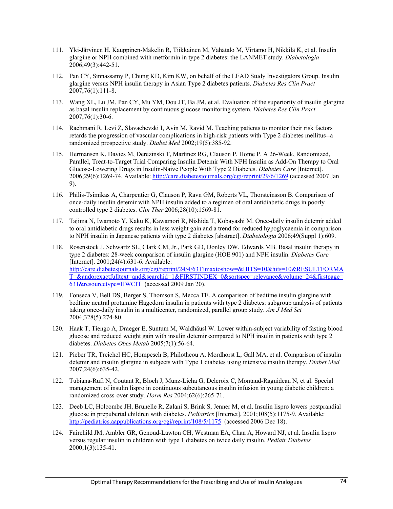- 111. Yki-Järvinen H, Kauppinen-Mäkelin R, Tiikkainen M, Vähätalo M, Virtamo H, Nikkilä K, et al. Insulin glargine or NPH combined with metformin in type 2 diabetes: the LANMET study. *Diabetologia* 2006;49(3):442-51.
- 112. Pan CY, Sinnassamy P, Chung KD, Kim KW, on behalf of the LEAD Study Investigators Group. Insulin glargine versus NPH insulin therapy in Asian Type 2 diabetes patients. *Diabetes Res Clin Pract* 2007;76(1):111-8.
- 113. Wang XL, Lu JM, Pan CY, Mu YM, Dou JT, Ba JM, et al. Evaluation of the superiority of insulin glargine as basal insulin replacement by continuous glucose monitoring system. *Diabetes Res Clin Pract* 2007;76(1):30-6.
- 114. Rachmani R, Levi Z, Slavachevski I, Avin M, Ravid M. Teaching patients to monitor their risk factors retards the progression of vascular complications in high-risk patients with Type 2 diabetes mellitus--a randomized prospective study. *Diabet Med* 2002;19(5):385-92.
- 115. Hermansen K, Davies M, Derezinski T, Martinez RG, Clauson P, Home P. A 26-Week, Randomized, Parallel, Treat-to-Target Trial Comparing Insulin Detemir With NPH Insulin as Add-On Therapy to Oral Glucose-Lowering Drugs in Insulin-Naive People With Type 2 Diabetes. *Diabetes Care* [Internet]. 2006;29(6):1269-74. Available: http://care.diabetesjournals.org/cgi/reprint/29/6/1269 (accessed 2007 Jan 9).
- 116. Philis-Tsimikas A, Charpentier G, Clauson P, Ravn GM, Roberts VL, Thorsteinsson B. Comparison of once-daily insulin detemir with NPH insulin added to a regimen of oral antidiabetic drugs in poorly controlled type 2 diabetes. *Clin Ther* 2006;28(10):1569-81.
- 117. Tajima N, Iwamoto Y, Kaku K, Kawamori R, Nishida T, Kobayashi M. Once-daily insulin detemir added to oral antidiabetic drugs results in less weight gain and a trend for reduced hypoglycaemia in comparison to NPH insulin in Japanese patients with type 2 diabetes [abstract]. *Diabetologia* 2006;49(Suppl 1):609.
- 118. Rosenstock J, Schwartz SL, Clark CM, Jr., Park GD, Donley DW, Edwards MB. Basal insulin therapy in type 2 diabetes: 28-week comparison of insulin glargine (HOE 901) and NPH insulin. *Diabetes Care* [Internet]. 2001;24(4):631-6. Available: http://care.diabetesjournals.org/cgi/reprint/24/4/631?maxtoshow=&HITS=10&hits=10&RESULTFORMA T=&andorexactfulltext=and&searchid=1&FIRSTINDEX=0&sortspec=relevance&volume=24&firstpage= 631&resourcetype=HWCIT (accessed 2009 Jan 20).
- 119. Fonseca V, Bell DS, Berger S, Thomson S, Mecca TE. A comparison of bedtime insulin glargine with bedtime neutral protamine Hagedorn insulin in patients with type 2 diabetes: subgroup analysis of patients taking once-daily insulin in a multicenter, randomized, parallel group study. *Am J Med Sci* 2004;328(5):274-80.
- 120. Haak T, Tiengo A, Draeger E, Suntum M, Waldhäusl W. Lower within-subject variability of fasting blood glucose and reduced weight gain with insulin detemir compared to NPH insulin in patients with type 2 diabetes. *Diabetes Obes Metab* 2005;7(1):56-64.
- 121. Pieber TR, Treichel HC, Hompesch B, Philotheou A, Mordhorst L, Gall MA, et al. Comparison of insulin detemir and insulin glargine in subjects with Type 1 diabetes using intensive insulin therapy. *Diabet Med* 2007;24(6):635-42.
- 122. Tubiana-Rufi N, Coutant R, Bloch J, Munz-Licha G, Delcroix C, Montaud-Raguideau N, et al. Special management of insulin lispro in continuous subcutaneous insulin infusion in young diabetic children: a randomized cross-over study. *Horm Res* 2004;62(6):265-71.
- 123. Deeb LC, Holcombe JH, Brunelle R, Zalani S, Brink S, Jenner M, et al. Insulin lispro lowers postprandial glucose in prepubertal children with diabetes. *Pediatrics* [Internet]. 2001;108(5):1175-9. Available: http://pediatrics.aappublications.org/cgi/reprint/108/5/1175 (accessed 2006 Dec 18).
- 124. Fairchild JM, Ambler GR, Genoud-Lawton CH, Westman EA, Chan A, Howard NJ, et al. Insulin lispro versus regular insulin in children with type 1 diabetes on twice daily insulin. *Pediatr Diabetes* 2000;1(3):135-41.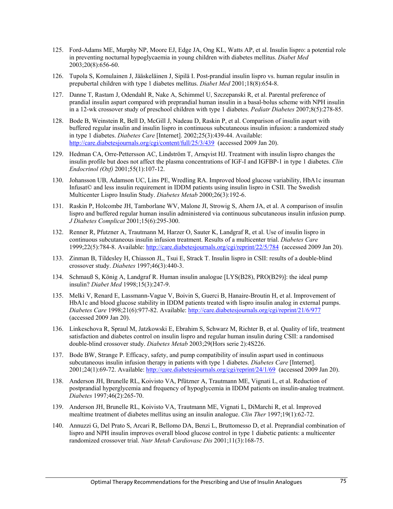- 125. Ford-Adams ME, Murphy NP, Moore EJ, Edge JA, Ong KL, Watts AP, et al. Insulin lispro: a potential role in preventing nocturnal hypoglycaemia in young children with diabetes mellitus. *Diabet Med* 2003;20(8):656-60.
- 126. Tupola S, Komulainen J, Jääskeläinen J, Sipilä I. Post-prandial insulin lispro vs. human regular insulin in prepubertal children with type 1 diabetes mellitus. *Diabet Med* 2001;18(8):654-8.
- 127. Danne T, Rastam J, Odendahl R, Nake A, Schimmel U, Szczepanski R, et al. Parental preference of prandial insulin aspart compared with preprandial human insulin in a basal-bolus scheme with NPH insulin in a 12-wk crossover study of preschool children with type 1 diabetes. *Pediatr Diabetes* 2007;8(5):278-85.
- 128. Bode B, Weinstein R, Bell D, McGill J, Nadeau D, Raskin P, et al. Comparison of insulin aspart with buffered regular insulin and insulin lispro in continuous subcutaneous insulin infusion: a randomized study in type 1 diabetes. *Diabetes Care* [Internet]. 2002;25(3):439-44. Available: http://care.diabetesjournals.org/cgi/content/full/25/3/439 (accessed 2009 Jan 20).
- 129. Hedman CA, Orre-Pettersson AC, Lindström T, Arnqvist HJ. Treatment with insulin lispro changes the insulin profile but does not affect the plasma concentrations of IGF-I and IGFBP-1 in type 1 diabetes. *Clin Endocrinol (Oxf)* 2001;55(1):107-12.
- 130. Johansson UB, Adamson UC, Lins PE, Wredling RA. Improved blood glucose variability, HbA1c insuman Infusat© and less insulin requirement in IDDM patients using insulin lispro in CSII. The Swedish Multicenter Lispro Insulin Study. *Diabetes Metab* 2000;26(3):192-6.
- 131. Raskin P, Holcombe JH, Tamborlane WV, Malone JI, Strowig S, Ahern JA, et al. A comparison of insulin lispro and buffered regular human insulin administered via continuous subcutaneous insulin infusion pump. *J Diabetes Complicat* 2001;15(6):295-300.
- 132. Renner R, Pfutzner A, Trautmann M, Harzer O, Sauter K, Landgraf R, et al. Use of insulin lispro in continuous subcutaneous insulin infusion treatment. Results of a multicenter trial. *Diabetes Care* 1999;22(5):784-8. Available: http://care.diabetesjournals.org/cgi/reprint/22/5/784 (accessed 2009 Jan 20).
- 133. Zinman B, Tildesley H, Chiasson JL, Tsui E, Strack T. Insulin lispro in CSII: results of a double-blind crossover study. *Diabetes* 1997;46(3):440-3.
- 134. Schmauß S, König A, Landgraf R. Human insulin analogue [LYS(B28), PRO(B29)]: the ideal pump insulin? *Diabet Med* 1998;15(3):247-9.
- 135. Melki V, Renard E, Lassmann-Vague V, Boivin S, Guerci B, Hanaire-Broutin H, et al. Improvement of HbA1c and blood glucose stability in IDDM patients treated with lispro insulin analog in external pumps. *Diabetes Care* 1998;21(6):977-82. Available: http://care.diabetesjournals.org/cgi/reprint/21/6/977 (accessed 2009 Jan 20).
- 136. Linkeschova R, Spraul M, Jatzkowski E, Ebrahim S, Schwarz M, Richter B, et al. Quality of life, treatment satisfaction and diabetes control on insulin lispro and regular human insulin during CSII: a randomised double-blind crossover study. *Diabetes Metab* 2003;29(Hors serie 2):4S226.
- 137. Bode BW, Strange P. Efficacy, safety, and pump compatibility of insulin aspart used in continuous subcutaneous insulin infusion therapy in patients with type 1 diabetes. *Diabetes Care* [Internet]. 2001;24(1):69-72. Available: http://care.diabetesjournals.org/cgi/reprint/24/1/69 (accessed 2009 Jan 20).
- 138. Anderson JH, Brunelle RL, Koivisto VA, Pfützner A, Trautmann ME, Vignati L, et al. Reduction of postprandial hyperglycemia and frequency of hypoglycemia in IDDM patients on insulin-analog treatment. *Diabetes* 1997;46(2):265-70.
- 139. Anderson JH, Brunelle RL, Koivisto VA, Trautmann ME, Vignati L, DiMarchi R, et al. Improved mealtime treatment of diabetes mellitus using an insulin analogue. *Clin Ther* 1997;19(1):62-72.
- 140. Annuzzi G, Del Prato S, Arcari R, Bellomo DA, Benzi L, Bruttomesso D, et al. Preprandial combination of lispro and NPH insulin improves overall blood glucose control in type 1 diabetic patients: a multicenter randomized crossover trial. *Nutr Metab Cardiovasc Dis* 2001;11(3):168-75.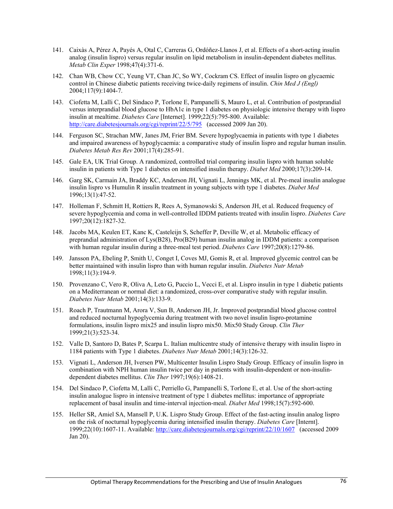- 141. Caixàs A, Pérez A, Payés A, Otal C, Carreras G, Ordóñez-Llanos J, et al. Effects of a short-acting insulin analog (insulin lispro) versus regular insulin on lipid metabolism in insulin-dependent diabetes mellitus. *Metab Clin Exper* 1998;47(4):371-6.
- 142. Chan WB, Chow CC, Yeung VT, Chan JC, So WY, Cockram CS. Effect of insulin lispro on glycaemic control in Chinese diabetic patients receiving twice-daily regimens of insulin. *Chin Med J (Engl)* 2004;117(9):1404-7.
- 143. Ciofetta M, Lalli C, Del Sindaco P, Torlone E, Pampanelli S, Mauro L, et al. Contribution of postprandial versus interprandial blood glucose to HbA1c in type 1 diabetes on physiologic intensive therapy with lispro insulin at mealtime. *Diabetes Care* [Internet]. 1999;22(5):795-800. Available: http://care.diabetesjournals.org/cgi/reprint/22/5/795 (accessed 2009 Jan 20).
- 144. Ferguson SC, Strachan MW, Janes JM, Frier BM. Severe hypoglycaemia in patients with type 1 diabetes and impaired awareness of hypoglycaemia: a comparative study of insulin lispro and regular human insulin. *Diabetes Metab Res Rev* 2001;17(4):285-91.
- 145. Gale EA, UK Trial Group. A randomized, controlled trial comparing insulin lispro with human soluble insulin in patients with Type 1 diabetes on intensified insulin therapy. *Diabet Med* 2000;17(3):209-14.
- 146. Garg SK, Carmain JA, Braddy KC, Anderson JH, Vignati L, Jennings MK, et al. Pre-meal insulin analogue insulin lispro vs Humulin R insulin treatment in young subjects with type 1 diabetes. *Diabet Med* 1996;13(1):47-52.
- 147. Holleman F, Schmitt H, Rottiers R, Rees A, Symanowski S, Anderson JH, et al. Reduced frequency of severe hypoglycemia and coma in well-controlled IDDM patients treated with insulin lispro. *Diabetes Care* 1997;20(12):1827-32.
- 148. Jacobs MA, Keulen ET, Kanc K, Casteleijn S, Scheffer P, Deville W, et al. Metabolic efficacy of preprandial administration of Lys(B28), Pro(B29) human insulin analog in IDDM patients: a comparison with human regular insulin during a three-meal test period. *Diabetes Care* 1997;20(8):1279-86.
- 149. Jansson PA, Ebeling P, Smith U, Conget I, Coves MJ, Gomis R, et al. Improved glycemic control can be better maintained with insulin lispro than with human regular insulin. *Diabetes Nutr Metab* 1998;11(3):194-9.
- 150. Provenzano C, Vero R, Oliva A, Leto G, Puccio L, Vecci E, et al. Lispro insulin in type 1 diabetic patients on a Mediterranean or normal diet: a randomized, cross-over comparative study with regular insulin. *Diabetes Nutr Metab* 2001;14(3):133-9.
- 151. Roach P, Trautmann M, Arora V, Sun B, Anderson JH, Jr. Improved postprandial blood glucose control and reduced nocturnal hypoglycemia during treatment with two novel insulin lispro-protamine formulations, insulin lispro mix25 and insulin lispro mix50. Mix50 Study Group. *Clin Ther* 1999;21(3):523-34.
- 152. Valle D, Santoro D, Bates P, Scarpa L. Italian multicentre study of intensive therapy with insulin lispro in 1184 patients with Type 1 diabetes. *Diabetes Nutr Metab* 2001;14(3):126-32.
- 153. Vignati L, Anderson JH, Iversen PW, Multicenter Insulin Lispro Study Group. Efficacy of insulin lispro in combination with NPH human insulin twice per day in patients with insulin-dependent or non-insulindependent diabetes mellitus. *Clin Ther* 1997;19(6):1408-21.
- 154. Del Sindaco P, Ciofetta M, Lalli C, Perriello G, Pampanelli S, Torlone E, et al. Use of the short-acting insulin analogue lispro in intensive treatment of type 1 diabetes mellitus: importance of appropriate replacement of basal insulin and time-interval injection-meal. *Diabet Med* 1998;15(7):592-600.
- 155. Heller SR, Amiel SA, Mansell P, U.K. Lispro Study Group. Effect of the fast-acting insulin analog lispro on the risk of nocturnal hypoglycemia during intensified insulin therapy. *Diabetes Care* [Internt]. 1999;22(10):1607-11. Available: http://care.diabetesjournals.org/cgi/reprint/22/10/1607 (accessed 2009 Jan 20).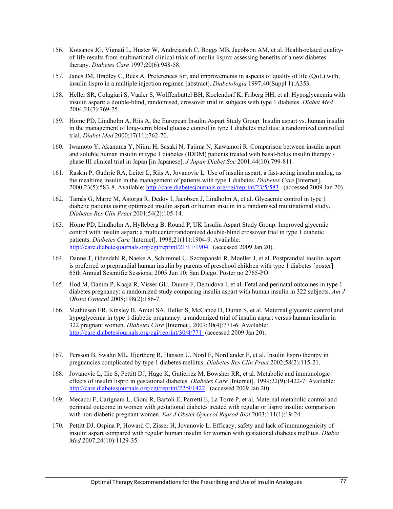- 156. Kotsanos JG, Vignati L, Huster W, Andrejasich C, Boggs MB, Jacobson AM, et al. Health-related qualityof-life results from multinational clinical trials of insulin lispro: assessing benefits of a new diabetes therapy. *Diabetes Care* 1997;20(6):948-58.
- 157. Janes JM, Bradley C, Rees A. Preferences for, and improvements in aspects of quality of life (QoL) with, insulin lispro in a multiple injection regimen [abstract]. *Diabetologia* 1997;40(Suppl 1):A353.
- 158. Heller SR, Colagiuri S, Vaaler S, Wolffenbuttel BH, Koelendorf K, Friberg HH, et al. Hypoglycaemia with insulin aspart: a double-blind, randomised, crossover trial in subjects with type 1 diabetes. *Diabet Med* 2004;21(7):769-75.
- 159. Home PD, Lindholm A, Riis A, the European Insulin Aspart Study Group. Insulin aspart vs. human insulin in the management of long-term blood glucose control in type 1 diabetes mellitus: a randomized controlled trial. *Diabet Med* 2000;17(11):762-70.
- 160. Iwamoto Y, Akanuma Y, Niimi H, Sasaki N, Tajima N, Kawamori R. Comparison between insulin aspart and soluble human insulin in type 1 diabetes (IDDM) patients treated with basal-bolus insulin therapy phase III clinical trial in Japan [in Japanese]. *J Japan Diabet Soc* 2001;44(10):799-811.
- 161. Raskin P, Guthrie RA, Leiter L, Riis A, Jovanovic L. Use of insulin aspart, a fast-acting insulin analog, as the mealtime insulin in the management of patients with type 1 diabetes. *Diabetes Care* [Internet]. 2000;23(5):583-8. Available: http://care.diabetesjournals.org/cgi/reprint/23/5/583 (accessed 2009 Jan 20).
- 162. Tamás G, Marre M, Astorga R, Dedov I, Jacobsen J, Lindholm A, et al. Glycaemic control in type 1 diabetic patients using optimised insulin aspart or human insulin in a randomised multinational study. *Diabetes Res Clin Pract* 2001;54(2):105-14.
- 163. Home PD, Lindholm A, Hylleberg B, Round P, UK Insulin Aspart Study Group. Improved glycemic control with insulin aspart: a multicenter randomized double-blind crossover trial in type 1 diabetic patients. *Diabetes Care* [Internet]. 1998;21(11):1904-9. Available: http://care.diabetesjournals.org/cgi/reprint/21/11/1904 (accessed 2009 Jan 20).
- 164. Danne T, Odendahl R, Naeke A, Schimmel U, Szczepanski R, Moeller J, et al. Postprandial insulin aspart is preferred to preprandial human insulin by parents of preschool children with type 1 diabetes [poster]. 65th Annual Scientific Sessions; 2005 Jun 10; San Diego. Poster no 2765-PO.
- 165. Hod M, Damm P, Kaaja R, Visser GH, Dunne F, Demidova I, et al. Fetal and perinatal outcomes in type 1 diabetes pregnancy: a randomized study comparing insulin aspart with human insulin in 322 subjects. *Am J Obstet Gynecol* 2008;198(2):186-7.
- 166. Mathiesen ER, Kinsley B, Amiel SA, Heller S, McCance D, Duran S, et al. Maternal glycemic control and hypoglycemia in type 1 diabetic pregnancy: a randomized trial of insulin aspart versus human insulin in 322 pregnant women. *Diabetes Care* [Internet]. 2007;30(4):771-6. Available: http://care.diabetesjournals.org/cgi/reprint/30/4/771 (accessed 2009 Jan 20).
- 167. Persson B, Swahn ML, Hjertberg R, Hanson U, Nord E, Nordlander E, et al. Insulin lispro therapy in pregnancies complicated by type 1 diabetes mellitus. *Diabetes Res Clin Pract* 2002;58(2):115-21.
- 168. Jovanovic L, Ilic S, Pettitt DJ, Hugo K, Gutierrez M, Bowsher RR, et al. Metabolic and immunologic effects of insulin lispro in gestational diabetes. *Diabetes Care* [Internet]. 1999;22(9):1422-7. Available: http://care.diabetesjournals.org/cgi/reprint/22/9/1422 (accessed 2009 Jan 20).
- 169. Mecacci F, Carignani L, Cioni R, Bartoli E, Parretti E, La Torre P, et al. Maternal metabolic control and perinatal outcome in women with gestational diabetes treated with regular or lispro insulin: comparison with non-diabetic pregnant women. *Eur J Obstet Gynecol Reprod Biol* 2003;111(1):19-24.
- 170. Pettitt DJ, Ospina P, Howard C, Zisser H, Jovanovic L. Efficacy, safety and lack of immunogenicity of insulin aspart compared with regular human insulin for women with gestational diabetes mellitus. *Diabet Med* 2007;24(10):1129-35.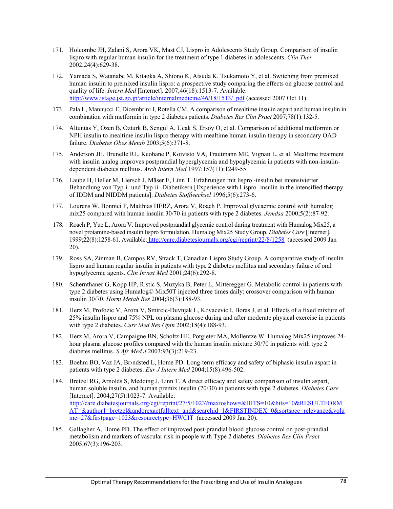- 171. Holcombe JH, Zalani S, Arora VK, Mast CJ, Lispro in Adolescents Study Group. Comparison of insulin lispro with regular human insulin for the treatment of type 1 diabetes in adolescents. *Clin Ther* 2002;24(4):629-38.
- 172. Yamada S, Watanabe M, Kitaoka A, Shiono K, Atsuda K, Tsukamoto Y, et al. Switching from premixed human insulin to premixed insulin lispro: a prospective study comparing the effects on glucose control and quality of life. *Intern Med* [Internet]. 2007;46(18):1513-7. Available: http://www.jstage.jst.go.jp/article/internalmedicine/46/18/1513/\_pdf (accessed 2007 Oct 11).
- 173. Pala L, Mannucci E, Dicembrini I, Rotella CM. A comparison of mealtime insulin aspart and human insulin in combination with metformin in type 2 diabetes patients. *Diabetes Res Clin Pract* 2007;78(1):132-5.
- 174. Altuntas Y, Ozen B, Ozturk B, Sengul A, Ucak S, Ersoy O, et al. Comparison of additional metformin or NPH insulin to mealtime insulin lispro therapy with mealtime human insulin therapy in secondary OAD failure. *Diabetes Obes Metab* 2003;5(6):371-8.
- 175. Anderson JH, Brunelle RL, Keohane P, Koivisto VA, Trautmann ME, Vignati L, et al. Mealtime treatment with insulin analog improves postprandial hyperglycemia and hypoglycemia in patients with non-insulindependent diabetes mellitus. *Arch Intern Med* 1997;157(11):1249-55.
- 176. Laube H, Heller M, Liersch J, Mäser E, Linn T. Erfahrungen mit lispro -insulin bei intensivierter Behandlung von Typ-i- und Typ-ii- Diabetikern [Experience with Lispro -insulin in the intensified therapy of IDDM and NIDDM patients]. *Diabetes Stoffwechsel* 1996;5(6):273-6.
- 177. Lourens W, Bonnici F, Matthias HERZ, Arora V, Roach P. Improved glycaemic control with humalog mix25 compared with human insulin 30/70 in patients with type 2 diabetes. *Jemdsa* 2000;5(2):87-92.
- 178. Roach P, Yue L, Arora V. Improved postprandial glycemic control during treatment with Humalog Mix25, a novel protamine-based insulin lispro formulation. Humalog Mix25 Study Group. *Diabetes Care* [Internet]. 1999;22(8):1258-61. Available: http://care.diabetesjournals.org/cgi/reprint/22/8/1258 (accessed 2009 Jan 20).
- 179. Ross SA, Zinman B, Campos RV, Strack T, Canadian Lispro Study Group. A comparative study of insulin lispro and human regular insulin in patients with type 2 diabetes mellitus and secondary failure of oral hypoglycemic agents. *Clin Invest Med* 2001;24(6):292-8.
- 180. Schernthaner G, Kopp HP, Ristic S, Muzyka B, Peter L, Mitteregger G. Metabolic control in patients with type 2 diabetes using Humalog© Mix50T injected three times daily: crossover comparison with human insulin 30/70. *Horm Metab Res* 2004;36(3):188-93.
- 181. Herz M, Profozic V, Arora V, Smircic-Duvnjak L, Kovacevic I, Boras J, et al. Effects of a fixed mixture of 25% insulin lispro and 75% NPL on plasma glucose during and after moderate physical exercise in patients with type 2 diabetes. *Curr Med Res Opin* 2002;18(4):188-93.
- 182. Herz M, Arora V, Campaigne BN, Scholtz HE, Potgieter MA, Mollentze W. Humalog Mix25 improves 24 hour plasma glucose profiles compared with the human insulin mixture 30/70 in patients with type 2 diabetes mellitus. *S Afr Med J* 2003;93(3):219-23.
- 183. Boehm BO, Vaz JA, Br>ndsted L, Home PD. Long-term efficacy and safety of biphasic insulin aspart in patients with type 2 diabetes. *Eur J Intern Med* 2004;15(8):496-502.
- 184. Bretzel RG, Arnolds S, Medding J, Linn T. A direct efficacy and safety comparison of insulin aspart, human soluble insulin, and human premix insulin (70/30) in patients with type 2 diabetes. *Diabetes Care* [Internet]. 2004;27(5):1023-7. Available: http://care.diabetesjournals.org/cgi/reprint/27/5/1023?maxtoshow=&HITS=10&hits=10&RESULTFORM AT=&author1=bretzel&andorexactfulltext=and&searchid=1&FIRSTINDEX=0&sortspec=relevance&volu me=27&firstpage=1023&resourcetype=HWCIT (accessed 2009 Jan 20).
- 185. Gallagher A, Home PD. The effect of improved post-prandial blood glucose control on post-prandial metabolism and markers of vascular risk in people with Type 2 diabetes. *Diabetes Res Clin Pract* 2005;67(3):196-203.